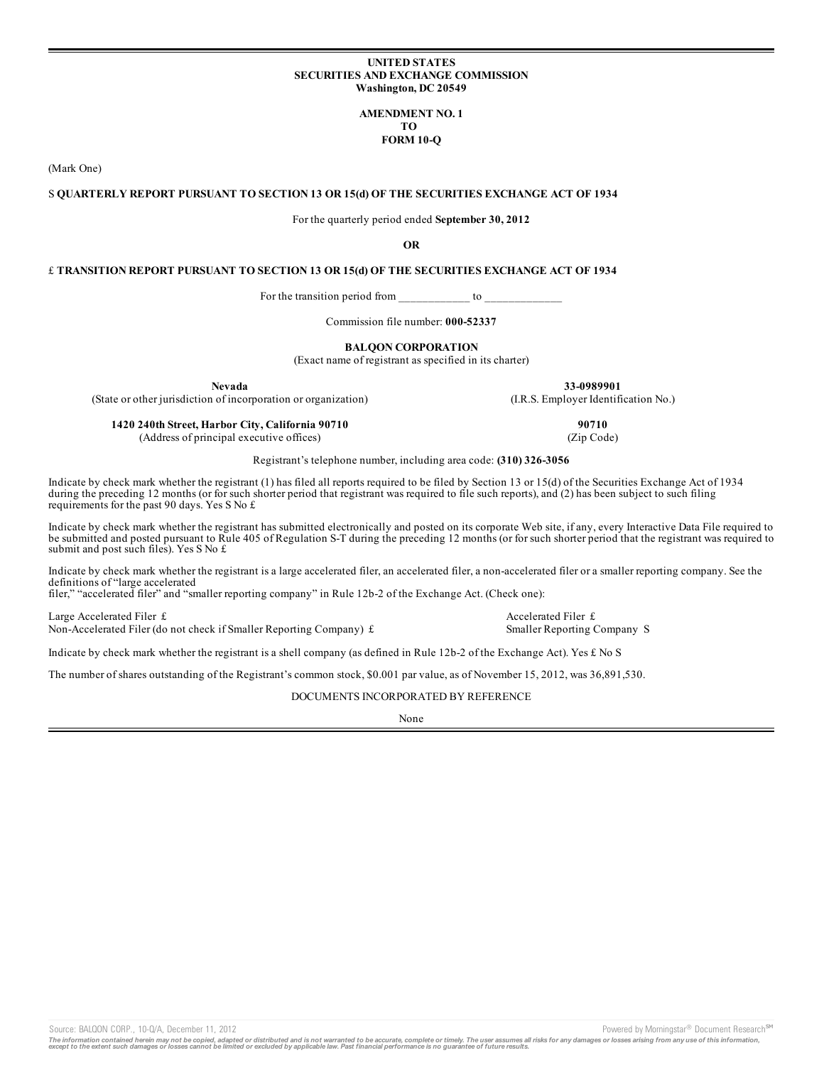#### **UNITED STATES SECURITIES AND EXCHANGE COMMISSION Washington, DC 20549**

#### **AMENDMENT NO. 1 TO FORM 10-Q**

(Mark One)

## S **QUARTERLY REPORT PURSUANT TO SECTION 13 OR 15(d) OF THE SECURITIES EXCHANGE ACT OF 1934**

For the quarterly period ended **September 30, 2012**

**OR**

# £ **TRANSITION REPORT PURSUANT TO SECTION 13 OR 15(d) OF THE SECURITIES EXCHANGE ACT OF 1934**

For the transition period from  $\frac{1}{2}$  =

Commission file number: **000-52337**

### **BALQON CORPORATION**

(Exact name of registrant as specified in its charter)

**Nevada**

(State or other jurisdiction of incorporation or organization)

**1420 240th Street, Harbor City, California 90710** (Address of principal executive offices)

**33-0989901** (I.R.S. Employer Identification No.)

> **90710** (Zip Code)

Registrant's telephone number, including area code: **(310) 326-3056**

Indicate by check mark whether the registrant (1) has filed all reports required to be filed by Section 13 or 15(d) of the Securities Exchange Act of 1934 during the preceding 12 months (or for such shorter period that registrant was required to file such reports), and (2) has been subject to such filing requirements for the past 90 days. Yes S No £

Indicate by check mark whether the registrant has submitted electronically and posted on its corporate Web site, if any, every Interactive Data File required to be submitted and posted pursuant to Rule 405 of Regulation S-T during the preceding 12 months (or for such shorter period that the registrant was required to submit and post such files). Yes S No £

Indicate by check mark whether the registrant is a large accelerated filer, an accelerated filer, a non-accelerated filer or a smaller reporting company. See the definitions of "large accelerated

filer," "accelerated filer" and "smaller reporting company" in Rule 12b-2 of the Exchange Act. (Check one):

Large Accelerated Filer £ Accelerated Filer £ Accelerated Filer £ Non-Accelerated Filer (do not check if Smaller Reporting Company) £ Smaller Reporting Company S

Indicate by check mark whether the registrant is a shell company (as defined in Rule 12b-2 of the Exchange Act). Yes £ No S

The number of shares outstanding of the Registrant's common stock, \$0.001 par value, as of November 15, 2012, was 36,891,530.

DOCUMENTS INCORPORATED BY REFERENCE

None

Source: BALQON CORP., 10-Q/A, December 11, 2012 **Powered by Morningstar<sup>®</sup> Document Research<sup>sM</sup>**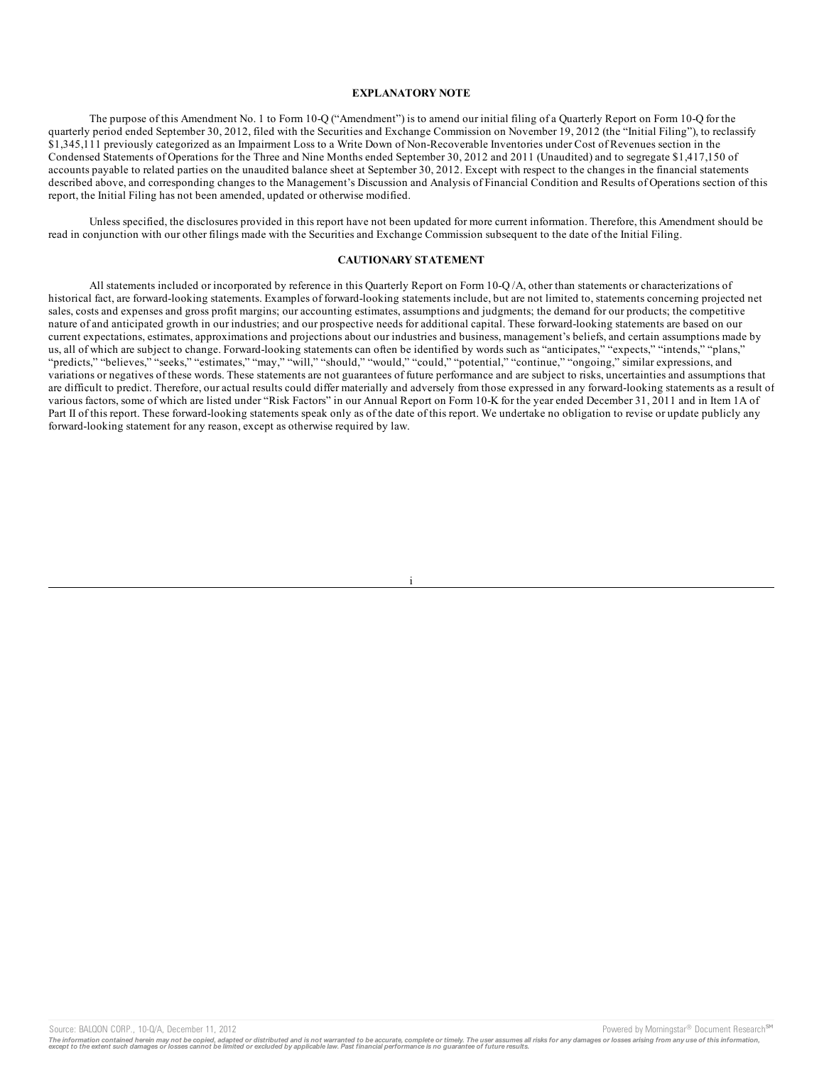## **EXPLANATORY NOTE**

The purpose of this Amendment No. 1 to Form 10-Q ("Amendment") is to amend our initial filing of a Quarterly Report on Form 10-Q for the quarterly period ended September 30, 2012, filed with the Securities and Exchange Commission on November 19, 2012 (the "Initial Filing"), to reclassify \$1,345,111 previously categorized as an Impairment Loss to a Write Down of Non-Recoverable Inventories under Cost of Revenues section in the Condensed Statements of Operations for the Three and Nine Months ended September 30, 2012 and 2011 (Unaudited) and to segregate \$1,417,150 of accounts payable to related parties on the unaudited balance sheet at September 30, 2012. Except with respect to the changes in the financial statements described above, and corresponding changes to the Management's Discussion and Analysis of Financial Condition and Results of Operations section of this report, the Initial Filing has not been amended, updated or otherwise modified.

Unless specified, the disclosures provided in this report have not been updated for more current information. Therefore, this Amendment should be read in conjunction with our other filings made with the Securities and Exchange Commission subsequent to the date of the Initial Filing.

## **CAUTIONARY STATEMENT**

All statements included or incorporated by reference in this Quarterly Report on Form 10-Q /A, other than statements or characterizations of historical fact, are forward-looking statements. Examples of forward-looking statements include, but are not limited to, statements concerning projected net sales, costs and expenses and gross profit margins; our accounting estimates, assumptions and judgments; the demand for our products; the competitive nature of and anticipated growth in our industries; and our prospective needs for additional capital. These forward-looking statements are based on our current expectations, estimates, approximations and projections about our industries and business, management's beliefs, and certain assumptions made by us, all of which are subject to change. Forward-looking statements can often be identified by words such as "anticipates," "expects," "intends," "plans," "predicts," "believes," "seeks," "estimates," "may," "will," "should," "would," "could," "potential," "continue," "ongoing," similar expressions, and variations or negatives of these words. These statements are not guarantees of future performance and are subject to risks, uncertainties and assumptions that are difficult to predict. Therefore, our actual results could differ materially and adversely from those expressed in any forward-looking statements as a result of various factors, some of which are listed under "Risk Factors" in our Annual Report on Form 10-K for the year ended December 31, 2011 and in Item 1A of Part II of this report. These forward-looking statements speak only as of the date of this report. We undertake no obligation to revise or update publicly any forward-looking statement for any reason, except as otherwise required by law.

i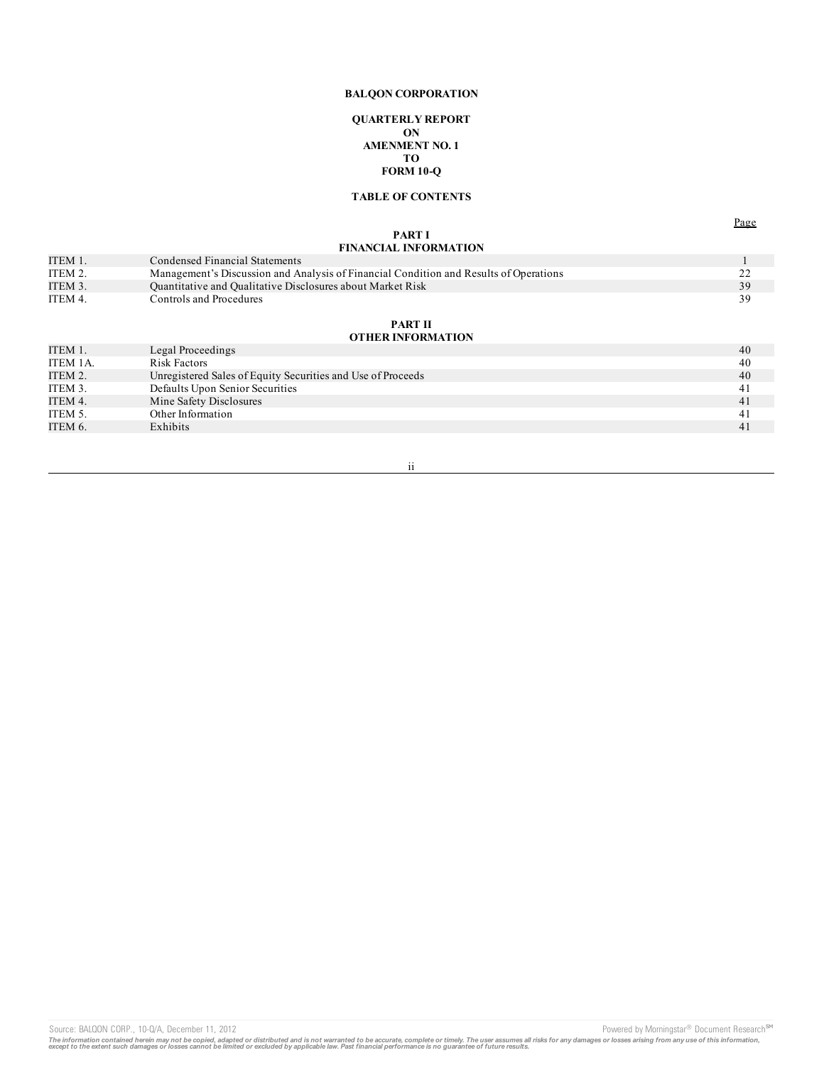# **QUARTERLY REPORT ON AMENMENT NO. 1 TO FORM 10-Q**

# **TABLE OF CONTENTS**

#### **PART I FINANCIAL INFORMATION**

| ITEM 1.           | Condensed Financial Statements                                                        |    |
|-------------------|---------------------------------------------------------------------------------------|----|
| ITEM 2.           | Management's Discussion and Analysis of Financial Condition and Results of Operations | 22 |
| ITEM 3.           | Quantitative and Qualitative Disclosures about Market Risk                            | 39 |
| ITEM 4.           | Controls and Procedures                                                               | 39 |
|                   |                                                                                       |    |
|                   | <b>PART II</b>                                                                        |    |
|                   | <b>OTHER INFORMATION</b>                                                              |    |
| ITEM 1.           | Legal Proceedings                                                                     | 40 |
| ITEM 1A.          | Risk Factors                                                                          | 40 |
| ITEM <sub>2</sub> | Unregistered Sales of Fauity Securities and Use of Proceeds                           | 40 |

| ITEM 2. | Unregistered Sales of Equity Securities and Use of Proceeds | 40 |
|---------|-------------------------------------------------------------|----|
| ITEM 3. | Defaults Upon Senior Securities                             | 41 |
| ITEM 4. | Mine Safety Disclosures                                     | 41 |
| ITEM 5. | Other Information                                           | 41 |
| ITEM 6. | Exhibits                                                    | 41 |
|         |                                                             |    |

# ii

Page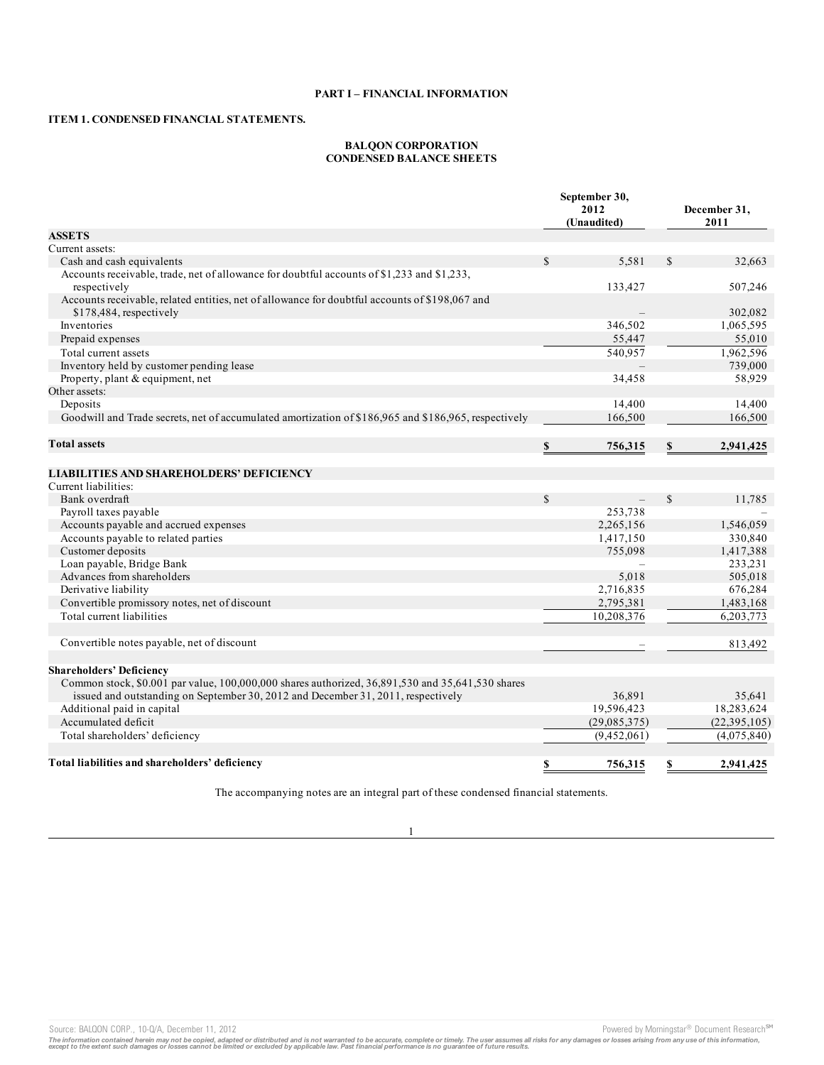# **PART I – FINANCIAL INFORMATION**

# **ITEM 1. CONDENSED FINANCIAL STATEMENTS.**

## **BALQON CORPORATION CONDENSED BALANCE SHEETS**

|                                                                                                                           |              | September 30,<br>2012<br>(Unaudited) | December 31,<br>2011 |                |  |
|---------------------------------------------------------------------------------------------------------------------------|--------------|--------------------------------------|----------------------|----------------|--|
| <b>ASSETS</b>                                                                                                             |              |                                      |                      |                |  |
| Current assets:                                                                                                           |              |                                      |                      |                |  |
| Cash and cash equivalents                                                                                                 | $\mathbf S$  | 5.581                                | $\mathcal{S}$        | 32,663         |  |
| Accounts receivable, trade, net of allowance for doubtful accounts of \$1,233 and \$1,233,<br>respectively                |              | 133,427                              |                      | 507,246        |  |
| Accounts receivable, related entities, net of allowance for doubtful accounts of \$198,067 and<br>\$178,484, respectively |              |                                      |                      | 302,082        |  |
| Inventories                                                                                                               |              | 346,502                              |                      | 1,065,595      |  |
| Prepaid expenses                                                                                                          |              | 55,447                               |                      | 55,010         |  |
| Total current assets                                                                                                      |              | 540,957                              |                      | 1,962,596      |  |
| Inventory held by customer pending lease                                                                                  |              |                                      |                      | 739,000        |  |
| Property, plant & equipment, net                                                                                          |              | 34,458                               |                      | 58,929         |  |
| Other assets:                                                                                                             |              |                                      |                      |                |  |
| Deposits                                                                                                                  |              | 14,400                               |                      | 14,400         |  |
| Goodwill and Trade secrets, net of accumulated amortization of \$186,965 and \$186,965, respectively                      |              | 166,500                              |                      | 166,500        |  |
| <b>Total assets</b>                                                                                                       | \$           | 756,315                              | \$                   | 2,941,425      |  |
| <b>LIABILITIES AND SHAREHOLDERS' DEFICIENCY</b>                                                                           |              |                                      |                      |                |  |
| Current liabilities:                                                                                                      |              |                                      |                      |                |  |
| Bank overdraft                                                                                                            | $\mathbb{S}$ | $\equiv$                             | $\mathbb{S}$         | 11,785         |  |
| Payroll taxes payable                                                                                                     |              | 253,738                              |                      |                |  |
| Accounts payable and accrued expenses                                                                                     |              | 2,265,156                            |                      | 1.546.059      |  |
| Accounts payable to related parties                                                                                       |              | 1,417,150                            |                      | 330,840        |  |
| Customer deposits                                                                                                         |              | 755,098                              |                      | 1,417,388      |  |
| Loan payable, Bridge Bank                                                                                                 |              |                                      |                      | 233,231        |  |
| Advances from shareholders                                                                                                |              | 5,018                                |                      | 505,018        |  |
| Derivative liability                                                                                                      |              | 2,716,835                            |                      | 676,284        |  |
| Convertible promissory notes, net of discount                                                                             |              | 2,795,381                            |                      | 1,483,168      |  |
| Total current liabilities                                                                                                 |              | 10.208.376                           |                      | 6,203,773      |  |
| Convertible notes payable, net of discount                                                                                |              |                                      |                      | 813,492        |  |
| <b>Shareholders' Deficiency</b>                                                                                           |              |                                      |                      |                |  |
| Common stock, \$0.001 par value, 100,000,000 shares authorized, 36,891,530 and 35,641,530 shares                          |              |                                      |                      |                |  |
| issued and outstanding on September 30, 2012 and December 31, 2011, respectively                                          |              | 36,891                               |                      | 35,641         |  |
| Additional paid in capital                                                                                                |              | 19,596,423                           |                      | 18,283,624     |  |
| Accumulated deficit                                                                                                       |              | (29,085,375)                         |                      | (22, 395, 105) |  |
| Total shareholders' deficiency                                                                                            |              | (9,452,061)                          |                      | (4,075,840)    |  |
|                                                                                                                           |              |                                      |                      |                |  |
| Total liabilities and shareholders' deficiency                                                                            | \$           | 756,315                              | \$                   | 2,941,425      |  |

The accompanying notes are an integral part of these condensed financial statements.

#### 1

Source: BALQON CORP., 10-Q/A, December 11, 2012 2009 12:00 12:00 12:00 12:00 12:00 12:00 12:00 12:00 12:00 12:00 12:00 12:00 12:00 12:00 12:00 12:00 12:00 12:00 12:00 12:00 12:00 12:00 12:00 12:00 12:00 12:00 12:00 12:00 1

The information contained herein may not be copied, adapted or distributed and is not warranted to be accurate, complete or timely. The user assumes all risks for any damages or losses arising from any use of this informat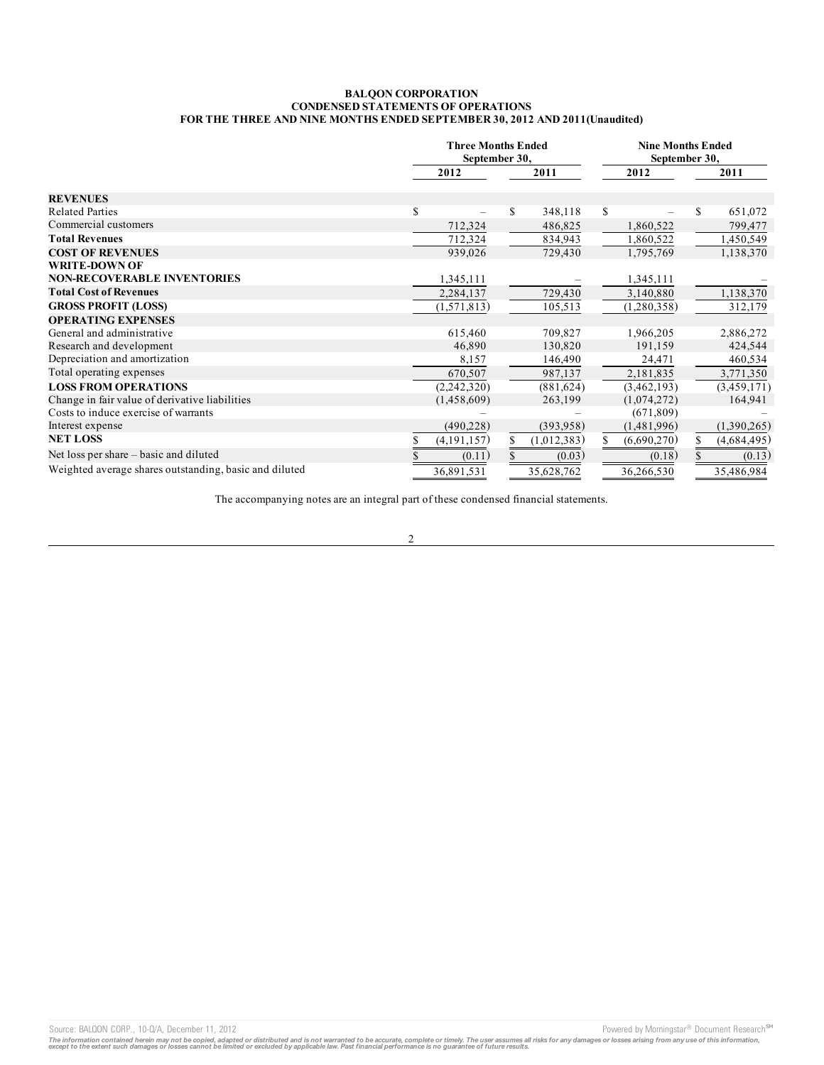### **BALQON CORPORATION CONDENSED STATEMENTS OF OPERATIONS FOR THE THREE AND NINE MONTHS ENDED SEPTEMBER 30, 2012 AND 2011(Unaudited)**

|                                                        | <b>Three Months Ended</b><br>September 30, |             |      |             | <b>Nine Months Ended</b><br>September 30, |             |    |             |
|--------------------------------------------------------|--------------------------------------------|-------------|------|-------------|-------------------------------------------|-------------|----|-------------|
|                                                        |                                            | 2012        | 2011 |             | 2012                                      |             |    | 2011        |
| <b>REVENUES</b>                                        |                                            |             |      |             |                                           |             |    |             |
| <b>Related Parties</b>                                 | \$                                         |             | \$   | 348,118     | \$                                        |             | \$ | 651,072     |
| Commercial customers                                   |                                            | 712,324     |      | 486,825     |                                           | 1,860,522   |    | 799,477     |
| <b>Total Revenues</b>                                  |                                            | 712,324     |      | 834,943     |                                           | 1,860,522   |    | 1,450,549   |
| <b>COST OF REVENUES</b>                                |                                            | 939,026     |      | 729,430     |                                           | 1,795,769   |    | 1,138,370   |
| <b>WRITE-DOWN OF</b>                                   |                                            |             |      |             |                                           |             |    |             |
| <b>NON-RECOVERABLE INVENTORIES</b>                     |                                            | 1,345,111   |      |             |                                           | 1,345,111   |    |             |
| <b>Total Cost of Revenues</b>                          |                                            | 2,284,137   |      | 729,430     |                                           | 3,140,880   |    | 1,138,370   |
| <b>GROSS PROFIT (LOSS)</b>                             |                                            | (1,571,813) |      | 105,513     |                                           | (1,280,358) |    | 312,179     |
| <b>OPERATING EXPENSES</b>                              |                                            |             |      |             |                                           |             |    |             |
| General and administrative                             |                                            | 615,460     |      | 709,827     |                                           | 1,966,205   |    | 2,886,272   |
| Research and development                               |                                            | 46,890      |      | 130,820     |                                           | 191,159     |    | 424,544     |
| Depreciation and amortization                          |                                            | 8,157       |      | 146,490     |                                           | 24,471      |    | 460,534     |
| Total operating expenses                               |                                            | 670,507     |      | 987,137     |                                           | 2,181,835   |    | 3,771,350   |
| <b>LOSS FROM OPERATIONS</b>                            |                                            | (2,242,320) |      | (881, 624)  |                                           | (3,462,193) |    | (3,459,171) |
| Change in fair value of derivative liabilities         |                                            | (1,458,609) |      | 263,199     |                                           | (1,074,272) |    | 164,941     |
| Costs to induce exercise of warrants                   |                                            |             |      |             |                                           | (671, 809)  |    |             |
| Interest expense                                       |                                            | (490, 228)  |      | (393.958)   |                                           | (1,481,996) |    | (1,390,265) |
| <b>NET LOSS</b>                                        |                                            | (4,191,157) |      | (1,012,383) | \$                                        | (6,690,270) |    | (4,684,495) |
| Net loss per share – basic and diluted                 |                                            | (0.11)      |      | (0.03)      |                                           | (0.18)      |    | (0.13)      |
| Weighted average shares outstanding, basic and diluted |                                            | 36,891,531  |      | 35,628,762  |                                           | 36,266,530  |    | 35,486,984  |

The accompanying notes are an integral part of these condensed financial statements.

2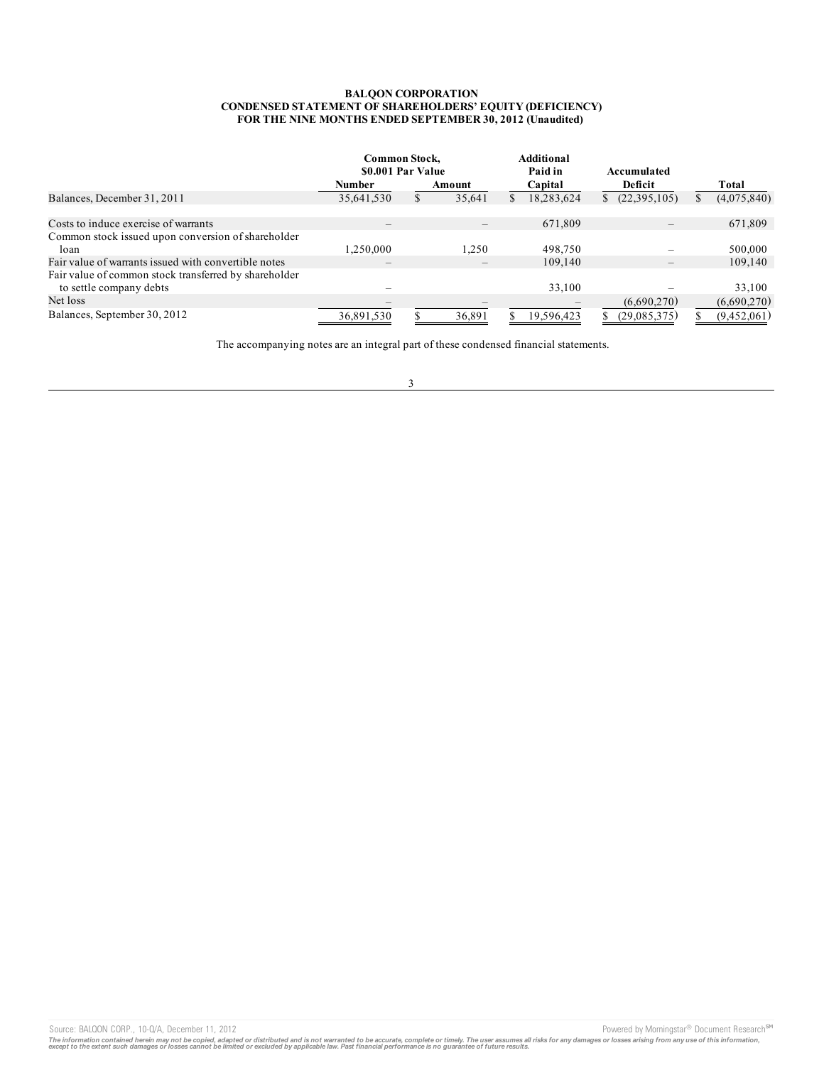#### **BALQON CORPORATION CONDENSED STATEMENT OF SHAREHOLDERS' EQUITY (DEFICIENCY) FOR THE NINE MONTHS ENDED SEPTEMBER 30, 2012 (Unaudited)**

|                                                       | <b>Common Stock,</b><br>\$0.001 Par Value |  | <b>Additional</b><br>Paid in |  | Accumulated |                |  |             |
|-------------------------------------------------------|-------------------------------------------|--|------------------------------|--|-------------|----------------|--|-------------|
|                                                       | <b>Number</b>                             |  | Amount                       |  | Capital     | Deficit        |  | Total       |
| Balances, December 31, 2011                           | 35,641,530                                |  | 35,641                       |  | 18,283,624  | (22, 395, 105) |  | (4,075,840) |
|                                                       |                                           |  |                              |  |             |                |  |             |
| Costs to induce exercise of warrants                  |                                           |  |                              |  | 671,809     |                |  | 671,809     |
| Common stock issued upon conversion of shareholder    |                                           |  |                              |  |             |                |  |             |
| loan                                                  | 1.250.000                                 |  | 1.250                        |  | 498,750     |                |  | 500,000     |
| Fair value of warrants issued with convertible notes  |                                           |  | $\qquad \qquad -$            |  | 109,140     |                |  | 109,140     |
| Fair value of common stock transferred by shareholder |                                           |  |                              |  |             |                |  |             |
| to settle company debts                               |                                           |  |                              |  | 33,100      |                |  | 33,100      |
| Net loss                                              |                                           |  |                              |  |             | (6,690,270)    |  | (6,690,270) |
| Balances, September 30, 2012                          | 36,891,530                                |  | 36,891                       |  | 19,596,423  | (29,085,375)   |  | (9,452,061) |

The accompanying notes are an integral part of these condensed financial statements.

3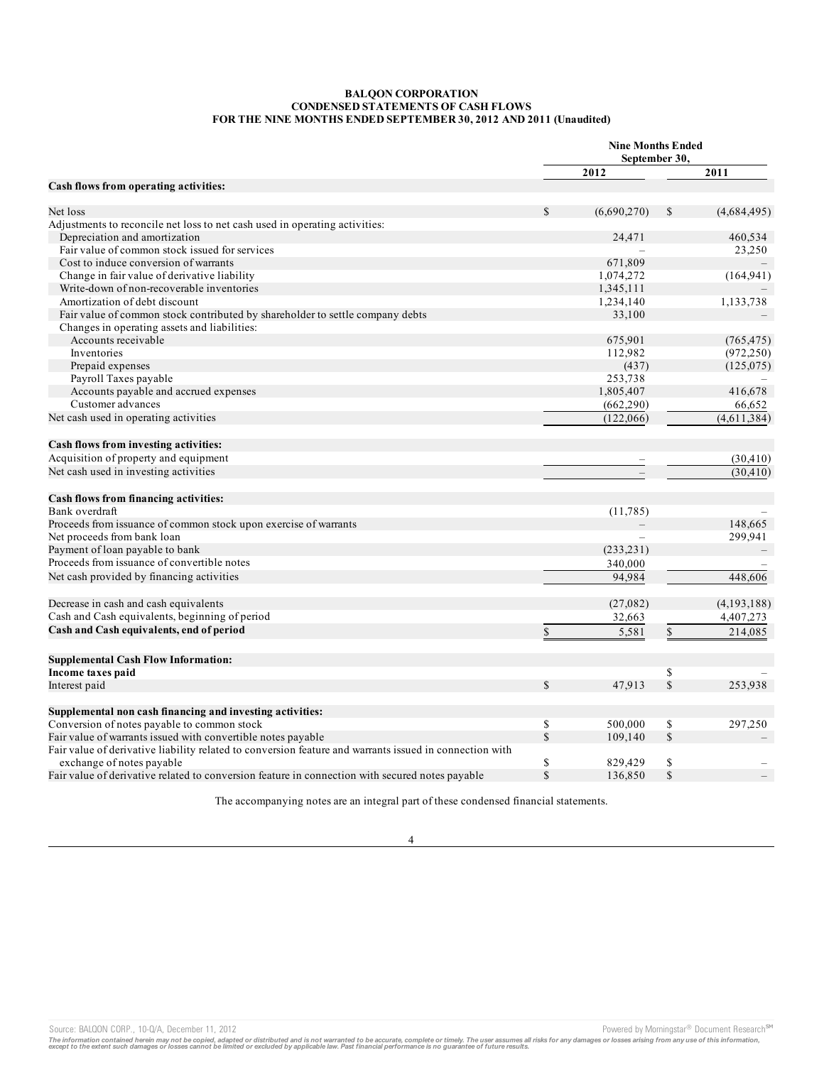#### **BALQON CORPORATION CONDENSED STATEMENTS OF CASH FLOWS FOR THE NINE MONTHS ENDED SEPTEMBER 30, 2012 AND 2011 (Unaudited)**

|                                                                                                         | <b>Nine Months Ended</b><br>September 30, |             |                                 |             |  |  |
|---------------------------------------------------------------------------------------------------------|-------------------------------------------|-------------|---------------------------------|-------------|--|--|
|                                                                                                         |                                           | 2012        |                                 | 2011        |  |  |
| Cash flows from operating activities:                                                                   |                                           |             |                                 |             |  |  |
| Net loss                                                                                                | \$                                        | (6,690,270) | \$                              | (4,684,495) |  |  |
| Adjustments to reconcile net loss to net cash used in operating activities:                             |                                           |             |                                 |             |  |  |
| Depreciation and amortization                                                                           |                                           | 24,471      |                                 | 460,534     |  |  |
| Fair value of common stock issued for services                                                          |                                           |             |                                 | 23,250      |  |  |
| Cost to induce conversion of warrants                                                                   |                                           | 671,809     |                                 |             |  |  |
| Change in fair value of derivative liability                                                            |                                           | 1,074,272   |                                 | (164, 941)  |  |  |
| Write-down of non-recoverable inventories                                                               |                                           | 1,345,111   |                                 |             |  |  |
| Amortization of debt discount                                                                           |                                           | 1,234,140   |                                 | 1,133,738   |  |  |
| Fair value of common stock contributed by shareholder to settle company debts                           |                                           | 33,100      |                                 |             |  |  |
| Changes in operating assets and liabilities:                                                            |                                           |             |                                 |             |  |  |
| Accounts receivable                                                                                     |                                           | 675,901     |                                 | (765, 475)  |  |  |
| Inventories                                                                                             |                                           | 112,982     |                                 | (972, 250)  |  |  |
| Prepaid expenses                                                                                        |                                           | (437)       |                                 | (125,075)   |  |  |
| Payroll Taxes payable                                                                                   |                                           |             |                                 |             |  |  |
| Accounts payable and accrued expenses                                                                   |                                           | 253,738     |                                 | 416,678     |  |  |
|                                                                                                         |                                           | 1,805,407   |                                 |             |  |  |
| Customer advances                                                                                       |                                           | (662, 290)  |                                 | 66,652      |  |  |
| Net cash used in operating activities                                                                   |                                           | (122,066)   |                                 | (4,611,384) |  |  |
| Cash flows from investing activities:                                                                   |                                           |             |                                 |             |  |  |
| Acquisition of property and equipment                                                                   |                                           |             |                                 | (30, 410)   |  |  |
| Net cash used in investing activities                                                                   |                                           |             |                                 | (30, 410)   |  |  |
| Cash flows from financing activities:                                                                   |                                           |             |                                 |             |  |  |
| Bank overdraft                                                                                          |                                           | (11, 785)   |                                 |             |  |  |
| Proceeds from issuance of common stock upon exercise of warrants                                        |                                           |             |                                 | 148,665     |  |  |
| Net proceeds from bank loan                                                                             |                                           |             |                                 | 299,941     |  |  |
| Payment of loan payable to bank                                                                         |                                           | (233, 231)  |                                 |             |  |  |
| Proceeds from issuance of convertible notes                                                             |                                           | 340,000     |                                 |             |  |  |
| Net cash provided by financing activities                                                               |                                           | 94,984      |                                 | 448,606     |  |  |
| Decrease in cash and cash equivalents                                                                   |                                           | (27,082)    |                                 | (4,193,188) |  |  |
| Cash and Cash equivalents, beginning of period                                                          |                                           | 32,663      |                                 | 4,407,273   |  |  |
| Cash and Cash equivalents, end of period                                                                | \$                                        | 5,581       | \$                              | 214,085     |  |  |
|                                                                                                         |                                           |             |                                 |             |  |  |
| <b>Supplemental Cash Flow Information:</b>                                                              |                                           |             |                                 |             |  |  |
| Income taxes paid                                                                                       |                                           |             | \$<br>$\boldsymbol{\mathsf{S}}$ |             |  |  |
| Interest paid                                                                                           | \$                                        | 47,913      |                                 | 253,938     |  |  |
| Supplemental non cash financing and investing activities:                                               |                                           |             |                                 |             |  |  |
| Conversion of notes payable to common stock                                                             | \$                                        | 500,000     | \$                              | 297,250     |  |  |
| Fair value of warrants issued with convertible notes payable                                            | $\mathbb{S}$                              | 109,140     | \$                              |             |  |  |
| Fair value of derivative liability related to conversion feature and warrants issued in connection with |                                           |             |                                 |             |  |  |
| exchange of notes payable                                                                               | \$                                        | 829,429     | \$                              |             |  |  |
| Fair value of derivative related to conversion feature in connection with secured notes payable         | $\mathbf S$                               | 136,850     | \$                              |             |  |  |

The accompanying notes are an integral part of these condensed financial statements.

4

Source: BALQON CORP., 10-Q/A, December 11, 2012 2009 12:00 12:00 12:00 12:00 12:00 12:00 12:00 12:00 12:00 12:00 12:00 12:00 12:00 12:00 12:00 12:00 12:00 12:00 12:00 12:00 12:00 12:00 12:00 12:00 12:00 12:00 12:00 12:00 1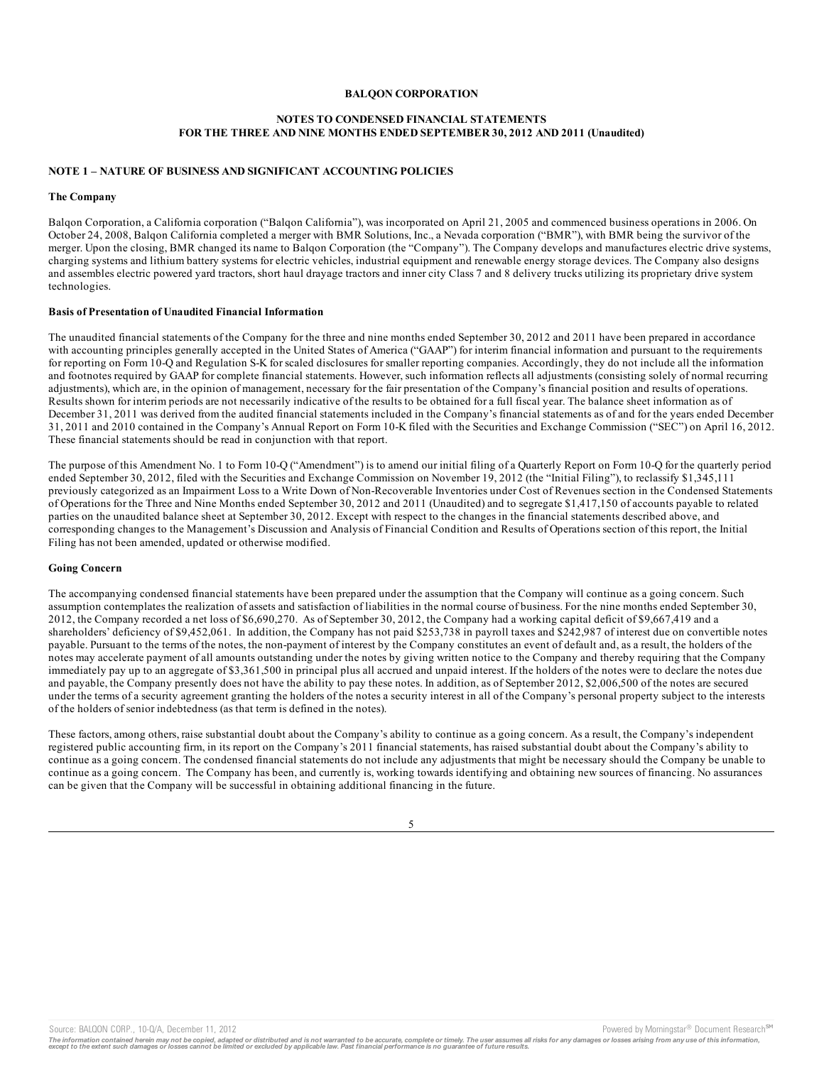### **NOTES TO CONDENSED FINANCIAL STATEMENTS FOR THE THREE AND NINE MONTHS ENDED SEPTEMBER 30, 2012 AND 2011 (Unaudited)**

### **NOTE 1 – NATURE OF BUSINESS AND SIGNIFICANT ACCOUNTING POLICIES**

### **The Company**

Balqon Corporation, a California corporation ("Balqon California"), was incorporated on April 21, 2005 and commenced business operations in 2006. On October 24, 2008, Balqon California completed a merger with BMR Solutions, Inc., a Nevada corporation ("BMR"), with BMR being the survivor of the merger. Upon the closing, BMR changed its name to Balgon Corporation (the "Company"). The Company develops and manufactures electric drive systems, charging systems and lithium battery systems for electric vehicles, industrial equipment and renewable energy storage devices. The Company also designs and assembles electric powered yard tractors, short haul drayage tractors and inner city Class 7 and 8 delivery trucks utilizing its proprietary drive system technologies.

#### **Basis of Presentation of Unaudited Financial Information**

The unaudited financial statements of the Company for the three and nine months ended September 30, 2012 and 2011 have been prepared in accordance with accounting principles generally accepted in the United States of America ("GAAP") for interim financial information and pursuant to the requirements for reporting on Form 10-Q and Regulation S-K for scaled disclosures for smaller reporting companies. Accordingly, they do not include all the information and footnotes required by GAAP for complete financial statements. However, such information reflects all adjustments (consisting solely of normal recurring adjustments), which are, in the opinion of management, necessary for the fair presentation of the Company's financial position and results of operations. Results shown for interim periods are not necessarily indicative of the results to be obtained for a full fiscal year. The balance sheet information as of December 31, 2011 was derived from the audited financial statements included in the Company's financial statements as of and for the years ended December 31, 2011 and 2010 contained in the Company's Annual Report on Form 10-K filed with the Securities and Exchange Commission ("SEC") on April 16, 2012. These financial statements should be read in conjunction with that report.

The purpose of this Amendment No. 1 to Form 10-Q ("Amendment") is to amend our initial filing of a Quarterly Report on Form 10-Q for the quarterly period ended September 30, 2012, filed with the Securities and Exchange Commission on November 19, 2012 (the "Initial Filing"), to reclassify \$1,345,111 previously categorized as an Impairment Loss to a Write Down of Non-Recoverable Inventories under Cost of Revenues section in the Condensed Statements of Operations for the Three and Nine Months ended September 30, 2012 and 2011 (Unaudited) and to segregate \$1,417,150 of accounts payable to related parties on the unaudited balance sheet at September 30, 2012. Except with respect to the changes in the financial statements described above, and corresponding changes to the Management's Discussion and Analysis of Financial Condition and Results of Operations section of this report, the Initial Filing has not been amended, updated or otherwise modified.

#### **Going Concern**

The accompanying condensed financial statements have been prepared under the assumption that the Company will continue as a going concern. Such assumption contemplates the realization of assets and satisfaction of liabilities in the normal course of business. For the nine months ended September 30, 2012, the Company recorded a net loss of \$6,690,270. As of September 30, 2012, the Company had a working capital deficit of \$9,667,419 and a shareholders' deficiency of \$9,452,061. In addition, the Company has not paid \$253,738 in payroll taxes and \$242,987 of interest due on convertible notes payable. Pursuant to the terms of the notes, the non-payment of interest by the Company constitutes an event of default and, as a result, the holders of the notes may accelerate payment of all amounts outstanding under the notes by giving written notice to the Company and thereby requiring that the Company immediately pay up to an aggregate of \$3,361,500 in principal plus all accrued and unpaid interest. If the holders of the notes were to declare the notes due and payable, the Company presently does not have the ability to pay these notes. In addition, as of September 2012, \$2,006,500 of the notes are secured under the terms of a security agreement granting the holders of the notes a security interest in all of the Company's personal property subject to the interests of the holders of senior indebtedness (as that term is defined in the notes).

These factors, among others, raise substantial doubt about the Company's ability to continue as a going concern. As a result, the Company's independent registered public accounting firm, in its report on the Company's 2011 financial statements, has raised substantial doubt about the Company's ability to continue as a going concern. The condensed financial statements do not include any adjustments that might be necessary should the Company be unable to continue as a going concern. The Company has been, and currently is, working towards identifying and obtaining new sources of financing. No assurances can be given that the Company will be successful in obtaining additional financing in the future.

5

Source: BALQON CORP., 10-Q/A, December 11, 2012 **Powered by Morningstar® Document Research** in the second of the second by Morningstar® Document Research in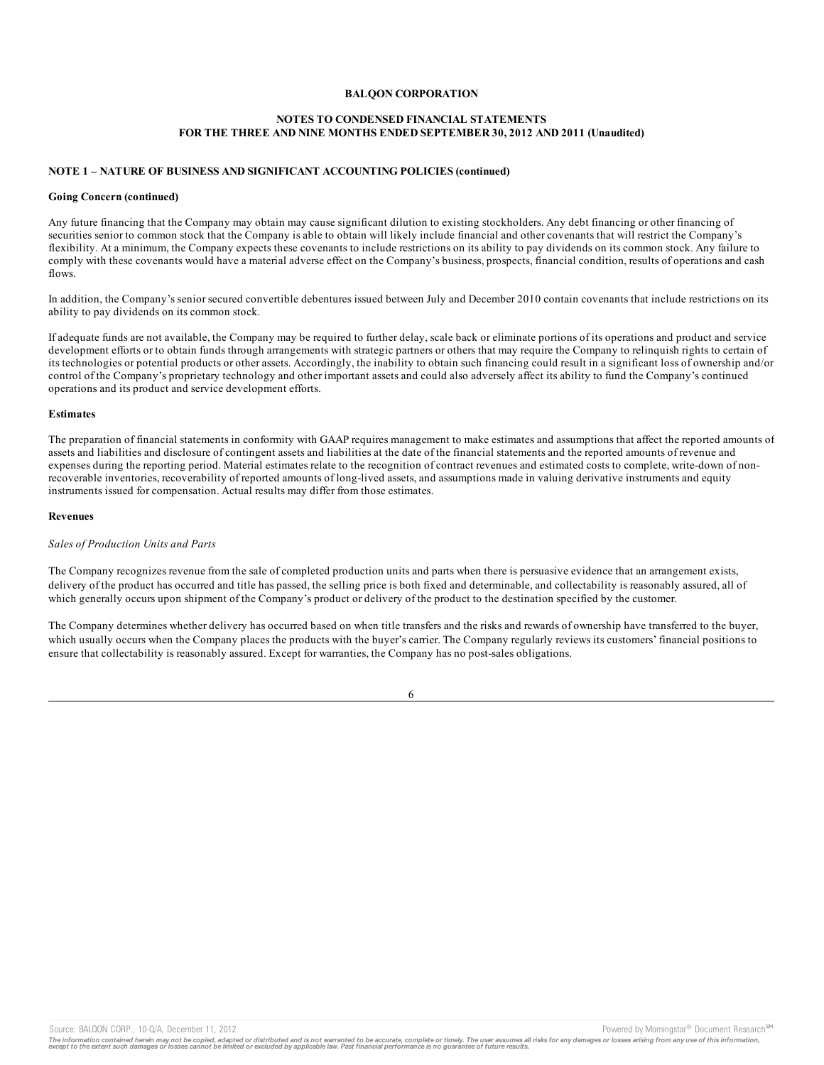### **NOTES TO CONDENSED FINANCIAL STATEMENTS FOR THE THREE AND NINE MONTHS ENDED SEPTEMBER 30, 2012 AND 2011 (Unaudited)**

# **NOTE 1 – NATURE OF BUSINESS AND SIGNIFICANT ACCOUNTING POLICIES (continued)**

#### **Going Concern (continued)**

Any future financing that the Company may obtain may cause significant dilution to existing stockholders. Any debt financing or other financing of securities senior to common stock that the Company is able to obtain will likely include financial and other covenants that will restrict the Company's flexibility. At a minimum, the Company expects these covenants to include restrictions on its ability to pay dividends on its common stock. Any failure to comply with these covenants would have a material adverse effect on the Company's business, prospects, financial condition, results of operations and cash flows.

In addition, the Company's senior secured convertible debentures issued between July and December 2010 contain covenants that include restrictions on its ability to pay dividends on its common stock.

If adequate funds are not available, the Company may be required to further delay, scale back or eliminate portions of its operations and product and service development efforts or to obtain funds through arrangements with strategic partners or others that may require the Company to relinquish rights to certain of its technologies or potential products or other assets. Accordingly, the inability to obtain such financing could result in a significant loss of ownership and/or control of the Company's proprietary technology and other important assets and could also adversely affect its ability to fund the Company's continued operations and its product and service development efforts.

#### **Estimates**

The preparation of financial statements in conformity with GAAP requires management to make estimates and assumptions that affect the reported amounts of assets and liabilities and disclosure of contingent assets and liabilities at the date of the financial statements and the reported amounts of revenue and expenses during the reporting period. Material estimates relate to the recognition of contract revenues and estimated costs to complete, write-down of nonrecoverable inventories, recoverability of reported amounts of long-lived assets, and assumptions made in valuing derivative instruments and equity instruments issued for compensation. Actual results may differ from those estimates.

#### **Revenues**

#### *Sales of Production Units and Parts*

The Company recognizes revenue from the sale of completed production units and parts when there is persuasive evidence that an arrangement exists, delivery of the product has occurred and title has passed, the selling price is both fixed and determinable, and collectability is reasonably assured, all of which generally occurs upon shipment of the Company's product or delivery of the product to the destination specified by the customer.

The Company determines whether delivery has occurred based on when title transfers and the risks and rewards of ownership have transferred to the buyer, which usually occurs when the Company places the products with the buyer's carrier. The Company regularly reviews its customers' financial positions to ensure that collectability is reasonably assured. Except for warranties, the Company has no post-sales obligations.

The information contained herein may not be copied, adapted or distributed and is not warranted to be accurate, complete or timely. The user assumes all risks for any damages or losses arising from any use of this informat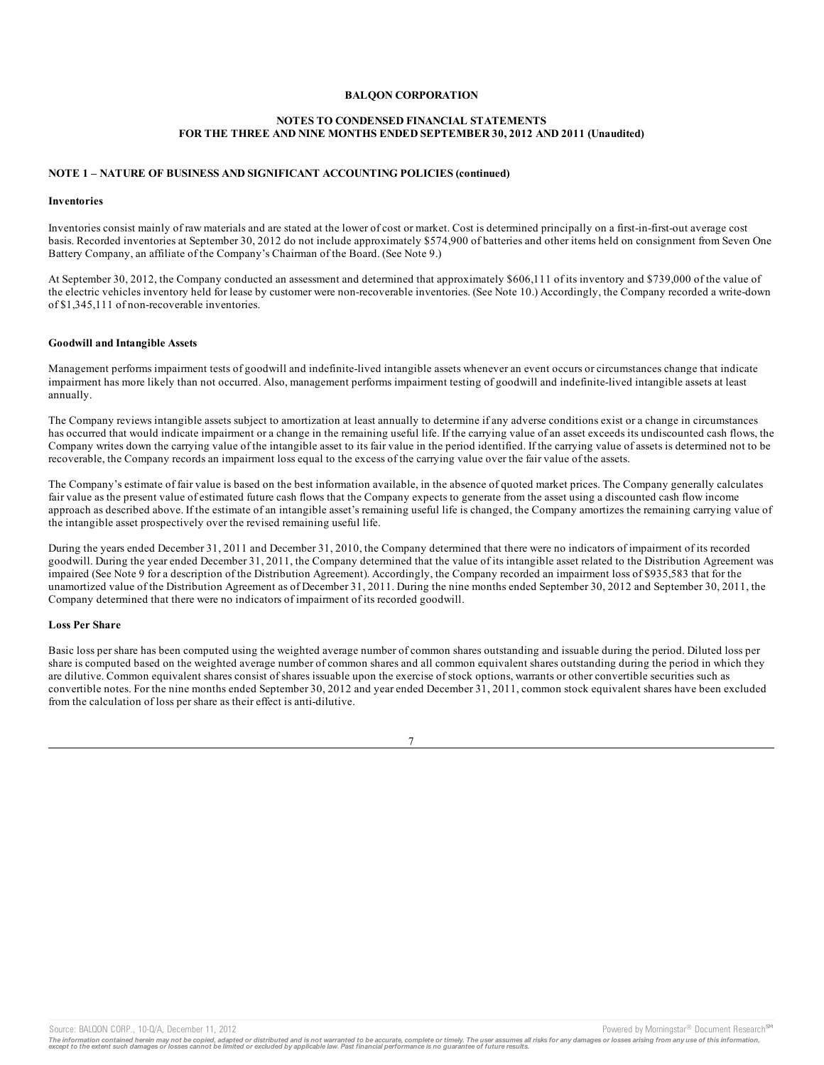### **NOTES TO CONDENSED FINANCIAL STATEMENTS FOR THE THREE AND NINE MONTHS ENDED SEPTEMBER 30, 2012 AND 2011 (Unaudited)**

# **NOTE 1 – NATURE OF BUSINESS AND SIGNIFICANT ACCOUNTING POLICIES (continued)**

#### **Inventories**

Inventories consist mainly of raw materials and are stated at the lower of cost or market. Cost is determined principally on a first-in-first-out average cost basis. Recorded inventories at September 30, 2012 do not include approximately \$574,900 of batteries and other items held on consignment from Seven One Battery Company, an affiliate of the Company's Chairman of the Board. (See Note 9.)

At September 30, 2012, the Company conducted an assessment and determined that approximately \$606,111 of its inventory and \$739,000 of the value of the electric vehicles inventory held for lease by customer were non-recoverable inventories. (See Note 10.) Accordingly, the Company recorded a write-down of \$1,345,111 of non-recoverable inventories.

#### **Goodwill and Intangible Assets**

Management performs impairment tests of goodwill and indefinite-lived intangible assets whenever an event occurs or circumstances change that indicate impairment has more likely than not occurred. Also, management performs impairment testing of goodwill and indefinite-lived intangible assets at least annually.

The Company reviews intangible assets subject to amortization at least annually to determine if any adverse conditions exist or a change in circumstances has occurred that would indicate impairment or a change in the remaining useful life. If the carrying value of an asset exceeds its undiscounted cash flows, the Company writes down the carrying value of the intangible asset to its fair value in the period identified. If the carrying value of assets is determined not to be recoverable, the Company records an impairment loss equal to the excess of the carrying value over the fair value of the assets.

The Company's estimate of fair value is based on the best information available, in the absence of quoted market prices. The Company generally calculates fair value as the present value of estimated future cash flows that the Company expects to generate from the asset using a discounted cash flow income approach as described above. If the estimate of an intangible asset's remaining useful life is changed, the Company amortizes the remaining carrying value of the intangible asset prospectively over the revised remaining useful life.

During the years ended December 31, 2011 and December 31, 2010, the Company determined that there were no indicators of impairment of its recorded goodwill. During the year ended December 31, 2011, the Company determined that the value of its intangible asset related to the Distribution Agreement was impaired (See Note 9 for a description of the Distribution Agreement). Accordingly, the Company recorded an impairment loss of \$935,583 that for the unamortized value of the Distribution Agreement as of December 31, 2011. During the nine months ended September 30, 2012 and September 30, 2011, the Company determined that there were no indicators of impairment of its recorded goodwill.

#### **Loss Per Share**

Basic loss per share has been computed using the weighted average number of common shares outstanding and issuable during the period. Diluted loss per share is computed based on the weighted average number of common shares and all common equivalent shares outstanding during the period in which they are dilutive. Common equivalent shares consist of shares issuable upon the exercise of stock options, warrants or other convertible securities such as convertible notes. For the nine months ended September 30, 2012 and year ended December 31, 2011, common stock equivalent shares have been excluded from the calculation of loss per share as their effect is anti-dilutive.

#### 7

Source: BALQON CORP., 10-Q/A, December 11, 2012 Powered by Morningstar® Document Research Morningstar® Document Research Morningstar® Document Research Morningstar® Document Research Morningstar 2012

The information contained herein may not be copied, adapted or distributed and is not warranted to be accurate, complete or timely. The user assumes all risks for any damages or losses arising from any use of this informat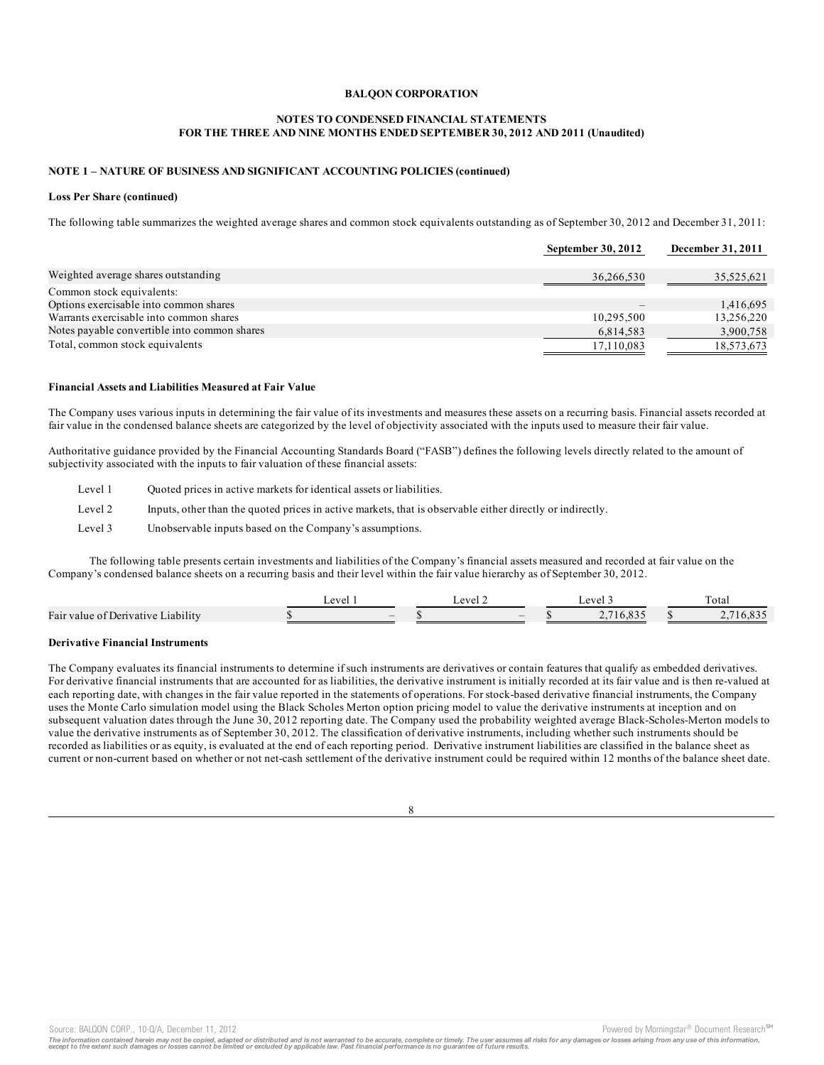### **NOTES TO CONDENSED FINANCIAL STATEMENTS FOR THE THREE AND NINE MONTHS ENDED SEPTEMBER 30, 2012 AND 2011 (Unaudited)**

# **NOTE 1 – NATURE OF BUSINESS AND SIGNIFICANT ACCOUNTING POLICIES (continued)**

### **Loss Per Share (continued)**

The following table summarizes the weighted average shares and common stock equivalents outstanding as of September 30, 2012 and December 31, 2011:

|                                              | <b>September 30, 2012</b> | December 31, 2011 |
|----------------------------------------------|---------------------------|-------------------|
| Weighted average shares outstanding          | 36,266,530                | 35,525,621        |
| Common stock equivalents:                    |                           |                   |
| Options exercisable into common shares       |                           | 1,416,695         |
| Warrants exercisable into common shares      | 10,295,500                | 13,256,220        |
| Notes payable convertible into common shares | 6,814,583                 | 3,900,758         |
| Total, common stock equivalents              | 17.110.083                | 18,573,673        |

#### **Financial Assets and Liabilities Measured at Fair Value**

The Company uses various inputs in determining the fair value of its investments and measures these assets on a recurring basis. Financial assets recorded at fair value in the condensed balance sheets are categorized by the level of objectivity associated with the inputs used to measure their fair value.

Authoritative guidance provided by the Financial Accounting Standards Board ("FASB") defines the following levels directly related to the amount of subjectivity associated with the inputs to fair valuation of these financial assets:

| Level 1 | Ouoted prices in active markets for identical assets or liabilities.                                      |
|---------|-----------------------------------------------------------------------------------------------------------|
| Level 2 | Inputs, other than the quoted prices in active markets, that is observable either directly or indirectly. |
| Level 3 | Unobservable inputs based on the Company's assumptions.                                                   |

The following table presents certain investments and liabilities of the Company's financial assets measured and recorded at fair value on the Company's condensed balance sheets on a recurring basis and their level within the fair value hierarchy as of September 30, 2012.

|                                                     | Level |                                 | PVA<br>ے ⊥ب ⁄ |  | evel<br>LUVUI. | $\sim$<br>`otal |
|-----------------------------------------------------|-------|---------------------------------|---------------|--|----------------|-----------------|
| Fair value of Derivative<br>$\cdots$<br>e Liability |       | $\hspace{0.1mm}-\hspace{0.1mm}$ |               |  | 16.85          |                 |

#### **Derivative Financial Instruments**

The Company evaluates its financial instruments to determine if such instruments are derivatives or contain features that qualify as embedded derivatives. For derivative financial instruments that are accounted for as liabilities, the derivative instrument is initially recorded at its fair value and is then re-valued at each reporting date, with changes in the fair value reported in the statements of operations. For stock-based derivative financial instruments, the Company uses the Monte Carlo simulation model using the Black Scholes Merton option pricing model to value the derivative instruments at inception and on subsequent valuation dates through the June 30, 2012 reporting date. The Company used the probability weighted average Black-Scholes-Merton models to value the derivative instruments as of September 30, 2012. The classification of derivative instruments, including whether such instruments should be recorded as liabilities or as equity, is evaluated at the end of each reporting period. Derivative instrument liabilities are classified in the balance sheet as current or non-current based on whether or not net-cash settlement of the derivative instrument could be required within 12 months of the balance sheet date.

8

Source: BALQON CORP., 10-Q/A, December 11, 2012 Powered by Morningstar® Document Research Street by Morningstar® Document Research Street by Morningstar® Document Research Street by Morningstar® Document Research Street by

The information contained herein may not be copied, adapted or distributed and is not warranted to be accurate, complete or timely. The user assumes all risks for any damages or losses arising from any use of this informat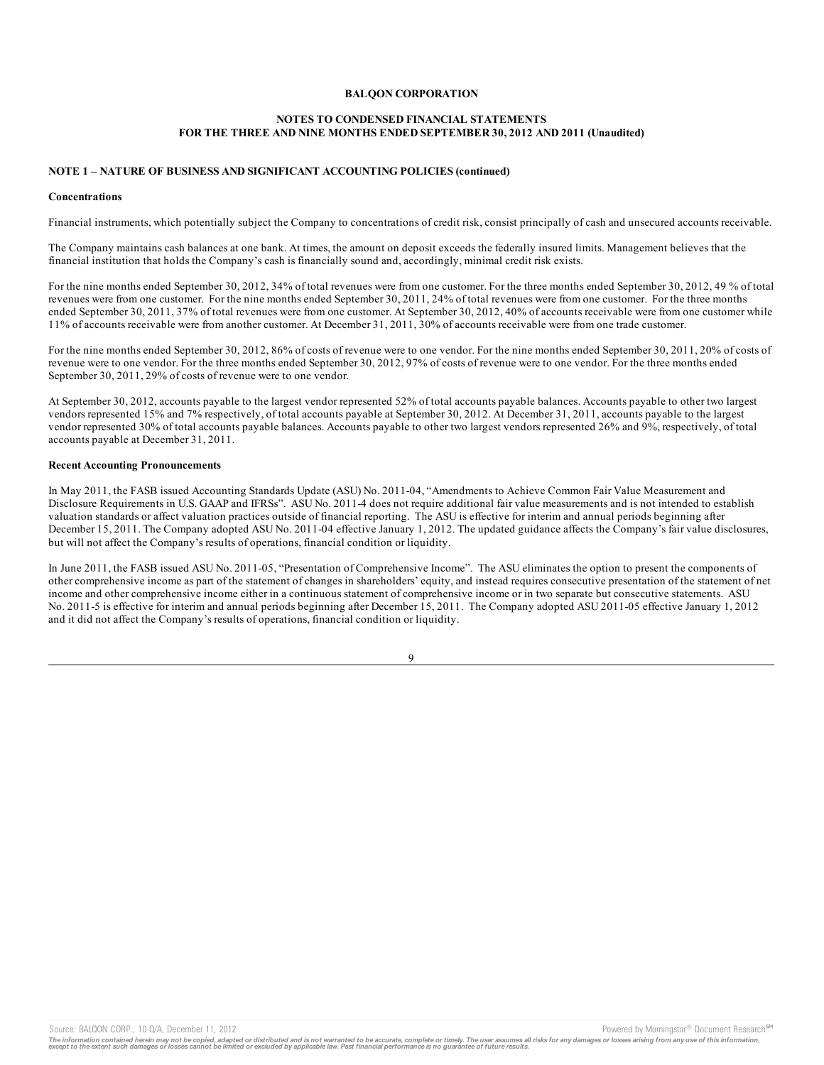#### **NOTES TO CONDENSED FINANCIAL STATEMENTS FOR THE THREE AND NINE MONTHS ENDED SEPTEMBER 30, 2012 AND 2011 (Unaudited)**

# **NOTE 1 – NATURE OF BUSINESS AND SIGNIFICANT ACCOUNTING POLICIES (continued)**

#### **Concentrations**

Financial instruments, which potentially subject the Company to concentrations of credit risk, consist principally of cash and unsecured accounts receivable.

The Company maintains cash balances at one bank. At times, the amount on deposit exceeds the federally insured limits. Management believes that the financial institution that holds the Company's cash is financially sound and, accordingly, minimal credit risk exists.

For the nine months ended September 30, 2012, 34% of total revenues were from one customer. For the three months ended September 30, 2012, 49 % of total revenues were from one customer. For the nine months ended September 30, 2011, 24% of total revenues were from one customer. For the three months ended September 30, 2011, 37% of total revenues were from one customer. At September 30, 2012, 40% of accounts receivable were from one customer while 11% of accounts receivable were from another customer. At December 31, 2011, 30% of accounts receivable were from one trade customer.

For the nine months ended September 30, 2012, 86% of costs of revenue were to one vendor. For the nine months ended September 30, 2011, 20% of costs of revenue were to one vendor. For the three months ended September 30, 2012, 97% of costs of revenue were to one vendor. For the three months ended September 30, 2011, 29% of costs of revenue were to one vendor.

At September 30, 2012, accounts payable to the largest vendor represented 52% of total accounts payable balances. Accounts payable to other two largest vendors represented 15% and 7% respectively, of total accounts payable at September 30, 2012. At December 31, 2011, accounts payable to the largest vendor represented 30% of total accounts payable balances. Accounts payable to other two largest vendors represented 26% and 9%, respectively, of total accounts payable at December 31, 2011.

### **Recent Accounting Pronouncements**

In May 2011, the FASB issued Accounting Standards Update (ASU) No. 2011-04, "Amendments to Achieve Common Fair Value Measurement and Disclosure Requirements in U.S. GAAP and IFRSs". ASU No. 2011-4 does not require additional fair value measurements and is not intended to establish valuation standards or affect valuation practices outside of financial reporting. The ASU is effective for interim and annual periods beginning after December 15, 2011. The Company adopted ASU No. 2011-04 effective January 1, 2012. The updated guidance affects the Company's fair value disclosures, but will not affect the Company's results of operations, financial condition or liquidity.

In June 2011, the FASB issued ASU No. 2011-05, "Presentation of Comprehensive Income". The ASU eliminates the option to present the components of other comprehensive income as part of the statement of changes in shareholders' equity, and instead requires consecutive presentation of the statement of net income and other comprehensive income either in a continuous statement of comprehensive income or in two separate but consecutive statements. ASU No. 2011-5 is effective for interim and annual periods beginning after December 15, 2011. The Company adopted ASU 2011-05 effective January 1, 2012 and it did not affect the Company's results of operations, financial condition or liquidity.

 $\alpha$ 

The information contained herein may not be copied, adapted or distributed and is not warranted to be accurate, complete or timely. The user assumes all risks for any damages or losses arising from any use of this informat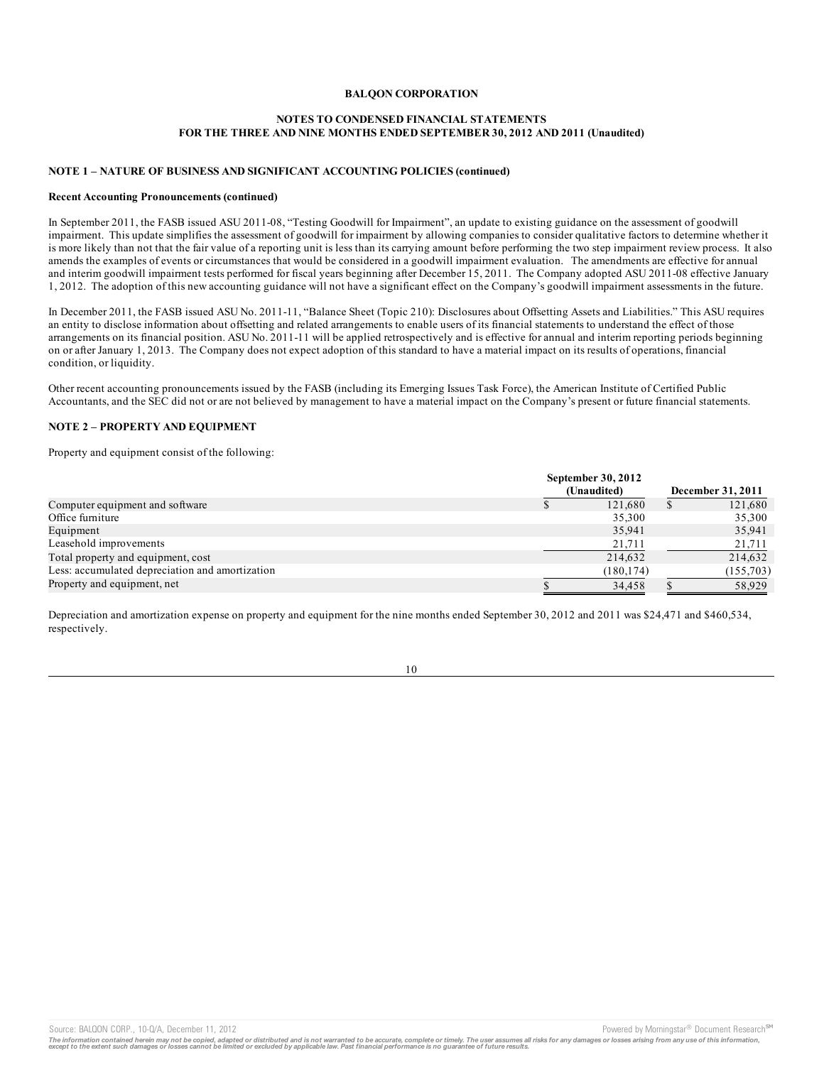### **NOTES TO CONDENSED FINANCIAL STATEMENTS FOR THE THREE AND NINE MONTHS ENDED SEPTEMBER 30, 2012 AND 2011 (Unaudited)**

### **NOTE 1 – NATURE OF BUSINESS AND SIGNIFICANT ACCOUNTING POLICIES (continued)**

#### **Recent Accounting Pronouncements (continued)**

In September 2011, the FASB issued ASU 2011-08, "Testing Goodwill for Impairment", an update to existing guidance on the assessment of goodwill impairment. This update simplifies the assessment of goodwill for impairment by allowing companies to consider qualitative factors to determine whether it is more likely than not that the fair value of a reporting unit is less than its carrying amount before performing the two step impairment review process. It also amends the examples of events or circumstances that would be considered in a goodwill impairment evaluation. The amendments are effective for annual and interim goodwill impairment tests performed for fiscal years beginning after December 15, 2011. The Company adopted ASU 2011-08 effective January 1, 2012. The adoption of this new accounting guidance will not have a significant effect on the Company's goodwill impairment assessments in the future.

In December 2011, the FASB issued ASU No. 2011-11, "Balance Sheet (Topic 210): Disclosures about Offsetting Assets and Liabilities." This ASU requires an entity to disclose information about offsetting and related arrangements to enable users of its financial statements to understand the effect of those arrangements on its financial position. ASU No. 2011-11 will be applied retrospectively and is effective for annual and interim reporting periods beginning on or after January 1, 2013. The Company does not expect adoption of this standard to have a material impact on its results of operations, financial condition, or liquidity.

Other recent accounting pronouncements issued by the FASB (including its Emerging Issues Task Force), the American Institute of Certified Public Accountants, and the SEC did not or are not believed by management to have a material impact on the Company's present or future financial statements.

### **NOTE 2 – PROPERTY AND EQUIPMENT**

Property and equipment consist of the following:

|                                                 | September 30, 2012 |                   |  |           |
|-------------------------------------------------|--------------------|-------------------|--|-----------|
|                                                 |                    | December 31, 2011 |  |           |
| Computer equipment and software                 |                    | 121.680           |  | 121,680   |
| Office furniture                                |                    | 35,300            |  | 35,300    |
| Equipment                                       |                    | 35.941            |  | 35,941    |
| Leasehold improvements                          |                    | 21,711            |  | 21,711    |
| Total property and equipment, cost              |                    | 214,632           |  | 214,632   |
| Less: accumulated depreciation and amortization |                    | (180, 174)        |  | (155,703) |
| Property and equipment, net                     |                    | 34,458            |  | 58,929    |

Depreciation and amortization expense on property and equipment for the nine months ended September 30, 2012 and 2011 was \$24,471 and \$460,534, respectively.

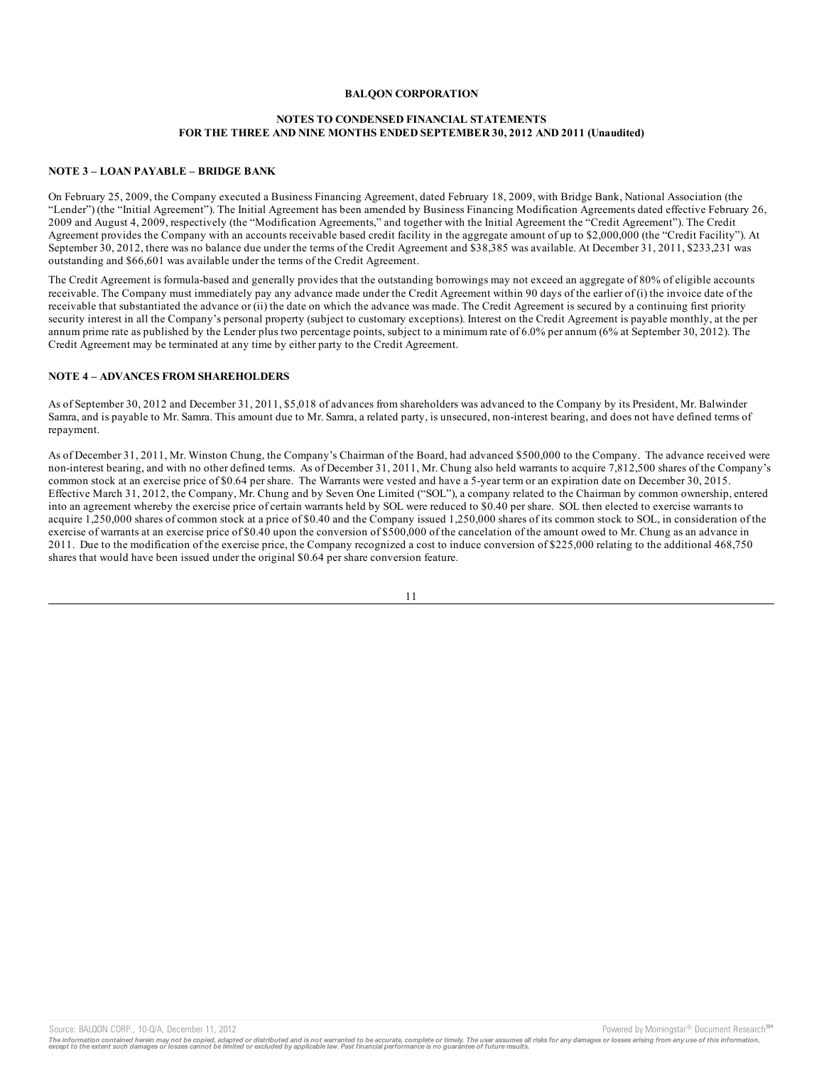### **NOTES TO CONDENSED FINANCIAL STATEMENTS FOR THE THREE AND NINE MONTHS ENDED SEPTEMBER 30, 2012 AND 2011 (Unaudited)**

#### **NOTE 3 – LOAN PAYABLE – BRIDGE BANK**

On February 25, 2009, the Company executed a Business Financing Agreement, dated February 18, 2009, with Bridge Bank, National Association (the "Lender") (the "Initial Agreement"). The Initial Agreement has been amended by Business Financing Modification Agreements dated effective February 26, 2009 and August 4, 2009, respectively (the "Modification Agreements," and together with the Initial Agreement the "Credit Agreement"). The Credit Agreement provides the Company with an accounts receivable based credit facility in the aggregate amount of up to \$2,000,000 (the "Credit Facility"). At September 30, 2012, there was no balance due under the terms of the Credit Agreement and \$38,385 was available. At December 31, 2011, \$233,231 was outstanding and \$66,601 was available under the terms of the Credit Agreement.

The Credit Agreement is formula-based and generally provides that the outstanding borrowings may not exceed an aggregate of 80% of eligible accounts receivable. The Company must immediately pay any advance made under the Credit Agreement within 90 days of the earlier of (i) the invoice date of the receivable that substantiated the advance or (ii) the date on which the advance was made. The Credit Agreement is secured by a continuing first priority security interest in all the Company's personal property (subject to customary exceptions). Interest on the Credit Agreement is payable monthly, at the per annum prime rate as published by the Lender plus two percentage points, subject to a minimum rate of 6.0% per annum (6% at September 30, 2012). The Credit Agreement may be terminated at any time by either party to the Credit Agreement.

### **NOTE 4 – ADVANCES FROM SHAREHOLDERS**

As of September 30, 2012 and December 31, 2011, \$5,018 of advances from shareholders was advanced to the Company by its President, Mr. Balwinder Samra, and is payable to Mr. Samra. This amount due to Mr. Samra, a related party, is unsecured, non-interest bearing, and does not have defined terms of repayment.

As of December 31, 2011, Mr. Winston Chung, the Company's Chairman of the Board, had advanced \$500,000 to the Company. The advance received were non-interest bearing, and with no other defined terms. As of December 31, 2011, Mr. Chung also held warrants to acquire 7,812,500 shares of the Company's common stock at an exercise price of \$0.64 per share. The Warrants were vested and have a 5-year term or an expiration date on December 30, 2015. Effective March 31, 2012, the Company, Mr. Chung and by Seven One Limited ("SOL"), a company related to the Chairman by common ownership, entered into an agreement whereby the exercise price of certain warrants held by SOL were reduced to \$0.40 per share. SOL then elected to exercise warrants to acquire 1,250,000 shares of common stock at a price of \$0.40 and the Company issued 1,250,000 shares of its common stock to SOL, in consideration of the exercise of warrants at an exercise price of \$0.40 upon the conversion of \$500,000 of the cancelation of the amount owed to Mr. Chung as an advance in 2011. Due to the modification of the exercise price, the Company recognized a cost to induce conversion of \$225,000 relating to the additional 468,750 shares that would have been issued under the original \$0.64 per share conversion feature.



The information contained herein may not be copied, adapted or distributed and is not warranted to be accurate, complete or timely. The user assumes all risks for any damages or losses arising from any use of this informat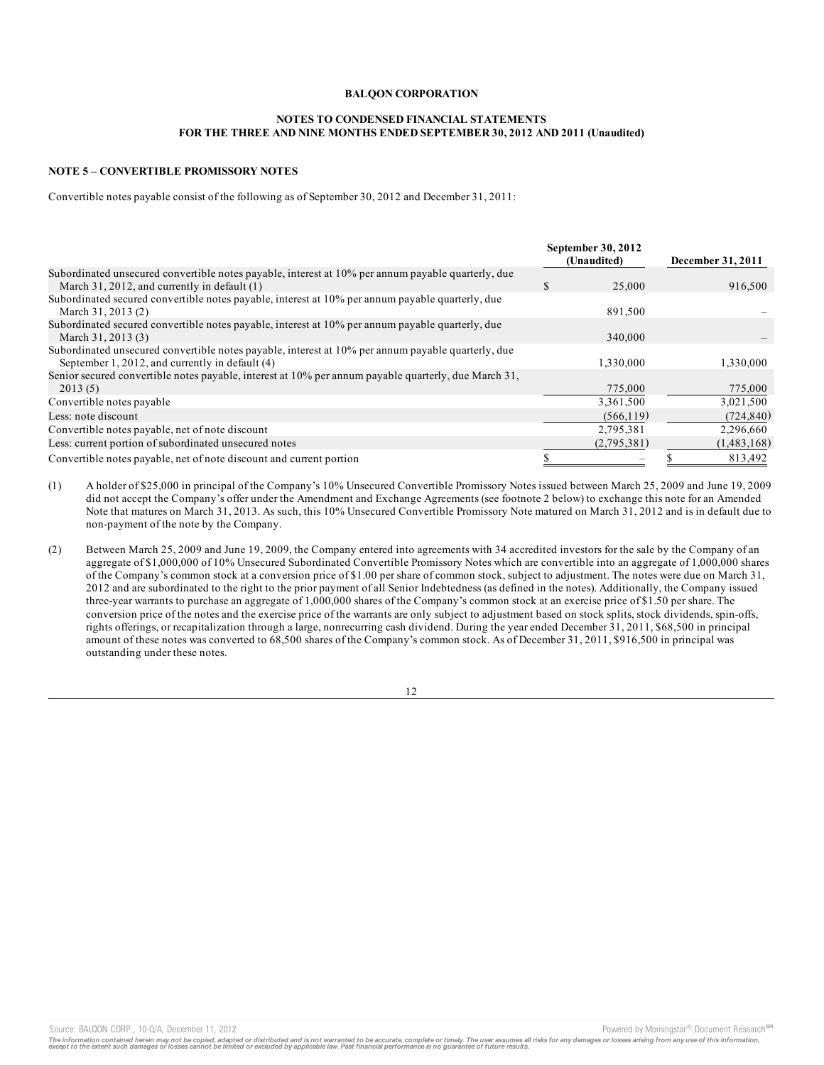### **NOTES TO CONDENSED FINANCIAL STATEMENTS FOR THE THREE AND NINE MONTHS ENDED SEPTEMBER 30, 2012 AND 2011 (Unaudited)**

### **NOTE 5 – CONVERTIBLE PROMISSORY NOTES**

Convertible notes payable consist of the following as of September 30, 2012 and December 31, 2011:

|                                                                                                                                                       |   | September 30, 2012<br>(Unaudited) | December 31, 2011 |
|-------------------------------------------------------------------------------------------------------------------------------------------------------|---|-----------------------------------|-------------------|
| Subordinated unsecured convertible notes payable, interest at 10% per annum payable quarterly, due<br>March 31, 2012, and currently in default (1)    | S | 25,000                            | 916,500           |
| Subordinated secured convertible notes payable, interest at 10% per annum payable quarterly, due<br>March 31, 2013 (2)                                |   | 891,500                           |                   |
| Subordinated secured convertible notes payable, interest at 10% per annum payable quarterly, due<br>March 31, 2013 (3)                                |   | 340,000                           |                   |
| Subordinated unsecured convertible notes payable, interest at 10% per annum payable quarterly, due<br>September 1, 2012, and currently in default (4) |   | 1,330,000                         | 1,330,000         |
| Senior secured convertible notes payable, interest at 10% per annum payable quarterly, due March 31,<br>2013(5)                                       |   | 775,000                           | 775,000           |
| Convertible notes payable                                                                                                                             |   | 3,361,500                         | 3,021,500         |
| Less: note discount                                                                                                                                   |   | (566, 119)                        | (724, 840)        |
| Convertible notes payable, net of note discount                                                                                                       |   | 2,795,381                         | 2,296,660         |
| Less: current portion of subordinated unsecured notes                                                                                                 |   | (2,795,381)                       | (1,483,168)       |
| Convertible notes payable, net of note discount and current portion                                                                                   |   |                                   | 813,492           |

(1) A holder of \$25,000 in principal of the Company's 10% Unsecured Convertible Promissory Notes issued between March 25, 2009 and June 19, 2009 did not accept the Company's offer under the Amendment and Exchange Agreements (see footnote 2 below) to exchange this note for an Amended Note that matures on March 31, 2013. As such, this 10% Unsecured Convertible Promissory Note matured on March 31, 2012 and is in default due to non-payment of the note by the Company.

(2) Between March 25, 2009 and June 19, 2009, the Company entered into agreements with 34 accredited investors for the sale by the Company of an aggregate of \$1,000,000 of 10% Unsecured Subordinated Convertible Promissory Notes which are convertible into an aggregate of 1,000,000 shares of the Company's common stock at a conversion price of \$1.00 per share of common stock, subject to adjustment. The notes were due on March 31, 2012 and are subordinated to the right to the prior payment of all Senior Indebtedness (as defined in the notes). Additionally, the Company issued three-year warrants to purchase an aggregate of 1,000,000 shares of the Company's common stock at an exercise price of \$1.50 per share. The conversion price of the notes and the exercise price of the warrants are only subject to adjustment based on stock splits, stock dividends, spin-offs, rights offerings, or recapitalization through a large, nonrecurring cash dividend. During the year ended December 31, 2011, \$68,500 in principal amount of these notes was converted to 68,500 shares of the Company's common stock. As of December 31, 2011, \$916,500 in principal was outstanding under these notes.

Source: BALQON CORP., 10-Q/A, December 11, 2012 **Powered by Morningstar<sup>®</sup> Document Research<sup>sM</sup>** 

The information contained herein may not be copied, adapted or distributed and is not warranted to be accurate, complete or timely. The user assumes all risks for any damages or losses arising from any use of this informat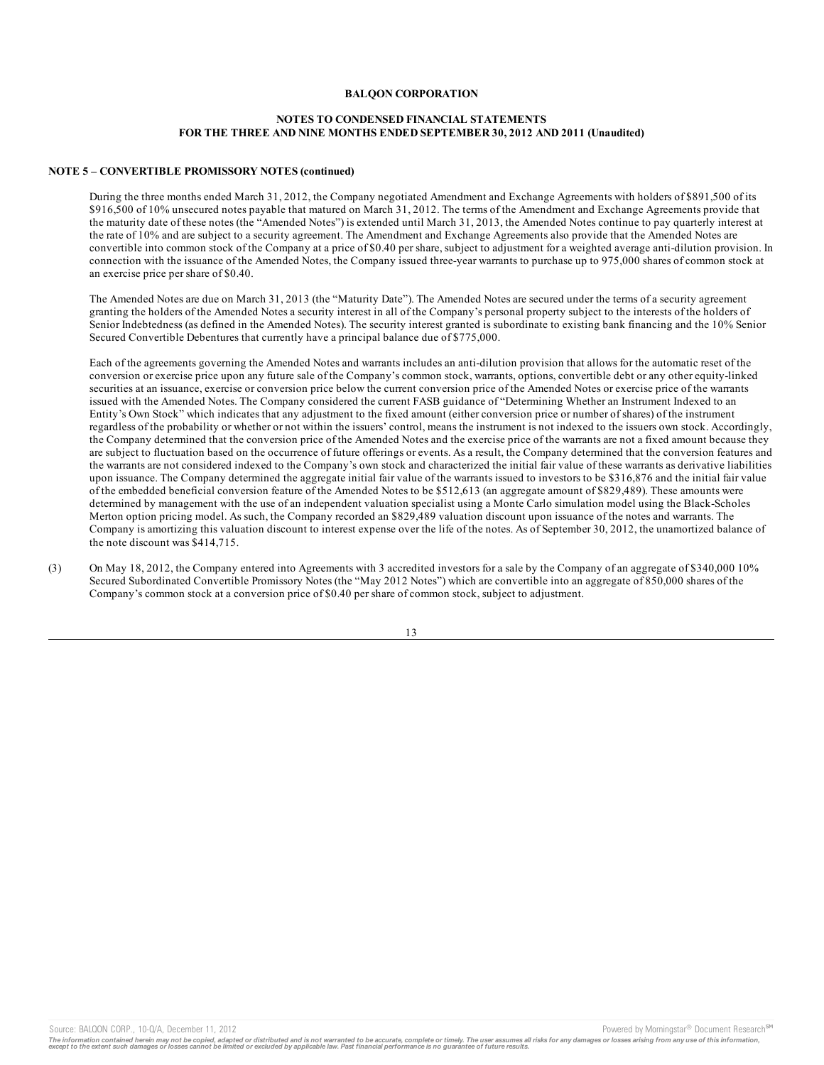# **NOTES TO CONDENSED FINANCIAL STATEMENTS FOR THE THREE AND NINE MONTHS ENDED SEPTEMBER 30, 2012 AND 2011 (Unaudited)**

### **NOTE 5 – CONVERTIBLE PROMISSORY NOTES (continued)**

During the three months ended March 31, 2012, the Company negotiated Amendment and Exchange Agreements with holders of \$891,500 of its \$916,500 of 10% unsecured notes payable that matured on March 31, 2012. The terms of the Amendment and Exchange Agreements provide that the maturity date of these notes (the "Amended Notes") is extended until March 31, 2013, the Amended Notes continue to pay quarterly interest at the rate of 10% and are subject to a security agreement. The Amendment and Exchange Agreements also provide that the Amended Notes are convertible into common stock of the Company at a price of \$0.40 per share, subject to adjustment for a weighted average anti-dilution provision. In connection with the issuance of the Amended Notes, the Company issued three-year warrants to purchase up to 975,000 shares of common stock at an exercise price per share of \$0.40.

The Amended Notes are due on March 31, 2013 (the "Maturity Date"). The Amended Notes are secured under the terms of a security agreement granting the holders of the Amended Notes a security interest in all of the Company's personal property subject to the interests of the holders of Senior Indebtedness (as defined in the Amended Notes). The security interest granted is subordinate to existing bank financing and the 10% Senior Secured Convertible Debentures that currently have a principal balance due of \$775,000.

Each of the agreements governing the Amended Notes and warrants includes an anti-dilution provision that allows for the automatic reset of the conversion or exercise price upon any future sale of the Company's common stock, warrants, options, convertible debt or any other equity-linked securities at an issuance, exercise or conversion price below the current conversion price of the Amended Notes or exercise price of the warrants issued with the Amended Notes. The Company considered the current FASB guidance of "Determining Whether an Instrument Indexed to an Entity's Own Stock" which indicates that any adjustment to the fixed amount (either conversion price or number of shares) of the instrument regardless of the probability or whether or not within the issuers' control, means the instrument is not indexed to the issuers own stock. Accordingly, the Company determined that the conversion price of the Amended Notes and the exercise price of the warrants are not a fixed amount because they are subject to fluctuation based on the occurrence of future offerings or events. As a result, the Company determined that the conversion features and the warrants are not considered indexed to the Company's own stock and characterized the initial fair value of these warrants as derivative liabilities upon issuance. The Company determined the aggregate initial fair value of the warrants issued to investors to be \$316,876 and the initial fair value of the embedded beneficial conversion feature of the Amended Notes to be \$512,613 (an aggregate amount of \$829,489). These amounts were determined by management with the use of an independent valuation specialist using a Monte Carlo simulation model using the Black-Scholes Merton option pricing model. As such, the Company recorded an \$829,489 valuation discount upon issuance of the notes and warrants. The Company is amortizing this valuation discount to interest expense over the life of the notes. As of September 30, 2012, the unamortized balance of the note discount was \$414,715.

(3) On May 18, 2012, the Company entered into Agreements with 3 accredited investors for a sale by the Company of an aggregate of \$340,000 10% Secured Subordinated Convertible Promissory Notes (the "May 2012 Notes") which are convertible into an aggregate of 850,000 shares of the Company's common stock at a conversion price of \$0.40 per share of common stock, subject to adjustment.



The information contained herein may not be copied, adapted or distributed and is not warranted to be accurate, complete or timely. The user assumes all risks for any damages or losses arising from any use of this informat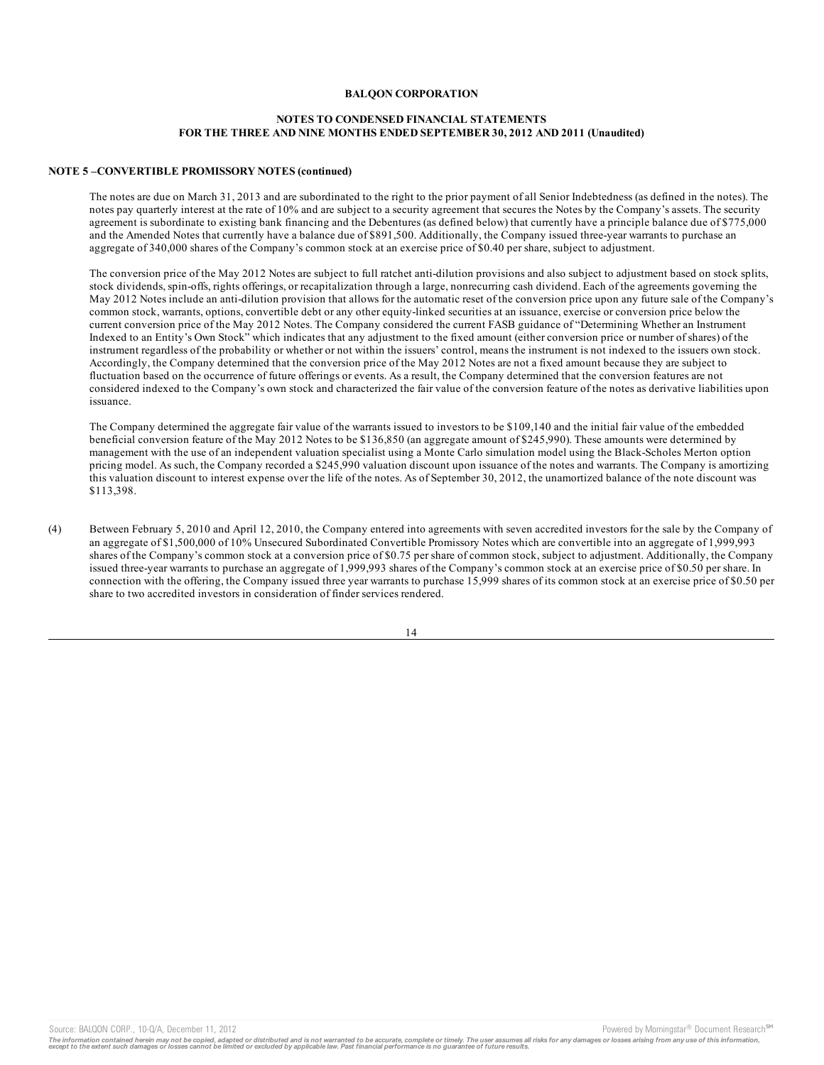### **NOTES TO CONDENSED FINANCIAL STATEMENTS FOR THE THREE AND NINE MONTHS ENDED SEPTEMBER 30, 2012 AND 2011 (Unaudited)**

### **NOTE 5 –CONVERTIBLE PROMISSORY NOTES (continued)**

The notes are due on March 31, 2013 and are subordinated to the right to the prior payment of all Senior Indebtedness (as defined in the notes). The notes pay quarterly interest at the rate of 10% and are subject to a security agreement that secures the Notes by the Company's assets. The security agreement is subordinate to existing bank financing and the Debentures (as defined below) that currently have a principle balance due of \$775,000 and the Amended Notes that currently have a balance due of \$891,500. Additionally, the Company issued three-year warrants to purchase an aggregate of 340,000 shares of the Company's common stock at an exercise price of \$0.40 per share, subject to adjustment.

The conversion price of the May 2012 Notes are subject to full ratchet anti-dilution provisions and also subject to adjustment based on stock splits, stock dividends, spin-offs, rights offerings, or recapitalization through a large, nonrecurring cash dividend. Each of the agreements governing the May 2012 Notes include an anti-dilution provision that allows for the automatic reset of the conversion price upon any future sale of the Company's common stock, warrants, options, convertible debt or any other equity-linked securities at an issuance, exercise or conversion price below the current conversion price of the May 2012 Notes. The Company considered the current FASB guidance of "Determining Whether an Instrument Indexed to an Entity's Own Stock" which indicates that any adjustment to the fixed amount (either conversion price or number of shares) of the instrument regardless of the probability or whether or not within the issuers' control, means the instrument is not indexed to the issuers own stock. Accordingly, the Company determined that the conversion price of the May 2012 Notes are not a fixed amount because they are subject to fluctuation based on the occurrence of future offerings or events. As a result, the Company determined that the conversion features are not considered indexed to the Company's own stock and characterized the fair value of the conversion feature of the notes as derivative liabilities upon issuance.

The Company determined the aggregate fair value of the warrants issued to investors to be \$109,140 and the initial fair value of the embedded beneficial conversion feature of the May 2012 Notes to be \$136,850 (an aggregate amount of \$245,990). These amounts were determined by management with the use of an independent valuation specialist using a Monte Carlo simulation model using the Black-Scholes Merton option pricing model. As such, the Company recorded a \$245,990 valuation discount upon issuance of the notes and warrants. The Company is amortizing this valuation discount to interest expense over the life of the notes. As of September 30, 2012, the unamortized balance of the note discount was \$113,398.

(4) Between February 5, 2010 and April 12, 2010, the Company entered into agreements with seven accredited investors for the sale by the Company of an aggregate of \$1,500,000 of 10% Unsecured Subordinated Convertible Promissory Notes which are convertible into an aggregate of 1,999,993 shares of the Company's common stock at a conversion price of \$0.75 per share of common stock, subject to adjustment. Additionally, the Company issued three-year warrants to purchase an aggregate of 1,999,993 shares of the Company's common stock at an exercise price of \$0.50 per share. In connection with the offering, the Company issued three year warrants to purchase 15,999 shares of its common stock at an exercise price of \$0.50 per share to two accredited investors in consideration of finder services rendered.



The information contained herein may not be copied, adapted or distributed and is not warranted to be accurate, complete or timely. The user assumes all risks for any damages or losses arising from any use of this informat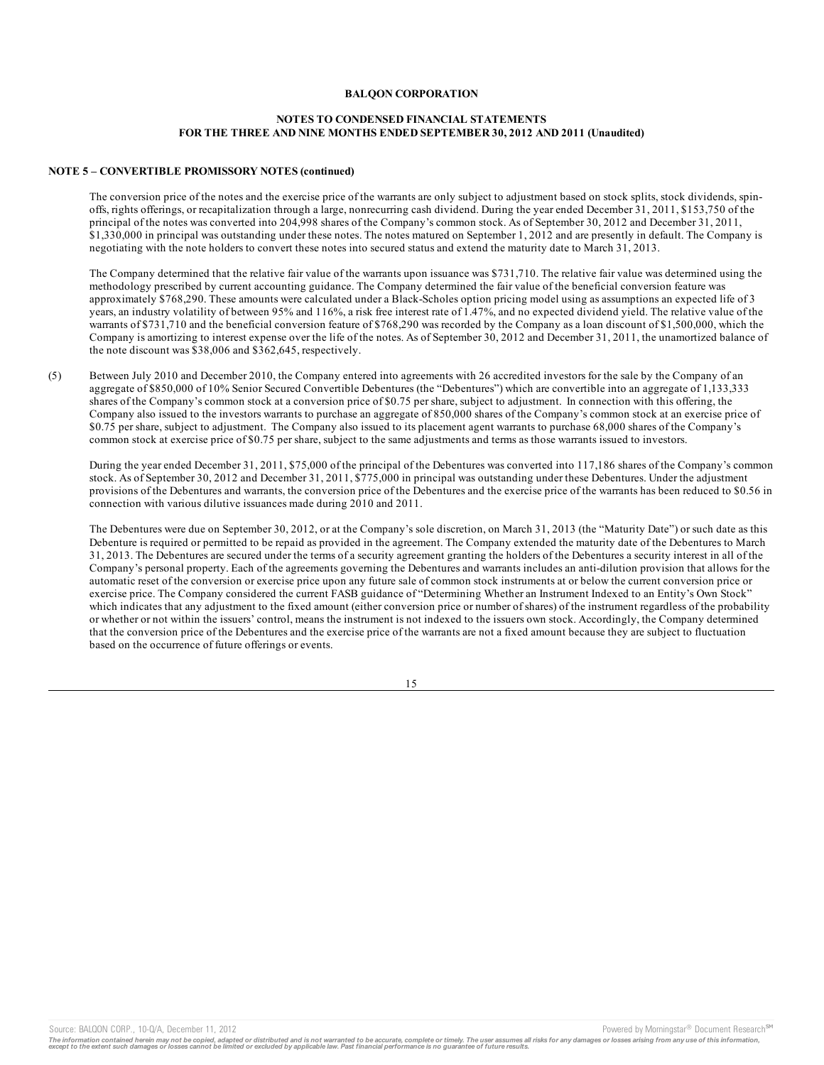### **NOTES TO CONDENSED FINANCIAL STATEMENTS FOR THE THREE AND NINE MONTHS ENDED SEPTEMBER 30, 2012 AND 2011 (Unaudited)**

### **NOTE 5 – CONVERTIBLE PROMISSORY NOTES (continued)**

The conversion price of the notes and the exercise price of the warrants are only subject to adjustment based on stock splits, stock dividends, spinoffs, rights offerings, or recapitalization through a large, nonrecurring cash dividend. During the year ended December 31, 2011, \$153,750 of the principal of the notes was converted into 204,998 shares of the Company's common stock. As of September 30, 2012 and December 31, 2011, \$1,330,000 in principal was outstanding under these notes. The notes matured on September 1, 2012 and are presently in default. The Company is negotiating with the note holders to convert these notes into secured status and extend the maturity date to March 31, 2013.

The Company determined that the relative fair value of the warrants upon issuance was \$731,710. The relative fair value was determined using the methodology prescribed by current accounting guidance. The Company determined the fair value of the beneficial conversion feature was approximately \$768,290. These amounts were calculated under a Black-Scholes option pricing model using as assumptions an expected life of 3 years, an industry volatility of between 95% and 116%, a risk free interest rate of 1.47%, and no expected dividend yield. The relative value of the warrants of \$731,710 and the beneficial conversion feature of \$768,290 was recorded by the Company as a loan discount of \$1,500,000, which the Company is amortizing to interest expense over the life of the notes. As of September 30, 2012 and December 31, 2011, the unamortized balance of the note discount was \$38,006 and \$362,645, respectively.

(5) Between July 2010 and December 2010, the Company entered into agreements with 26 accredited investors for the sale by the Company of an aggregate of \$850,000 of 10% Senior Secured Convertible Debentures (the "Debentures") which are convertible into an aggregate of 1,133,333 shares of the Company's common stock at a conversion price of \$0.75 per share, subject to adjustment. In connection with this offering, the Company also issued to the investors warrants to purchase an aggregate of 850,000 shares of the Company's common stock at an exercise price of \$0.75 per share, subject to adjustment. The Company also issued to its placement agent warrants to purchase 68,000 shares of the Company's common stock at exercise price of \$0.75 per share, subject to the same adjustments and terms as those warrants issued to investors.

During the year ended December 31, 2011, \$75,000 of the principal of the Debentures was converted into 117,186 shares of the Company's common stock. As of September 30, 2012 and December 31, 2011, \$775,000 in principal was outstanding under these Debentures. Under the adjustment provisions of the Debentures and warrants, the conversion price of the Debentures and the exercise price of the warrants has been reduced to \$0.56 in connection with various dilutive issuances made during 2010 and 2011.

The Debentures were due on September 30, 2012, or at the Company's sole discretion, on March 31, 2013 (the "Maturity Date") or such date as this Debenture is required or permitted to be repaid as provided in the agreement. The Company extended the maturity date of the Debentures to March 31, 2013. The Debentures are secured under the terms of a security agreement granting the holders of the Debentures a security interest in all of the Company's personal property. Each of the agreements governing the Debentures and warrants includes an anti-dilution provision that allows for the automatic reset of the conversion or exercise price upon any future sale of common stock instruments at or below the current conversion price or exercise price. The Company considered the current FASB guidance of "Determining Whether an Instrument Indexed to an Entity's Own Stock" which indicates that any adjustment to the fixed amount (either conversion price or number of shares) of the instrument regardless of the probability or whether or not within the issuers' control, means the instrument is not indexed to the issuers own stock. Accordingly, the Company determined that the conversion price of the Debentures and the exercise price of the warrants are not a fixed amount because they are subject to fluctuation based on the occurrence of future offerings or events.



The information contained herein may not be copied, adapted or distributed and is not warranted to be accurate, complete or timely. The user assumes all risks for any damages or losses arising from any use of this informat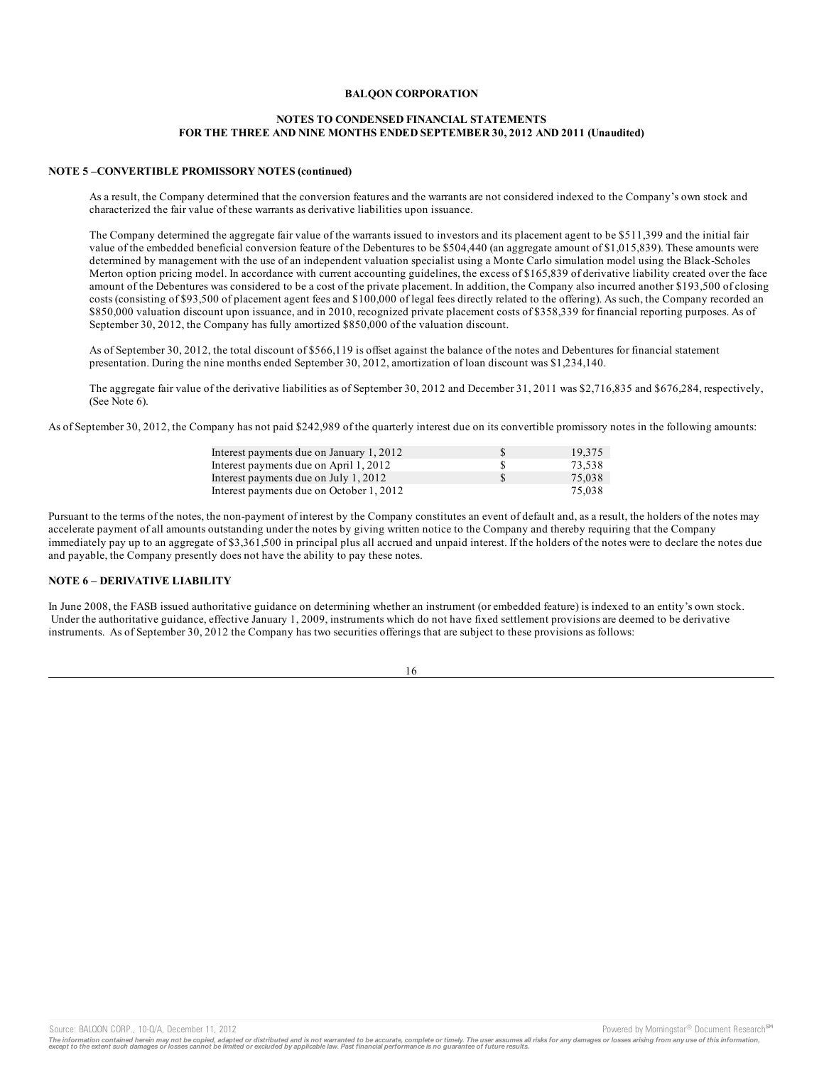### **NOTES TO CONDENSED FINANCIAL STATEMENTS FOR THE THREE AND NINE MONTHS ENDED SEPTEMBER 30, 2012 AND 2011 (Unaudited)**

#### **NOTE 5 –CONVERTIBLE PROMISSORY NOTES (continued)**

As a result, the Company determined that the conversion features and the warrants are not considered indexed to the Company's own stock and characterized the fair value of these warrants as derivative liabilities upon issuance.

The Company determined the aggregate fair value of the warrants issued to investors and its placement agent to be \$511,399 and the initial fair value of the embedded beneficial conversion feature of the Debentures to be \$504,440 (an aggregate amount of \$1,015,839). These amounts were determined by management with the use of an independent valuation specialist using a Monte Carlo simulation model using the Black-Scholes Merton option pricing model. In accordance with current accounting guidelines, the excess of \$165,839 of derivative liability created over the face amount of the Debentures was considered to be a cost of the private placement. In addition, the Company also incurred another \$193,500 of closing costs (consisting of \$93,500 of placement agent fees and \$100,000 of legal fees directly related to the offering). As such, the Company recorded an \$850,000 valuation discount upon issuance, and in 2010, recognized private placement costs of \$358,339 for financial reporting purposes. As of September 30, 2012, the Company has fully amortized \$850,000 of the valuation discount.

As of September 30, 2012, the total discount of \$566,119 is offset against the balance of the notes and Debentures for financial statement presentation. During the nine months ended September 30, 2012, amortization of loan discount was \$1,234,140.

The aggregate fair value of the derivative liabilities as of September 30, 2012 and December 31, 2011 was \$2,716,835 and \$676,284, respectively, (See Note 6).

As of September 30, 2012, the Company has not paid \$242,989 of the quarterly interest due on its convertible promissory notes in the following amounts:

| Interest payments due on January 1, 2012 |    | 19.375 |
|------------------------------------------|----|--------|
| Interest payments due on April 1, 2012   |    | 73.538 |
| Interest payments due on July 1, 2012    | -S | 75.038 |
| Interest payments due on October 1, 2012 |    | 75,038 |

Pursuant to the terms of the notes, the non-payment of interest by the Company constitutes an event of default and, as a result, the holders of the notes may accelerate payment of all amounts outstanding under the notes by giving written notice to the Company and thereby requiring that the Company immediately pay up to an aggregate of \$3,361,500 in principal plus all accrued and unpaid interest. If the holders of the notes were to declare the notes due and payable, the Company presently does not have the ability to pay these notes.

### **NOTE 6 – DERIVATIVE LIABILITY**

In June 2008, the FASB issued authoritative guidance on determining whether an instrument (or embedded feature) is indexed to an entity's own stock. Under the authoritative guidance, effective January 1, 2009, instruments which do not have fixed settlement provisions are deemed to be derivative instruments. As of September 30, 2012 the Company has two securities offerings that are subject to these provisions as follows:



Source: BALQON CORP., 10-Q/A, December 11, 2012 Powered by Morningstar® Document Research Morningstar® Document Research Morningstar® Document Research Morningstar® Document Research Morningstar 2012

The information contained herein may not be copied, adapted or distributed and is not warranted to be accurate, complete or timely. The user assumes all risks for any damages or losses arising from any use of this informat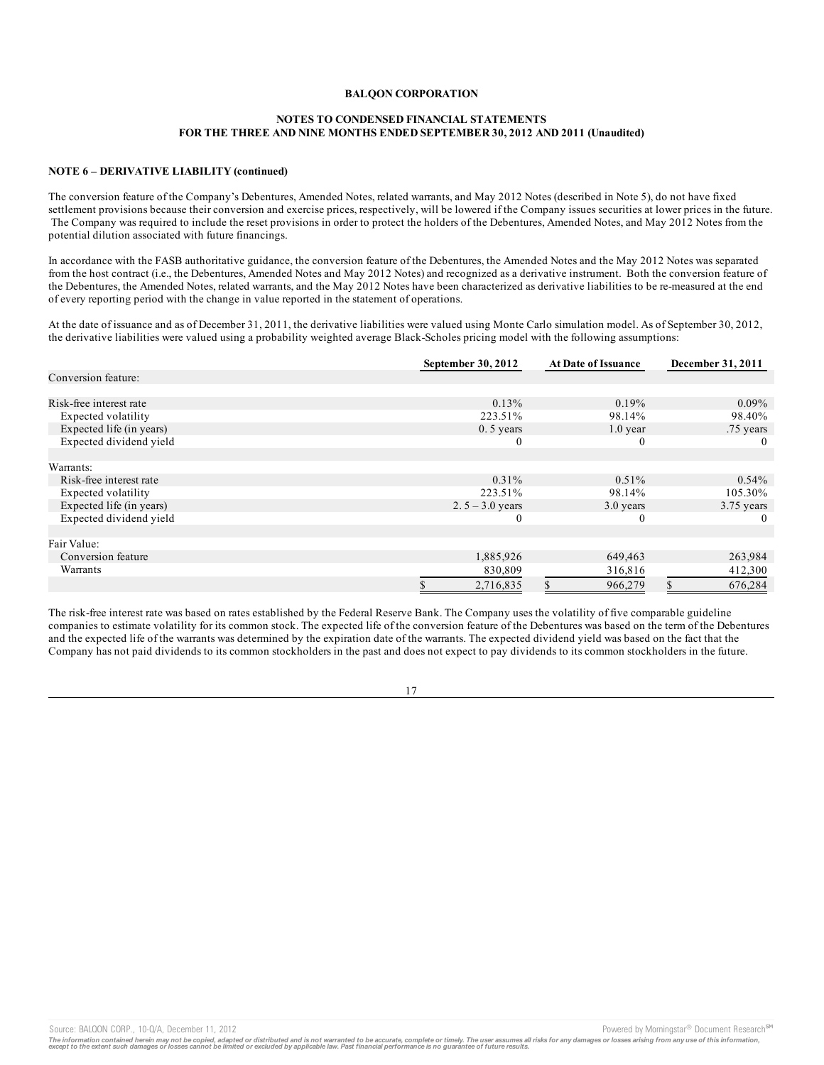### **NOTES TO CONDENSED FINANCIAL STATEMENTS FOR THE THREE AND NINE MONTHS ENDED SEPTEMBER 30, 2012 AND 2011 (Unaudited)**

#### **NOTE 6 – DERIVATIVE LIABILITY (continued)**

The conversion feature of the Company's Debentures, Amended Notes, related warrants, and May 2012 Notes (described in Note 5), do not have fixed settlement provisions because their conversion and exercise prices, respectively, will be lowered if the Company issues securities at lower prices in the future. The Company was required to include the reset provisions in order to protect the holders of the Debentures, Amended Notes, and May 2012 Notes from the potential dilution associated with future financings.

In accordance with the FASB authoritative guidance, the conversion feature of the Debentures, the Amended Notes and the May 2012 Notes was separated from the host contract (i.e., the Debentures, Amended Notes and May 2012 Notes) and recognized as a derivative instrument. Both the conversion feature of the Debentures, the Amended Notes, related warrants, and the May 2012 Notes have been characterized as derivative liabilities to be re-measured at the end of every reporting period with the change in value reported in the statement of operations.

At the date of issuance and as of December 31, 2011, the derivative liabilities were valued using Monte Carlo simulation model. As of September 30, 2012, the derivative liabilities were valued using a probability weighted average Black-Scholes pricing model with the following assumptions:

|                          | September 30, 2012 | <b>At Date of Issuance</b> | December 31, 2011 |
|--------------------------|--------------------|----------------------------|-------------------|
| Conversion feature:      |                    |                            |                   |
|                          |                    |                            |                   |
| Risk-free interest rate  | $0.13\%$           | 0.19%                      | $0.09\%$          |
| Expected volatility      | 223.51%            | 98.14%                     | 98.40%            |
| Expected life (in years) | $0.5$ years        | $1.0$ year                 | .75 years         |
| Expected dividend yield  | $\boldsymbol{0}$   | $\theta$                   | $\Omega$          |
|                          |                    |                            |                   |
| Warrants:                |                    |                            |                   |
| Risk-free interest rate  | 0.31%              | $0.51\%$                   | 0.54%             |
| Expected volatility      | 223.51%            | 98.14%                     | 105.30%           |
| Expected life (in years) | $2.5 - 3.0$ years  | 3.0 years                  | 3.75 years        |
| Expected dividend yield  | $\bf{0}$           | $\boldsymbol{0}$           |                   |
|                          |                    |                            |                   |
| Fair Value:              |                    |                            |                   |
| Conversion feature       | 1,885,926          | 649,463                    | 263,984           |
| Warrants                 | 830,809            | 316,816                    | 412,300           |
|                          | 2,716,835          | 966,279                    | 676,284           |

The risk-free interest rate was based on rates established by the Federal Reserve Bank. The Company uses the volatility of five comparable guideline companies to estimate volatility for its common stock. The expected life of the conversion feature of the Debentures was based on the term of the Debentures and the expected life of the warrants was determined by the expiration date of the warrants. The expected dividend yield was based on the fact that the Company has not paid dividends to its common stockholders in the past and does not expect to pay dividends to its common stockholders in the future.

17

Source: BALQON CORP., 10-Q/A, December 11, 2012 **Powered by Morningstar® Document Research** <sup>54</sup>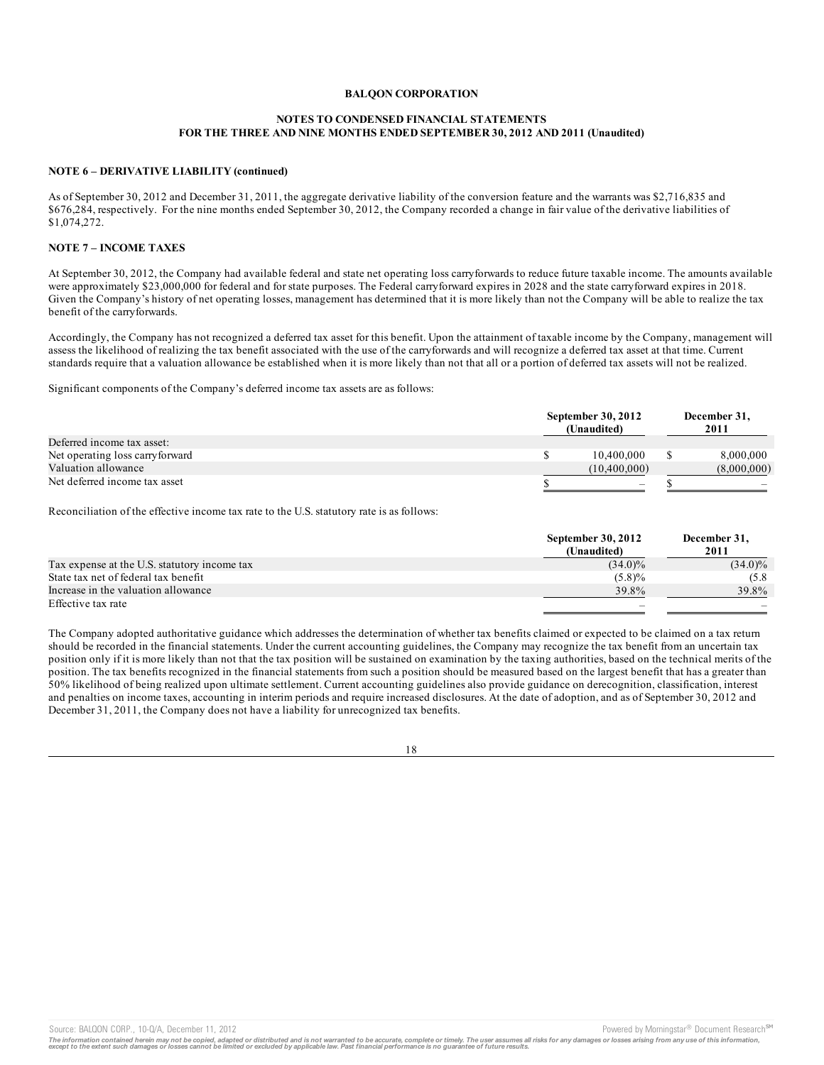### **NOTES TO CONDENSED FINANCIAL STATEMENTS FOR THE THREE AND NINE MONTHS ENDED SEPTEMBER 30, 2012 AND 2011 (Unaudited)**

### **NOTE 6 – DERIVATIVE LIABILITY (continued)**

As of September 30, 2012 and December 31, 2011, the aggregate derivative liability of the conversion feature and the warrants was \$2,716,835 and \$676,284, respectively. For the nine months ended September 30, 2012, the Company recorded a change in fair value of the derivative liabilities of \$1,074,272.

### **NOTE 7 – INCOME TAXES**

At September 30, 2012, the Company had available federal and state net operating loss carryforwards to reduce future taxable income. The amounts available were approximately \$23,000,000 for federal and for state purposes. The Federal carryforward expires in 2028 and the state carryforward expires in 2018. Given the Company's history of net operating losses, management has determined that it is more likely than not the Company will be able to realize the tax benefit of the carryforwards.

Accordingly, the Company has not recognized a deferred tax asset for this benefit. Upon the attainment of taxable income by the Company, management will assess the likelihood of realizing the tax benefit associated with the use of the carryforwards and will recognize a deferred tax asset at that time. Current standards require that a valuation allowance be established when it is more likely than not that all or a portion of deferred tax assets will not be realized.

Significant components of the Company's deferred income tax assets are as follows:

|                                  | September 30, 2012<br>(Unaudited) | December 31,<br>2011     |  |             |
|----------------------------------|-----------------------------------|--------------------------|--|-------------|
| Deferred income tax asset:       |                                   |                          |  |             |
| Net operating loss carry forward |                                   | 10.400.000               |  | 8,000,000   |
| Valuation allowance              |                                   | (10.400.000)             |  | (8,000,000) |
| Net deferred income tax asset    |                                   | $\overline{\phantom{0}}$ |  |             |

Reconciliation of the effective income tax rate to the U.S. statutory rate is as follows:

|                                              | <b>September 30, 2012</b><br>(Unaudited) | December 31,<br>2011 |
|----------------------------------------------|------------------------------------------|----------------------|
| Tax expense at the U.S. statutory income tax | $(34.0)\%$                               | $(34.0)\%$           |
| State tax net of federal tax benefit         | $(5.8)\%$                                | (5.8)                |
| Increase in the valuation allowance          | 39.8%                                    | 39.8%                |
| Effective tax rate                           | $\overline{\phantom{0}}$                 |                      |

The Company adopted authoritative guidance which addresses the determination of whether tax benefits claimed or expected to be claimed on a tax return should be recorded in the financial statements. Under the current accounting guidelines, the Company may recognize the tax benefit from an uncertain tax position only if it is more likely than not that the tax position will be sustained on examination by the taxing authorities, based on the technical merits of the position. The tax benefits recognized in the financial statements from such a position should be measured based on the largest benefit that has a greater than 50% likelihood of being realized upon ultimate settlement. Current accounting guidelines also provide guidance on derecognition, classification, interest and penalties on income taxes, accounting in interim periods and require increased disclosures. At the date of adoption, and as of September 30, 2012 and December 31, 2011, the Company does not have a liability for unrecognized tax benefits.

Source: BALQON CORP., 10-Q/A, December 11, 2012 **Powered by Morningstar<sup>®</sup> Document Research<sup>sM</sup>** 

The information contained herein may not be copied, adapted or distributed and is not warranted to be accurate, complete or timely. The user assumes all risks for any damages or losses arising from any use of this informat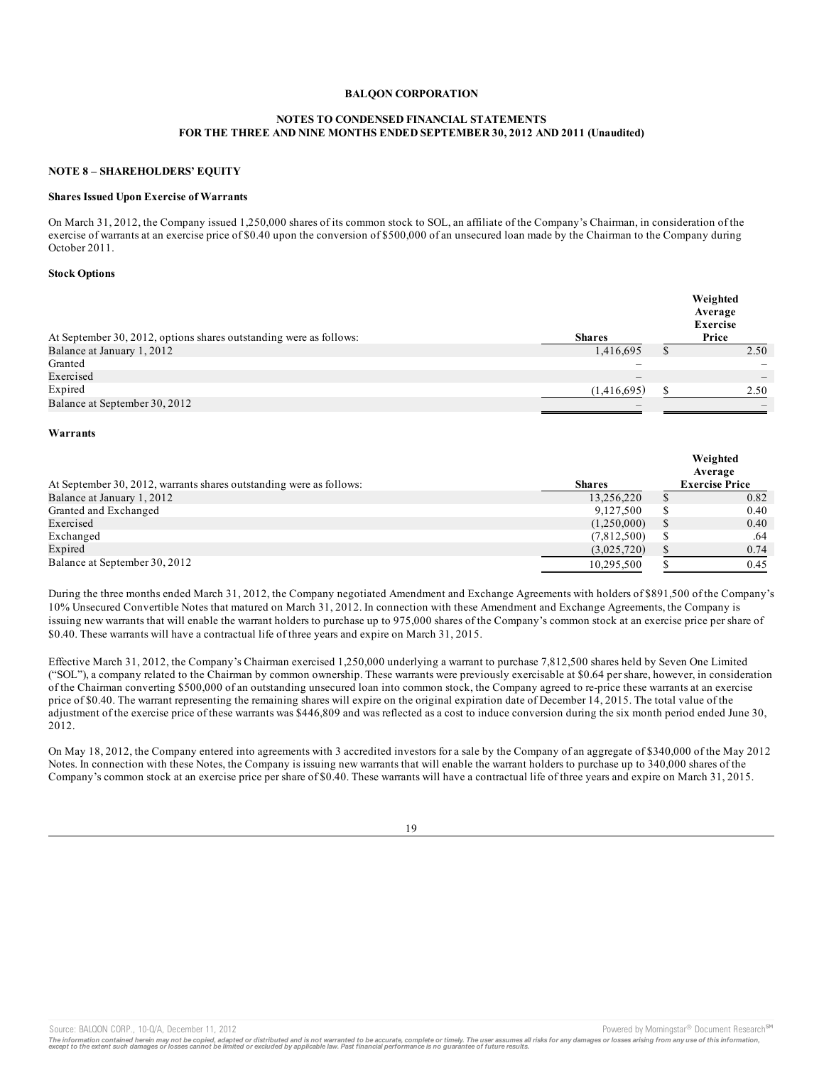#### **NOTES TO CONDENSED FINANCIAL STATEMENTS FOR THE THREE AND NINE MONTHS ENDED SEPTEMBER 30, 2012 AND 2011 (Unaudited)**

#### **NOTE 8 – SHAREHOLDERS' EQUITY**

# **Shares Issued Upon Exercise of Warrants**

On March 31, 2012, the Company issued 1,250,000 shares of its common stock to SOL, an affiliate of the Company's Chairman, in consideration of the exercise of warrants at an exercise price of \$0.40 upon the conversion of \$500,000 of an unsecured loan made by the Chairman to the Company during October 2011.

### **Stock Options**

| At September 30, 2012, options shares outstanding were as follows: | <b>Shares</b>            | Weighted<br>Average<br><b>Exercise</b><br>Price |
|--------------------------------------------------------------------|--------------------------|-------------------------------------------------|
| Balance at January 1, 2012                                         | 1,416,695                | 2.50                                            |
| Granted                                                            | $\overline{\phantom{0}}$ |                                                 |
| Exercised                                                          |                          |                                                 |
| Expired                                                            | (1,416,695)              | 2.50                                            |
| Balance at September 30, 2012                                      |                          |                                                 |

#### **Warrants**

|                                                                     |               | Weighted<br>Average   |
|---------------------------------------------------------------------|---------------|-----------------------|
| At September 30, 2012, warrants shares outstanding were as follows: | <b>Shares</b> | <b>Exercise Price</b> |
| Balance at January 1, 2012                                          | 13,256,220    | 0.82                  |
| Granted and Exchanged                                               | 9,127,500     | 0.40                  |
| Exercised                                                           | (1,250,000)   | 0.40                  |
| Exchanged                                                           | (7,812,500)   | .64                   |
| Expired                                                             | (3,025,720)   | 0.74                  |
| Balance at September 30, 2012                                       | 10,295,500    | 0.45                  |

During the three months ended March 31, 2012, the Company negotiated Amendment and Exchange Agreements with holders of \$891,500 of the Company's 10% Unsecured Convertible Notes that matured on March 31, 2012. In connection with these Amendment and Exchange Agreements, the Company is issuing new warrants that will enable the warrant holders to purchase up to 975,000 shares of the Company's common stock at an exercise price per share of \$0.40. These warrants will have a contractual life of three years and expire on March 31, 2015.

Effective March 31, 2012, the Company's Chairman exercised 1,250,000 underlying a warrant to purchase 7,812,500 shares held by Seven One Limited ("SOL"), a company related to the Chairman by common ownership. These warrants were previously exercisable at \$0.64 per share, however, in consideration of the Chairman converting \$500,000 of an outstanding unsecured loan into common stock, the Company agreed to re-price these warrants at an exercise price of \$0.40. The warrant representing the remaining shares will expire on the original expiration date of December 14, 2015. The total value of the adjustment of the exercise price of these warrants was \$446,809 and was reflected as a cost to induce conversion during the six month period ended June 30, 2012.

On May 18, 2012, the Company entered into agreements with 3 accredited investors for a sale by the Company of an aggregate of \$340,000 of the May 2012 Notes. In connection with these Notes, the Company is issuing new warrants that will enable the warrant holders to purchase up to 340,000 shares of the Company's common stock at an exercise price per share of \$0.40. These warrants will have a contractual life of three years and expire on March 31, 2015.

19

Source: BALQON CORP., 10-Q/A, December 11, 2012 **Powered by Morningstar<sup>®</sup> Document Research<sup>sM</sup>**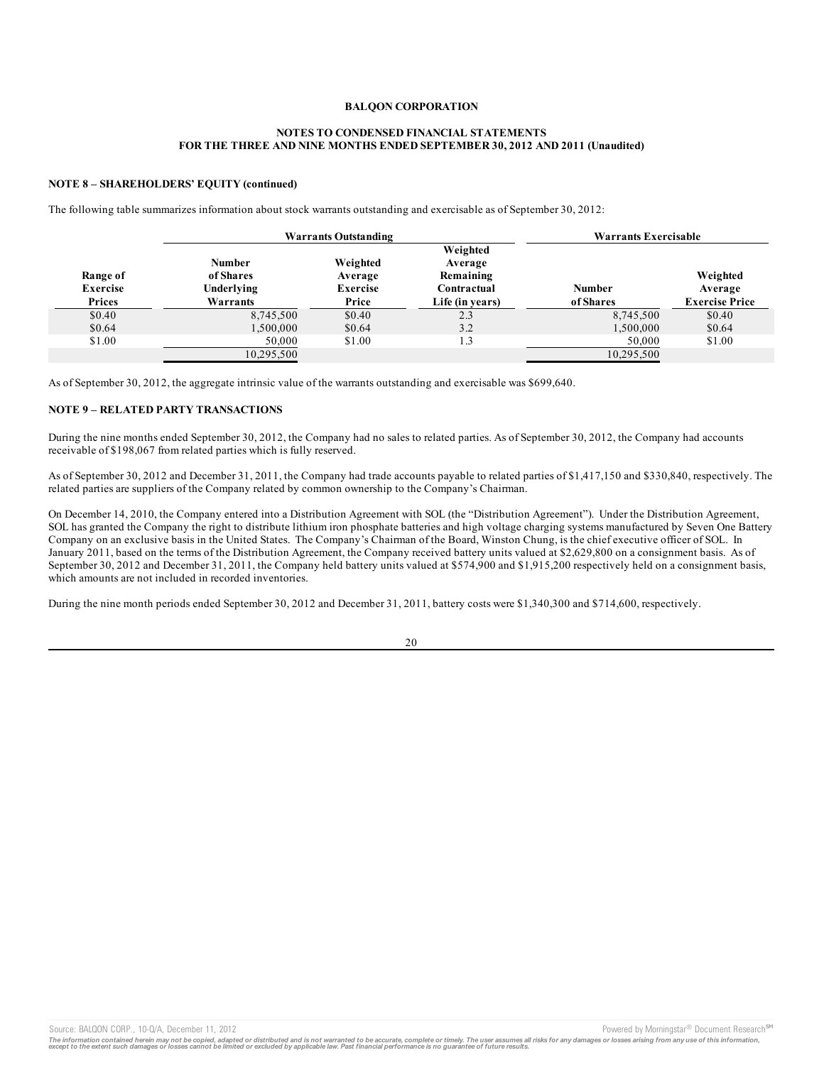## **NOTES TO CONDENSED FINANCIAL STATEMENTS FOR THE THREE AND NINE MONTHS ENDED SEPTEMBER 30, 2012 AND 2011 (Unaudited)**

### **NOTE 8 – SHAREHOLDERS' EQUITY (continued)**

The following table summarizes information about stock warrants outstanding and exercisable as of September 30, 2012:

|                                       | <b>Warrants Outstanding</b>                          | <b>Warrants Exercisable</b>              |                                                                    |                            |                                              |
|---------------------------------------|------------------------------------------------------|------------------------------------------|--------------------------------------------------------------------|----------------------------|----------------------------------------------|
| Range of<br>Exercise<br><b>Prices</b> | <b>Number</b><br>of Shares<br>Underlying<br>Warrants | Weighted<br>Average<br>Exercise<br>Price | Weighted<br>Average<br>Remaining<br>Contractual<br>Life (in years) | <b>Number</b><br>of Shares | Weighted<br>Average<br><b>Exercise Price</b> |
| \$0.40                                | 8,745,500                                            | \$0.40                                   | 2.3                                                                | 8,745,500                  | \$0.40                                       |
| \$0.64                                | 1.500.000                                            | \$0.64                                   | 3.2                                                                | 1,500,000                  | \$0.64                                       |
| \$1.00                                | 50,000                                               | \$1.00                                   | 1.3                                                                | 50,000                     | \$1.00                                       |
|                                       | 10,295,500                                           |                                          |                                                                    | 10,295,500                 |                                              |

As of September 30, 2012, the aggregate intrinsic value of the warrants outstanding and exercisable was \$699,640.

# **NOTE 9 – RELATED PARTY TRANSACTIONS**

During the nine months ended September 30, 2012, the Company had no sales to related parties. As of September 30, 2012, the Company had accounts receivable of \$198,067 from related parties which is fully reserved.

As of September 30, 2012 and December 31, 2011, the Company had trade accounts payable to related parties of \$1,417,150 and \$330,840, respectively. The related parties are suppliers of the Company related by common ownership to the Company's Chairman.

On December 14, 2010, the Company entered into a Distribution Agreement with SOL (the "Distribution Agreement"). Under the Distribution Agreement, SOL has granted the Company the right to distribute lithium iron phosphate batteries and high voltage charging systems manufactured by Seven One Battery Company on an exclusive basis in the United States. The Company's Chairman of the Board, Winston Chung, is the chief executive officer of SOL. In January 2011, based on the terms of the Distribution Agreement, the Company received battery units valued at \$2,629,800 on a consignment basis. As of September 30, 2012 and December 31, 2011, the Company held battery units valued at \$574,900 and \$1,915,200 respectively held on a consignment basis, which amounts are not included in recorded inventories.

During the nine month periods ended September 30, 2012 and December 31, 2011, battery costs were \$1,340,300 and \$714,600, respectively.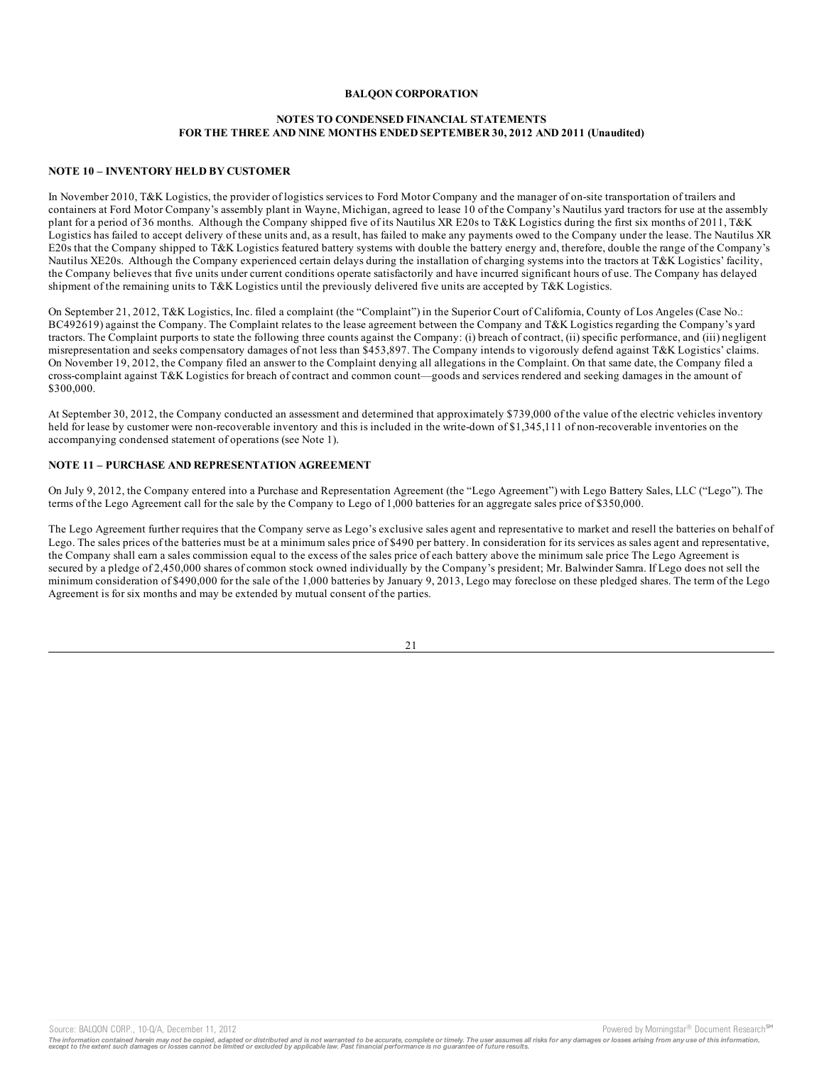### **NOTES TO CONDENSED FINANCIAL STATEMENTS FOR THE THREE AND NINE MONTHS ENDED SEPTEMBER 30, 2012 AND 2011 (Unaudited)**

### **NOTE 10 – INVENTORY HELD BY CUSTOMER**

In November 2010, T&K Logistics, the provider of logistics services to Ford Motor Company and the manager of on-site transportation of trailers and containers at Ford Motor Company's assembly plant in Wayne, Michigan, agreed to lease 10 of the Company's Nautilus yard tractors for use at the assembly plant for a period of 36 months. Although the Company shipped five of its Nautilus XR E20s to T&K Logistics during the first six months of 2011, T&K Logistics has failed to accept delivery of these units and, as a result, has failed to make any payments owed to the Company under the lease. The Nautilus XR E20s that the Company shipped to T&K Logistics featured battery systems with double the battery energy and, therefore, double the range of the Company's Nautilus XE20s. Although the Company experienced certain delays during the installation of charging systems into the tractors at T&K Logistics' facility, the Company believes that five units under current conditions operate satisfactorily and have incurred significant hours of use. The Company has delayed shipment of the remaining units to T&K Logistics until the previously delivered five units are accepted by T&K Logistics.

On September 21, 2012, T&K Logistics, Inc. filed a complaint (the "Complaint") in the Superior Court of California, County of Los Angeles (Case No.: BC492619) against the Company. The Complaint relates to the lease agreement between the Company and T&K Logistics regarding the Company's yard tractors. The Complaint purports to state the following three counts against the Company: (i) breach of contract, (ii) specific performance, and (iii) negligent misrepresentation and seeks compensatory damages of not less than \$453,897. The Company intends to vigorously defend against T&K Logistics' claims. On November 19, 2012, the Company filed an answer to the Complaint denying all allegations in the Complaint. On that same date, the Company filed a cross-complaint against T&K Logistics for breach of contract and common count—goods and services rendered and seeking damages in the amount of \$300,000.

At September 30, 2012, the Company conducted an assessment and determined that approximately \$739,000 of the value of the electric vehicles inventory held for lease by customer were non-recoverable inventory and this is included in the write-down of \$1,345,111 of non-recoverable inventories on the accompanying condensed statement of operations (see Note 1).

### **NOTE 11 – PURCHASE AND REPRESENTATION AGREEMENT**

On July 9, 2012, the Company entered into a Purchase and Representation Agreement (the "Lego Agreement") with Lego Battery Sales, LLC ("Lego"). The terms of the Lego Agreement call for the sale by the Company to Lego of 1,000 batteries for an aggregate sales price of \$350,000.

The Lego Agreement further requires that the Company serve as Lego's exclusive sales agent and representative to market and resell the batteries on behalf of Lego. The sales prices of the batteries must be at a minimum sales price of \$490 per battery. In consideration for its services as sales agent and representative, the Company shall earn a sales commission equal to the excess of the sales price of each battery above the minimum sale price The Lego Agreement is secured by a pledge of 2,450,000 shares of common stock owned individually by the Company's president; Mr. Balwinder Samra. If Lego does not sell the minimum consideration of \$490,000 for the sale of the 1,000 batteries by January 9, 2013, Lego may foreclose on these pledged shares. The term of the Lego Agreement is for six months and may be extended by mutual consent of the parties.

21

The information contained herein may not be copied, adapted or distributed and is not warranted to be accurate, complete or timely. The user assumes all risks for any damages or losses arising from any use of this informat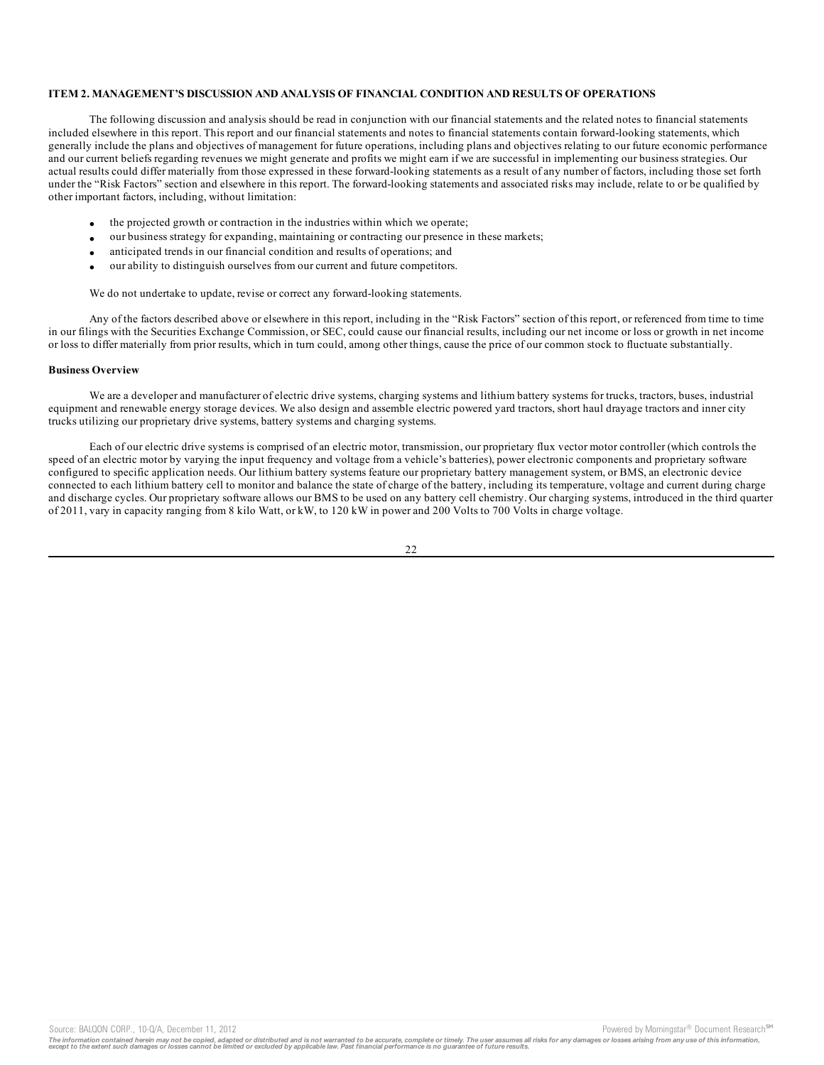### **ITEM 2. MANAGEMENT'S DISCUSSION AND ANALYSIS OF FINANCIAL CONDITION AND RESULTS OF OPERATIONS**

The following discussion and analysis should be read in conjunction with our financial statements and the related notes to financial statements included elsewhere in this report. This report and our financial statements and notes to financial statements contain forward-looking statements, which generally include the plans and objectives of management for future operations, including plans and objectives relating to our future economic performance and our current beliefs regarding revenues we might generate and profits we might earn if we are successful in implementing our business strategies. Our actual results could differ materially from those expressed in these forward-looking statements as a result of any number of factors, including those set forth under the "Risk Factors" section and elsewhere in this report. The forward-looking statements and associated risks may include, relate to or be qualified by other important factors, including, without limitation:

- the projected growth or contraction in the industries within which we operate;
- our business strategy for expanding, maintaining or contracting our presence in these markets;
- anticipated trends in our financial condition and results of operations; and
- our ability to distinguish ourselves from our current and future competitors.

We do not undertake to update, revise or correct any forward-looking statements.

Any of the factors described above or elsewhere in this report, including in the "Risk Factors" section of this report, or referenced from time to time in our filings with the Securities Exchange Commission, or SEC, could cause our financial results, including our net income or loss or growth in net income or loss to differ materially from prior results, which in turn could, among other things, cause the price of our common stock to fluctuate substantially.

### **Business Overview**

We are a developer and manufacturer of electric drive systems, charging systems and lithium battery systems for trucks, tractors, buses, industrial equipment and renewable energy storage devices. We also design and assemble electric powered yard tractors, short haul drayage tractors and inner city trucks utilizing our proprietary drive systems, battery systems and charging systems.

Each of our electric drive systems is comprised of an electric motor, transmission, our proprietary flux vector motor controller (which controls the speed of an electric motor by varying the input frequency and voltage from a vehicle's batteries), power electronic components and proprietary software configured to specific application needs. Our lithium battery systems feature our proprietary battery management system, or BMS, an electronic device connected to each lithium battery cell to monitor and balance the state of charge of the battery, including its temperature, voltage and current during charge and discharge cycles. Our proprietary software allows our BMS to be used on any battery cell chemistry. Our charging systems, introduced in the third quarter of 2011, vary in capacity ranging from 8 kilo Watt, or kW, to 120 kW in power and 200 Volts to 700 Volts in charge voltage.

The information contained herein may not be copied, adapted or distributed and is not warranted to be accurate, complete or timely. The user assumes all risks for any damages or losses arising from any use of this informat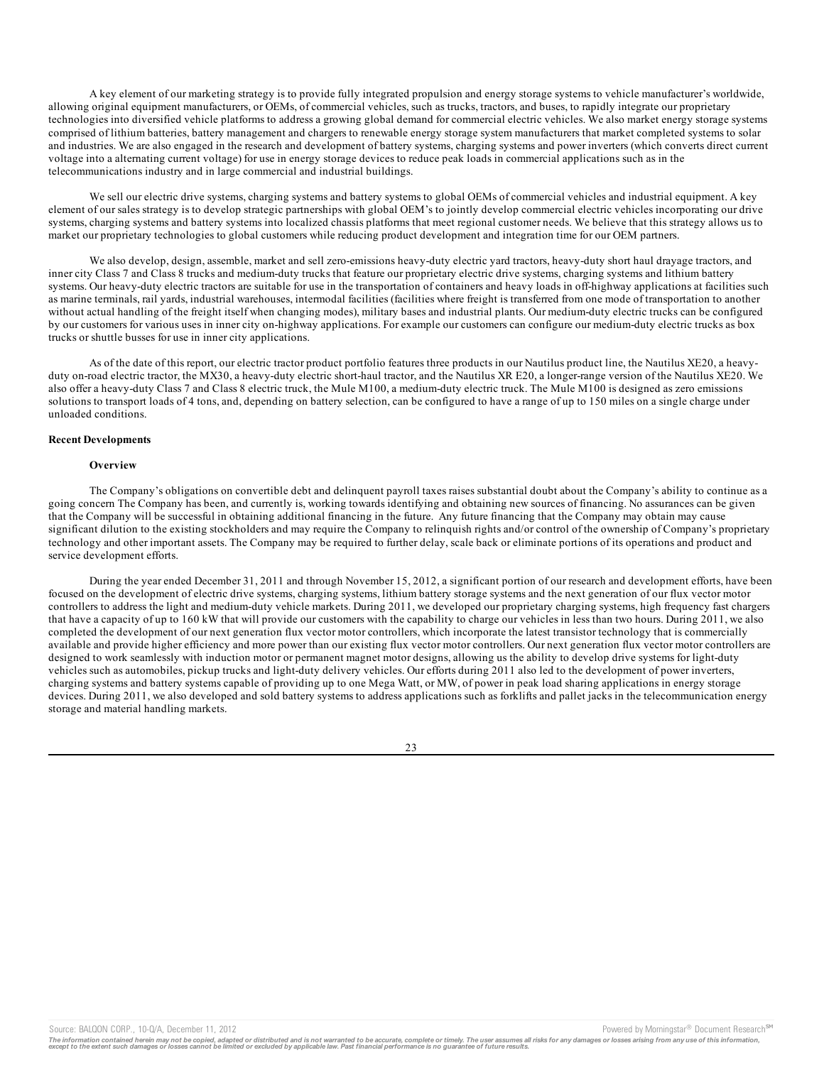A key element of our marketing strategy is to provide fully integrated propulsion and energy storage systems to vehicle manufacturer's worldwide, allowing original equipment manufacturers, or OEMs, of commercial vehicles, such as trucks, tractors, and buses, to rapidly integrate our proprietary technologies into diversified vehicle platforms to address a growing global demand for commercial electric vehicles. We also market energy storage systems comprised of lithium batteries, battery management and chargers to renewable energy storage system manufacturers that market completed systems to solar and industries. We are also engaged in the research and development of battery systems, charging systems and power inverters (which converts direct current voltage into a alternating current voltage) for use in energy storage devices to reduce peak loads in commercial applications such as in the telecommunications industry and in large commercial and industrial buildings.

We sell our electric drive systems, charging systems and battery systems to global OEMs of commercial vehicles and industrial equipment. A key element of our sales strategy is to develop strategic partnerships with global OEM's to jointly develop commercial electric vehicles incorporating our drive systems, charging systems and battery systems into localized chassis platforms that meet regional customer needs. We believe that this strategy allows us to market our proprietary technologies to global customers while reducing product development and integration time for our OEM partners.

We also develop, design, assemble, market and sell zero-emissions heavy-duty electric yard tractors, heavy-duty short haul drayage tractors, and inner city Class 7 and Class 8 trucks and medium-duty trucks that feature our proprietary electric drive systems, charging systems and lithium battery systems. Our heavy-duty electric tractors are suitable for use in the transportation of containers and heavy loads in off-highway applications at facilities such as marine terminals, rail yards, industrial warehouses, intermodal facilities (facilities where freight is transferred from one mode of transportation to another without actual handling of the freight itself when changing modes), military bases and industrial plants. Our medium-duty electric trucks can be configured by our customers for various uses in inner city on-highway applications. For example our customers can configure our medium-duty electric trucks as box trucks or shuttle busses for use in inner city applications.

As of the date of this report, our electric tractor product portfolio features three products in our Nautilus product line, the Nautilus XE20, a heavyduty on-road electric tractor, the MX30, a heavy-duty electric short-haul tractor, and the Nautilus XR E20, a longer-range version of the Nautilus XE20. We also offer a heavy-duty Class 7 and Class 8 electric truck, the Mule M100, a medium-duty electric truck. The Mule M100 is designed as zero emissions solutions to transport loads of 4 tons, and, depending on battery selection, can be configured to have a range of up to 150 miles on a single charge under unloaded conditions.

#### **Recent Developments**

### **Overview**

The Company's obligations on convertible debt and delinquent payroll taxes raises substantial doubt about the Company's ability to continue as a going concern The Company has been, and currently is, working towards identifying and obtaining new sources of financing. No assurances can be given that the Company will be successful in obtaining additional financing in the future. Any future financing that the Company may obtain may cause significant dilution to the existing stockholders and may require the Company to relinquish rights and/or control of the ownership of Company's proprietary technology and other important assets. The Company may be required to further delay, scale back or eliminate portions of its operations and product and service development efforts.

During the year ended December 31, 2011 and through November 15, 2012, a significant portion of our research and development efforts, have been focused on the development of electric drive systems, charging systems, lithium battery storage systems and the next generation of our flux vector motor controllers to address the light and medium-duty vehicle markets. During 2011, we developed our proprietary charging systems, high frequency fast chargers that have a capacity of up to 160 kW that will provide our customers with the capability to charge our vehicles in less than two hours. During 2011, we also completed the development of our next generation flux vector motor controllers, which incorporate the latest transistor technology that is commercially available and provide higher efficiency and more power than our existing flux vector motor controllers. Our next generation flux vector motor controllers are designed to work seamlessly with induction motor or permanent magnet motor designs, allowing us the ability to develop drive systems for light-duty vehicles such as automobiles, pickup trucks and light-duty delivery vehicles. Our efforts during 2011 also led to the development of power inverters, charging systems and battery systems capable of providing up to one Mega Watt, or MW, of power in peak load sharing applications in energy storage devices. During 2011, we also developed and sold battery systems to address applications such as forklifts and pallet jacks in the telecommunication energy storage and material handling markets.

Source: BALQON CORP., 10-Q/A, December 11, 2012 **Powered by Morningstar<sup>®</sup> Document Research<sup>sM</sup>**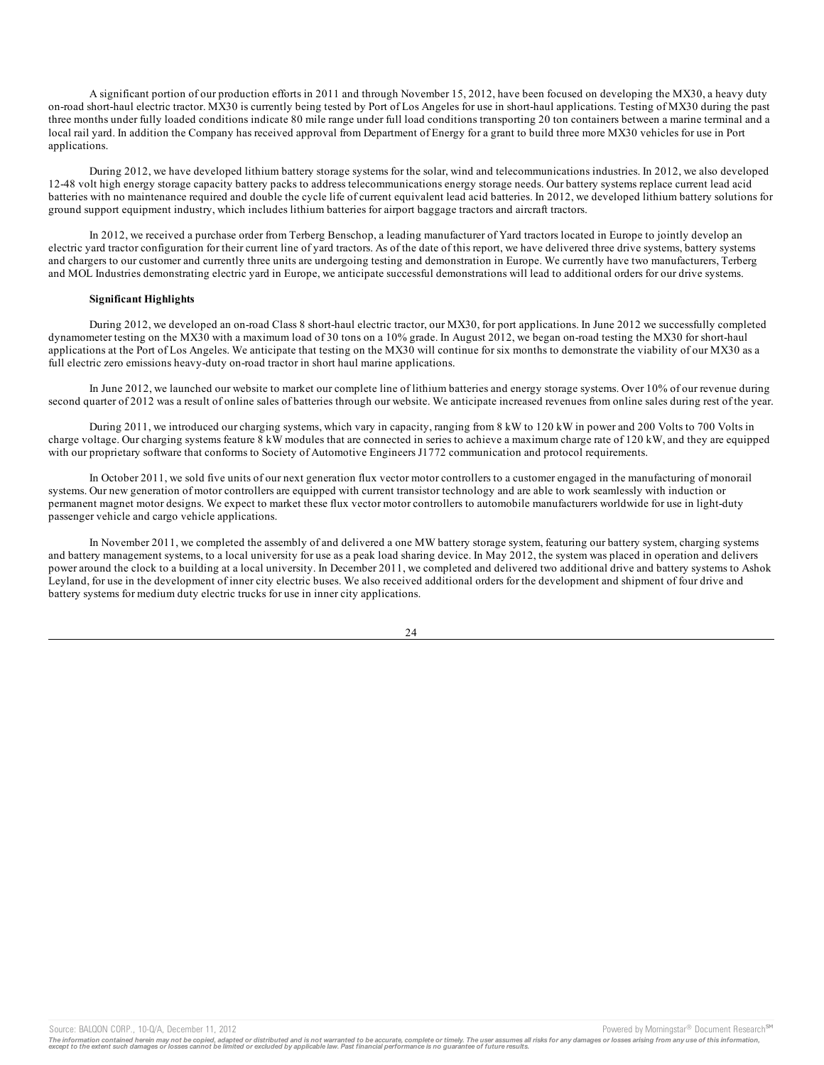A significant portion of our production efforts in 2011 and through November 15, 2012, have been focused on developing the MX30, a heavy duty on-road short-haul electric tractor. MX30 is currently being tested by Port of Los Angeles for use in short-haul applications. Testing of MX30 during the past three months under fully loaded conditions indicate 80 mile range under full load conditions transporting 20 ton containers between a marine terminal and a local rail yard. In addition the Company has received approval from Department of Energy for a grant to build three more MX30 vehicles for use in Port applications.

During 2012, we have developed lithium battery storage systems for the solar, wind and telecommunications industries. In 2012, we also developed 12-48 volt high energy storage capacity battery packs to address telecommunications energy storage needs. Our battery systems replace current lead acid batteries with no maintenance required and double the cycle life of current equivalent lead acid batteries. In 2012, we developed lithium battery solutions for ground support equipment industry, which includes lithium batteries for airport baggage tractors and aircraft tractors.

In 2012, we received a purchase order from Terberg Benschop, a leading manufacturer of Yard tractors located in Europe to jointly develop an electric yard tractor configuration for their current line of yard tractors. As of the date of this report, we have delivered three drive systems, battery systems and chargers to our customer and currently three units are undergoing testing and demonstration in Europe. We currently have two manufacturers, Terberg and MOL Industries demonstrating electric yard in Europe, we anticipate successful demonstrations will lead to additional orders for our drive systems.

#### **Significant Highlights**

During 2012, we developed an on-road Class 8 short-haul electric tractor, our MX30, for port applications. In June 2012 we successfully completed dynamometer testing on the MX30 with a maximum load of 30 tons on a 10% grade. In August 2012, we began on-road testing the MX30 for short-haul applications at the Port of Los Angeles. We anticipate that testing on the MX30 will continue for six months to demonstrate the viability of our MX30 as a full electric zero emissions heavy-duty on-road tractor in short haul marine applications.

In June 2012, we launched our website to market our complete line of lithium batteries and energy storage systems. Over 10% of our revenue during second quarter of 2012 was a result of online sales of batteries through our website. We anticipate increased revenues from online sales during rest of the year.

During 2011, we introduced our charging systems, which vary in capacity, ranging from 8 kW to 120 kW in power and 200 Volts to 700 Volts in charge voltage. Our charging systems feature 8 kW modules that are connected in series to achieve a maximum charge rate of 120 kW, and they are equipped with our proprietary software that conforms to Society of Automotive Engineers J1772 communication and protocol requirements.

In October 2011, we sold five units of our next generation flux vector motor controllers to a customer engaged in the manufacturing of monorail systems. Our new generation of motor controllers are equipped with current transistor technology and are able to work seamlessly with induction or permanent magnet motor designs. We expect to market these flux vector motor controllers to automobile manufacturers worldwide for use in light-duty passenger vehicle and cargo vehicle applications.

In November 2011, we completed the assembly of and delivered a one MW battery storage system, featuring our battery system, charging systems and battery management systems, to a local university for use as a peak load sharing device. In May 2012, the system was placed in operation and delivers power around the clock to a building at a local university. In December 2011, we completed and delivered two additional drive and battery systems to Ashok Leyland, for use in the development of inner city electric buses. We also received additional orders for the development and shipment of four drive and battery systems for medium duty electric trucks for use in inner city applications.

24

The information contained herein may not be copied, adapted or distributed and is not warranted to be accurate, complete or timely. The user assumes all risks for any damages or losses arising from any use of this informat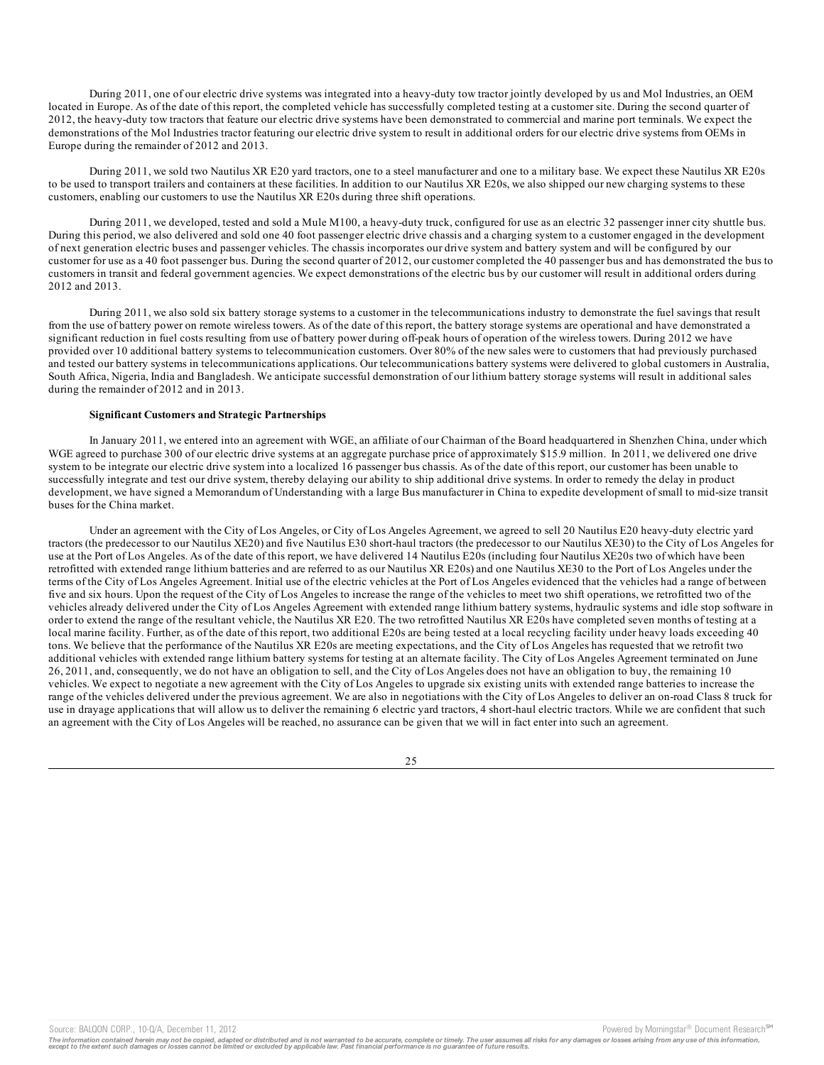During 2011, one of our electric drive systems was integrated into a heavy-duty tow tractor jointly developed by us and Mol Industries, an OEM located in Europe. As of the date of this report, the completed vehicle has successfully completed testing at a customer site. During the second quarter of 2012, the heavy-duty tow tractors that feature our electric drive systems have been demonstrated to commercial and marine port terminals. We expect the demonstrations of the Mol Industries tractor featuring our electric drive system to result in additional orders for our electric drive systems from OEMs in Europe during the remainder of 2012 and 2013.

During 2011, we sold two Nautilus XR E20 yard tractors, one to a steel manufacturer and one to a military base. We expect these Nautilus XR E20s to be used to transport trailers and containers at these facilities. In addition to our Nautilus XR E20s, we also shipped our new charging systems to these customers, enabling our customers to use the Nautilus XR E20s during three shift operations.

During 2011, we developed, tested and sold a Mule M100, a heavy-duty truck, configured for use as an electric 32 passenger inner city shuttle bus. During this period, we also delivered and sold one 40 foot passenger electric drive chassis and a charging system to a customer engaged in the development of next generation electric buses and passenger vehicles. The chassis incorporates our drive system and battery system and will be configured by our customer for use as a 40 foot passenger bus. During the second quarter of 2012, our customer completed the 40 passenger bus and has demonstrated the bus to customers in transit and federal government agencies. We expect demonstrations of the electric bus by our customer will result in additional orders during 2012 and 2013.

During 2011, we also sold six battery storage systems to a customer in the telecommunications industry to demonstrate the fuel savings that result from the use of battery power on remote wireless towers. As of the date of this report, the battery storage systems are operational and have demonstrated a significant reduction in fuel costs resulting from use of battery power during off-peak hours of operation of the wireless towers. During 2012 we have provided over 10 additional battery systems to telecommunication customers. Over 80% of the new sales were to customers that had previously purchased and tested our battery systems in telecommunications applications. Our telecommunications battery systems were delivered to global customers in Australia, South Africa, Nigeria, India and Bangladesh. We anticipate successful demonstration of our lithium battery storage systems will result in additional sales during the remainder of 2012 and in 2013.

#### **Significant Customers and Strategic Partnerships**

In January 2011, we entered into an agreement with WGE, an affiliate of our Chairman of the Board headquartered in Shenzhen China, under which WGE agreed to purchase 300 of our electric drive systems at an aggregate purchase price of approximately \$15.9 million. In 2011, we delivered one drive system to be integrate our electric drive system into a localized 16 passenger bus chassis. As of the date of this report, our customer has been unable to successfully integrate and test our drive system, thereby delaying our ability to ship additional drive systems. In order to remedy the delay in product development, we have signed a Memorandum of Understanding with a large Bus manufacturer in China to expedite development of small to mid-size transit buses for the China market.

Under an agreement with the City of Los Angeles, or City of Los Angeles Agreement, we agreed to sell 20 Nautilus E20 heavy-duty electric yard tractors (the predecessor to our Nautilus XE20) and five Nautilus E30 short-haul tractors (the predecessor to our Nautilus XE30) to the City of Los Angeles for use at the Port of Los Angeles. As of the date of this report, we have delivered 14 Nautilus E20s (including four Nautilus XE20s two of which have been retrofitted with extended range lithium batteries and are referred to as our Nautilus XR E20s) and one Nautilus XE30 to the Port of Los Angeles under the terms of the City of Los Angeles Agreement. Initial use of the electric vehicles at the Port of Los Angeles evidenced that the vehicles had a range of between five and six hours. Upon the request of the City of Los Angeles to increase the range of the vehicles to meet two shift operations, we retrofitted two of the vehicles already delivered under the City of Los Angeles Agreement with extended range lithium battery systems, hydraulic systems and idle stop software in order to extend the range of the resultant vehicle, the Nautilus XR E20. The two retrofitted Nautilus XR E20s have completed seven months of testing at a local marine facility. Further, as of the date of this report, two additional E20s are being tested at a local recycling facility under heavy loads exceeding 40 tons. We believe that the performance of the Nautilus XR E20s are meeting expectations, and the City of Los Angeles has requested that we retrofit two additional vehicles with extended range lithium battery systems for testing at an alternate facility. The City of Los Angeles Agreement terminated on June 26, 2011, and, consequently, we do not have an obligation to sell, and the City of Los Angeles does not have an obligation to buy, the remaining 10 vehicles. We expect to negotiate a new agreement with the City of Los Angeles to upgrade six existing units with extended range batteries to increase the range of the vehicles delivered under the previous agreement. We are also in negotiations with the City of Los Angeles to deliver an on-road Class 8 truck for use in drayage applications that will allow us to deliver the remaining 6 electric yard tractors, 4 short-haul electric tractors. While we are confident that such an agreement with the City of Los Angeles will be reached, no assurance can be given that we will in fact enter into such an agreement.



The information contained herein may not be copied, adapted or distributed and is not warranted to be accurate, complete or timely. The user assumes all risks for any damages or losses arising from any use of this informat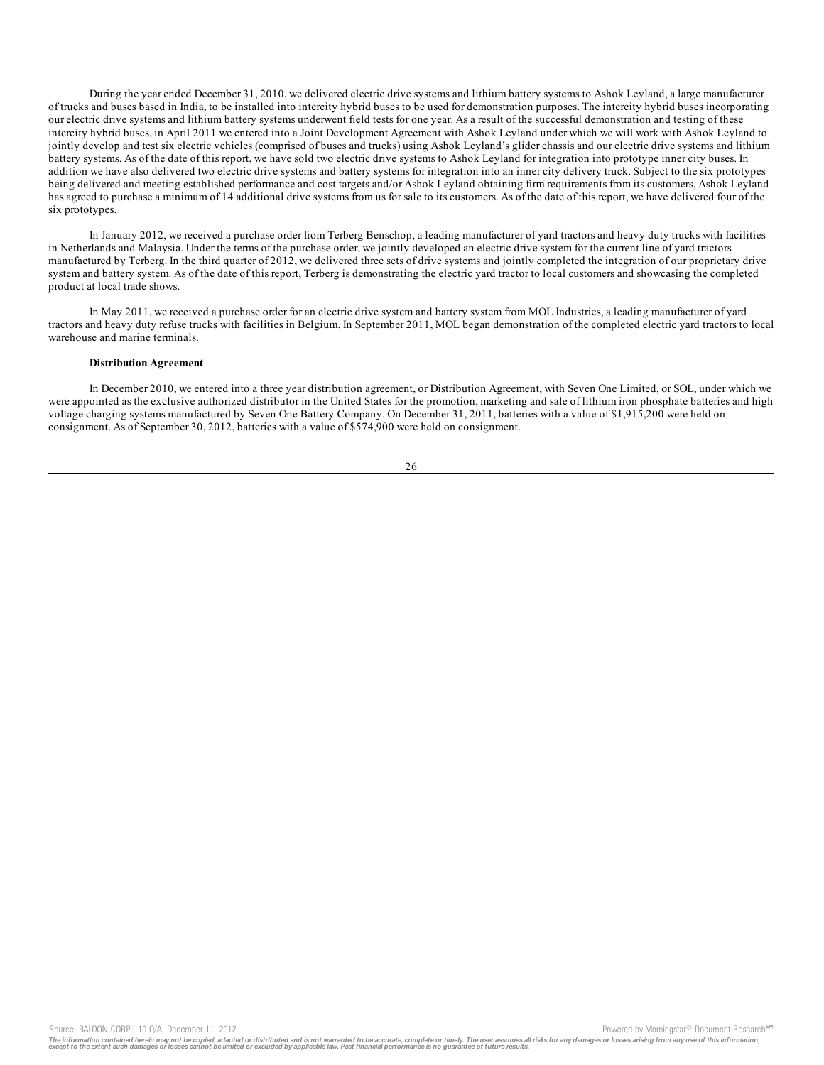During the year ended December 31, 2010, we delivered electric drive systems and lithium battery systems to Ashok Leyland, a large manufacturer of trucks and buses based in India, to be installed into intercity hybrid buses to be used for demonstration purposes. The intercity hybrid buses incorporating our electric drive systems and lithium battery systems underwent field tests for one year. As a result of the successful demonstration and testing of these intercity hybrid buses, in April 2011 we entered into a Joint Development Agreement with Ashok Leyland under which we will work with Ashok Leyland to jointly develop and test six electric vehicles (comprised of buses and trucks) using Ashok Leyland's glider chassis and our electric drive systems and lithium battery systems. As of the date of this report, we have sold two electric drive systems to Ashok Leyland for integration into prototype inner city buses. In addition we have also delivered two electric drive systems and battery systems for integration into an inner city delivery truck. Subject to the six prototypes being delivered and meeting established performance and cost targets and/or Ashok Leyland obtaining firm requirements from its customers, Ashok Leyland has agreed to purchase a minimum of 14 additional drive systems from us for sale to its customers. As of the date of this report, we have delivered four of the six prototypes.

In January 2012, we received a purchase order from Terberg Benschop, a leading manufacturer of yard tractors and heavy duty trucks with facilities in Netherlands and Malaysia. Under the terms of the purchase order, we jointly developed an electric drive system for the current line of yard tractors manufactured by Terberg. In the third quarter of 2012, we delivered three sets of drive systems and jointly completed the integration of our proprietary drive system and battery system. As of the date of this report, Terberg is demonstrating the electric yard tractor to local customers and showcasing the completed product at local trade shows.

In May 2011, we received a purchase order for an electric drive system and battery system from MOL Industries, a leading manufacturer of yard tractors and heavy duty refuse trucks with facilities in Belgium. In September 2011, MOL began demonstration of the completed electric yard tractors to local warehouse and marine terminals.

### **Distribution Agreement**

In December 2010, we entered into a three year distribution agreement, or Distribution Agreement, with Seven One Limited, or SOL, under which we were appointed as the exclusive authorized distributor in the United States for the promotion, marketing and sale of lithium iron phosphate batteries and high voltage charging systems manufactured by Seven One Battery Company. On December 31, 2011, batteries with a value of \$1,915,200 were held on consignment. As of September 30, 2012, batteries with a value of \$574,900 were held on consignment.

#### 26

Source: BALQON CORP., 10-Q/A, December 11, 2012 **Powered by Morningstar® Document Research** in the second of the second by Morningstar® Document Research in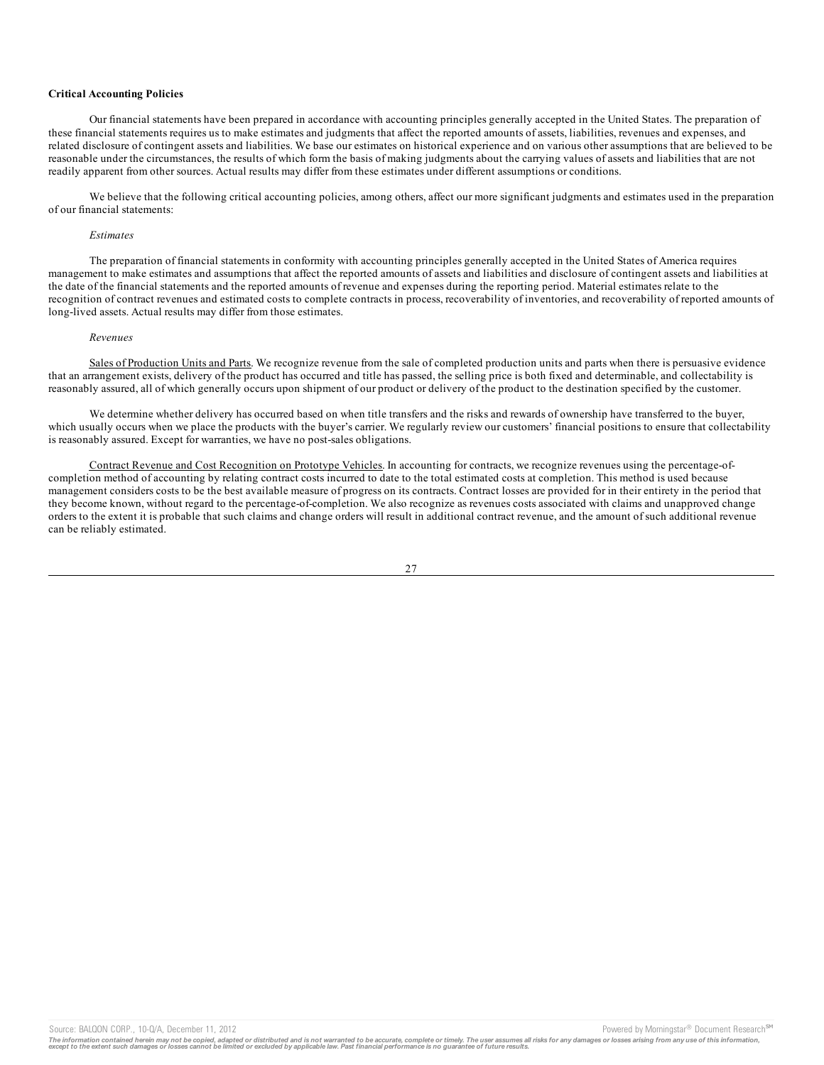### **Critical Accounting Policies**

Our financial statements have been prepared in accordance with accounting principles generally accepted in the United States. The preparation of these financial statements requires us to make estimates and judgments that affect the reported amounts of assets, liabilities, revenues and expenses, and related disclosure of contingent assets and liabilities. We base our estimates on historical experience and on various other assumptions that are believed to be reasonable under the circumstances, the results of which form the basis of making judgments about the carrying values of assets and liabilities that are not readily apparent from other sources. Actual results may differ from these estimates under different assumptions or conditions.

We believe that the following critical accounting policies, among others, affect our more significant judgments and estimates used in the preparation of our financial statements:

### *Estimates*

The preparation of financial statements in conformity with accounting principles generally accepted in the United States of America requires management to make estimates and assumptions that affect the reported amounts of assets and liabilities and disclosure of contingent assets and liabilities at the date of the financial statements and the reported amounts of revenue and expenses during the reporting period. Material estimates relate to the recognition of contract revenues and estimated costs to complete contracts in process, recoverability of inventories, and recoverability of reported amounts of long-lived assets. Actual results may differ from those estimates.

#### *Revenues*

Sales of Production Units and Parts. We recognize revenue from the sale of completed production units and parts when there is persuasive evidence that an arrangement exists, delivery of the product has occurred and title has passed, the selling price is both fixed and determinable, and collectability is reasonably assured, all of which generally occurs upon shipment of our product or delivery of the product to the destination specified by the customer.

We determine whether delivery has occurred based on when title transfers and the risks and rewards of ownership have transferred to the buyer, which usually occurs when we place the products with the buyer's carrier. We regularly review our customers' financial positions to ensure that collectability is reasonably assured. Except for warranties, we have no post-sales obligations.

Contract Revenue and Cost Recognition on Prototype Vehicles. In accounting for contracts, we recognize revenues using the percentage-ofcompletion method of accounting by relating contract costs incurred to date to the total estimated costs at completion. This method is used because management considers costs to be the best available measure of progress on its contracts. Contract losses are provided for in their entirety in the period that they become known, without regard to the percentage-of-completion. We also recognize as revenues costs associated with claims and unapproved change orders to the extent it is probable that such claims and change orders will result in additional contract revenue, and the amount of such additional revenue can be reliably estimated.

 $27$ 

Source: BALQON CORP., 10-Q/A, December 11, 2012 **Powered by Morningstar® Document Research** in the second of the second by Morningstar® Document Research in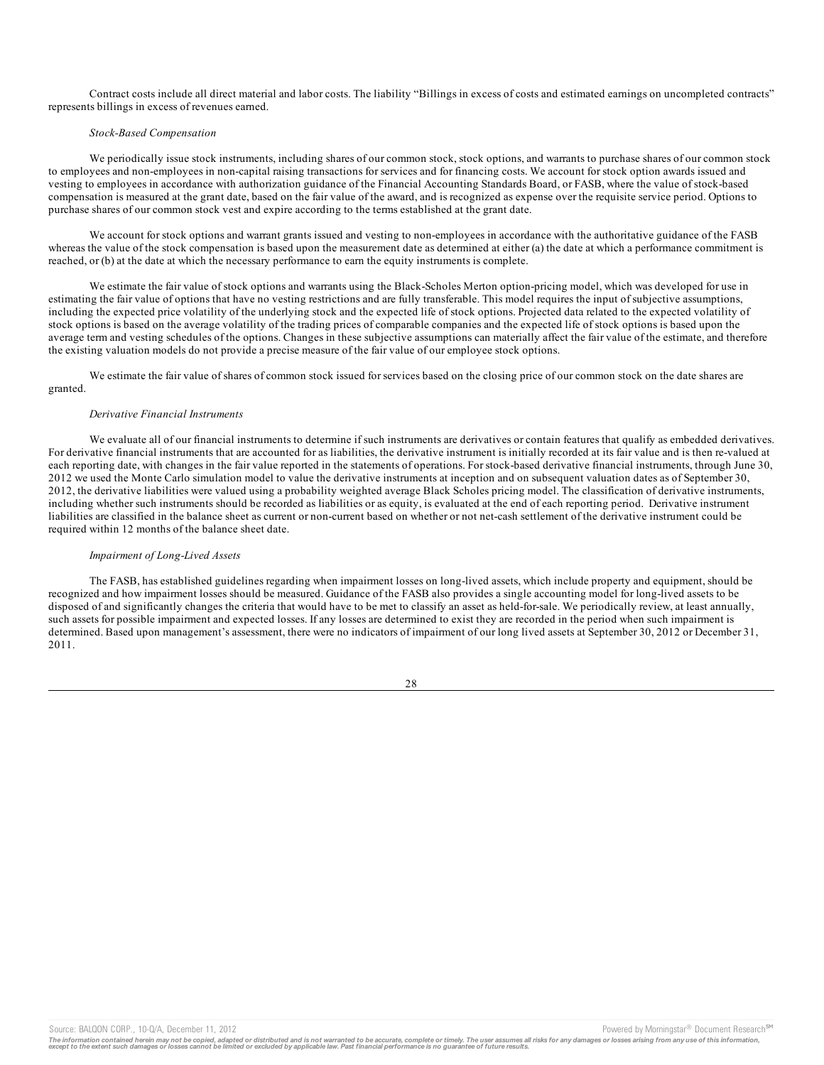Contract costs include all direct material and labor costs. The liability "Billings in excess of costs and estimated earnings on uncompleted contracts" represents billings in excess of revenues earned.

### *Stock-Based Compensation*

We periodically issue stock instruments, including shares of our common stock, stock options, and warrants to purchase shares of our common stock to employees and non-employees in non-capital raising transactions for services and for financing costs. We account for stock option awards issued and vesting to employees in accordance with authorization guidance of the Financial Accounting Standards Board, or FASB, where the value of stock-based compensation is measured at the grant date, based on the fair value of the award, and is recognized as expense over the requisite service period. Options to purchase shares of our common stock vest and expire according to the terms established at the grant date.

We account for stock options and warrant grants issued and vesting to non-employees in accordance with the authoritative guidance of the FASB whereas the value of the stock compensation is based upon the measurement date as determined at either (a) the date at which a performance commitment is reached, or (b) at the date at which the necessary performance to earn the equity instruments is complete.

We estimate the fair value of stock options and warrants using the Black-Scholes Merton option-pricing model, which was developed for use in estimating the fair value of options that have no vesting restrictions and are fully transferable. This model requires the input of subjective assumptions, including the expected price volatility of the underlying stock and the expected life of stock options. Projected data related to the expected volatility of stock options is based on the average volatility of the trading prices of comparable companies and the expected life of stock options is based upon the average term and vesting schedules of the options. Changes in these subjective assumptions can materially affect the fair value of the estimate, and therefore the existing valuation models do not provide a precise measure of the fair value of our employee stock options.

We estimate the fair value of shares of common stock issued for services based on the closing price of our common stock on the date shares are granted.

### *Derivative Financial Instruments*

We evaluate all of our financial instruments to determine if such instruments are derivatives or contain features that qualify as embedded derivatives. For derivative financial instruments that are accounted for as liabilities, the derivative instrument is initially recorded at its fair value and is then re-valued at each reporting date, with changes in the fair value reported in the statements of operations. For stock-based derivative financial instruments, through June 30, 2012 we used the Monte Carlo simulation model to value the derivative instruments at inception and on subsequent valuation dates as of September 30, 2012, the derivative liabilities were valued using a probability weighted average Black Scholes pricing model. The classification of derivative instruments, including whether such instruments should be recorded as liabilities or as equity, is evaluated at the end of each reporting period. Derivative instrument liabilities are classified in the balance sheet as current or non-current based on whether or not net-cash settlement of the derivative instrument could be required within 12 months of the balance sheet date.

#### *Impairment of Long-Lived Assets*

The FASB, has established guidelines regarding when impairment losses on long-lived assets, which include property and equipment, should be recognized and how impairment losses should be measured. Guidance of the FASB also provides a single accounting model for long-lived assets to be disposed of and significantly changes the criteria that would have to be met to classify an asset as held-for-sale. We periodically review, at least annually, such assets for possible impairment and expected losses. If any losses are determined to exist they are recorded in the period when such impairment is determined. Based upon management's assessment, there were no indicators of impairment of our long lived assets at September 30, 2012 or December 31, 2011.

Source: BALQON CORP., 10-Q/A, December 11, 2012 **Powered by Morningstar® Document Research** in the second of the second by Morningstar® Document Research in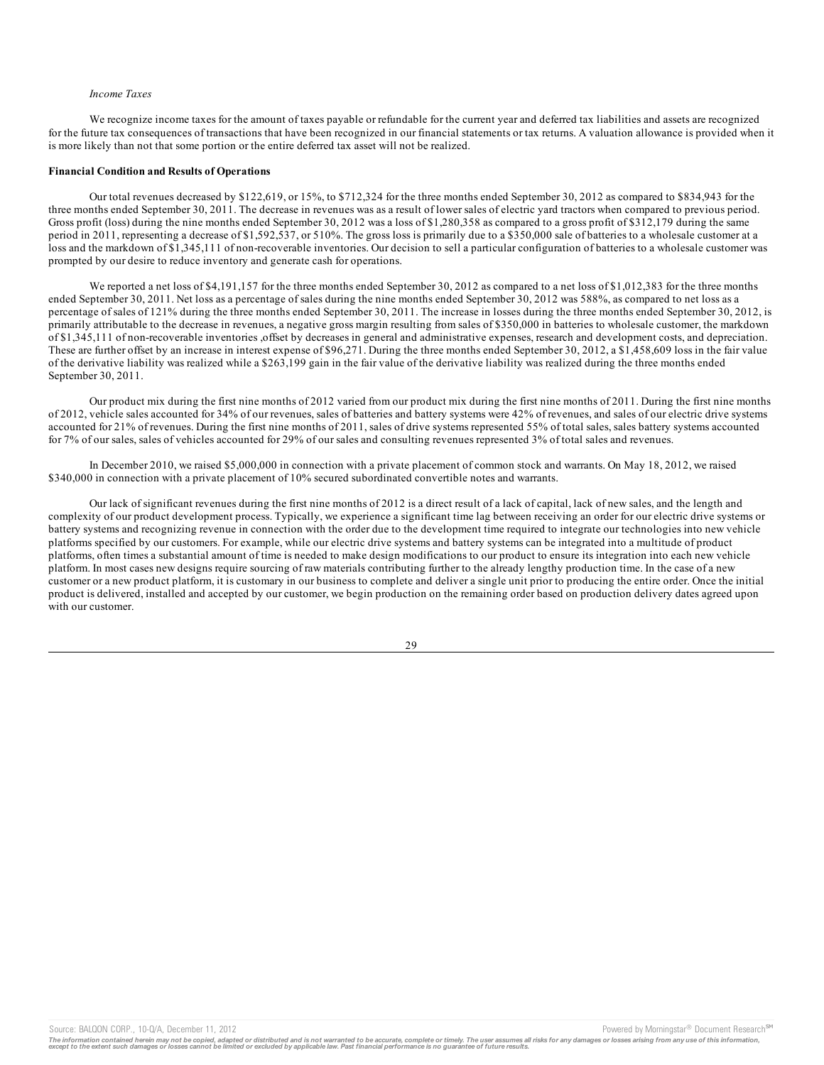#### *Income Taxes*

We recognize income taxes for the amount of taxes payable or refundable for the current year and deferred tax liabilities and assets are recognized for the future tax consequences of transactions that have been recognized in our financial statements or tax returns. A valuation allowance is provided when it is more likely than not that some portion or the entire deferred tax asset will not be realized.

### **Financial Condition and Results of Operations**

Our total revenues decreased by \$122,619, or 15%, to \$712,324 for the three months ended September 30, 2012 as compared to \$834,943 for the three months ended September 30, 2011. The decrease in revenues was as a result of lower sales of electric yard tractors when compared to previous period. Gross profit (loss) during the nine months ended September 30, 2012 was a loss of \$1,280,358 as compared to a gross profit of \$312,179 during the same period in 2011, representing a decrease of \$1,592,537, or 510%. The gross loss is primarily due to a \$350,000 sale of batteries to a wholesale customer at a loss and the markdown of \$1,345,111 of non-recoverable inventories. Our decision to sell a particular configuration of batteries to a wholesale customer was prompted by our desire to reduce inventory and generate cash for operations.

We reported a net loss of \$4,191,157 for the three months ended September 30, 2012 as compared to a net loss of \$1,012,383 for the three months ended September 30, 2011. Net loss as a percentage of sales during the nine months ended September 30, 2012 was 588%, as compared to net loss as a percentage of sales of 121% during the three months ended September 30, 2011. The increase in losses during the three months ended September 30, 2012, is primarily attributable to the decrease in revenues, a negative gross margin resulting from sales of \$350,000 in batteries to wholesale customer, the markdown of \$1,345,111 of non-recoverable inventories ,offset by decreases in general and administrative expenses, research and development costs, and depreciation. These are further offset by an increase in interest expense of \$96,271. During the three months ended September 30, 2012, a \$1,458,609 loss in the fair value of the derivative liability was realized while a \$263,199 gain in the fair value of the derivative liability was realized during the three months ended September 30, 2011.

Our product mix during the first nine months of 2012 varied from our product mix during the first nine months of 2011. During the first nine months of 2012, vehicle sales accounted for 34% of our revenues, sales of batteries and battery systems were 42% of revenues, and sales of our electric drive systems accounted for 21% of revenues. During the first nine months of 2011, sales of drive systems represented 55% of total sales, sales battery systems accounted for 7% of our sales, sales of vehicles accounted for 29% of our sales and consulting revenues represented 3% of total sales and revenues.

In December 2010, we raised \$5,000,000 in connection with a private placement of common stock and warrants. On May 18, 2012, we raised \$340,000 in connection with a private placement of 10% secured subordinated convertible notes and warrants.

Our lack of significant revenues during the first nine months of 2012 is a direct result of a lack of capital, lack of new sales, and the length and complexity of our product development process. Typically, we experience a significant time lag between receiving an order for our electric drive systems or battery systems and recognizing revenue in connection with the order due to the development time required to integrate our technologies into new vehicle platforms specified by our customers. For example, while our electric drive systems and battery systems can be integrated into a multitude of product platforms, often times a substantial amount of time is needed to make design modifications to our product to ensure its integration into each new vehicle platform. In most cases new designs require sourcing of raw materials contributing further to the already lengthy production time. In the case of a new customer or a new product platform, it is customary in our business to complete and deliver a single unit prior to producing the entire order. Once the initial product is delivered, installed and accepted by our customer, we begin production on the remaining order based on production delivery dates agreed upon with our customer.

The information contained herein may not be copied, adapted or distributed and is not warranted to be accurate, complete or timely. The user assumes all risks for any damages or losses arising from any use of this informat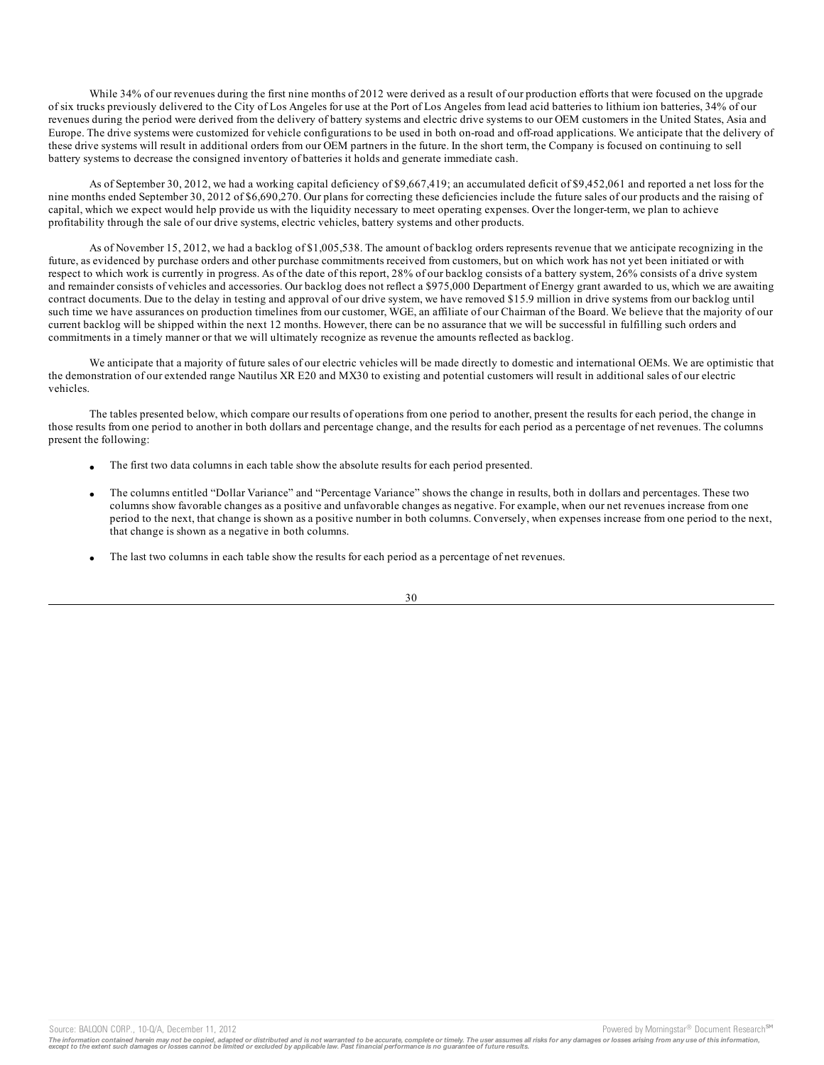While 34% of our revenues during the first nine months of 2012 were derived as a result of our production efforts that were focused on the upgrade of six trucks previously delivered to the City of Los Angeles for use at the Port of Los Angeles from lead acid batteries to lithium ion batteries, 34% of our revenues during the period were derived from the delivery of battery systems and electric drive systems to our OEM customers in the United States, Asia and Europe. The drive systems were customized for vehicle configurations to be used in both on-road and off-road applications. We anticipate that the delivery of these drive systems will result in additional orders from our OEM partners in the future. In the short term, the Company is focused on continuing to sell battery systems to decrease the consigned inventory of batteries it holds and generate immediate cash.

As of September 30, 2012, we had a working capital deficiency of \$9,667,419; an accumulated deficit of \$9,452,061 and reported a net loss for the nine months ended September 30, 2012 of \$6,690,270. Our plans for correcting these deficiencies include the future sales of our products and the raising of capital, which we expect would help provide us with the liquidity necessary to meet operating expenses. Over the longer-term, we plan to achieve profitability through the sale of our drive systems, electric vehicles, battery systems and other products.

As of November 15, 2012, we had a backlog of \$1,005,538. The amount of backlog orders represents revenue that we anticipate recognizing in the future, as evidenced by purchase orders and other purchase commitments received from customers, but on which work has not yet been initiated or with respect to which work is currently in progress. As of the date of this report, 28% of our backlog consists of a battery system, 26% consists of a drive system and remainder consists of vehicles and accessories. Our backlog does not reflect a \$975,000 Department of Energy grant awarded to us, which we are awaiting contract documents. Due to the delay in testing and approval of our drive system, we have removed \$15.9 million in drive systems from our backlog until such time we have assurances on production timelines from our customer, WGE, an affiliate of our Chairman of the Board. We believe that the majority of our current backlog will be shipped within the next 12 months. However, there can be no assurance that we will be successful in fulfilling such orders and commitments in a timely manner or that we will ultimately recognize as revenue the amounts reflected as backlog.

We anticipate that a majority of future sales of our electric vehicles will be made directly to domestic and international OEMs. We are optimistic that the demonstration of our extended range Nautilus XR E20 and MX30 to existing and potential customers will result in additional sales of our electric vehicles.

The tables presented below, which compare our results of operations from one period to another, present the results for each period, the change in those results from one period to another in both dollars and percentage change, and the results for each period as a percentage of net revenues. The columns present the following:

- The first two data columns in each table show the absolute results for each period presented.
- · The columns entitled "Dollar Variance" and "Percentage Variance" shows the change in results, both in dollars and percentages. These two columns show favorable changes as a positive and unfavorable changes as negative. For example, when our net revenues increase from one period to the next, that change is shown as a positive number in both columns. Conversely, when expenses increase from one period to the next, that change is shown as a negative in both columns.
- The last two columns in each table show the results for each period as a percentage of net revenues.

The information contained herein may not be copied, adapted or distributed and is not warranted to be accurate, complete or timely. The user assumes all risks for any damages or losses arising from any use of this informat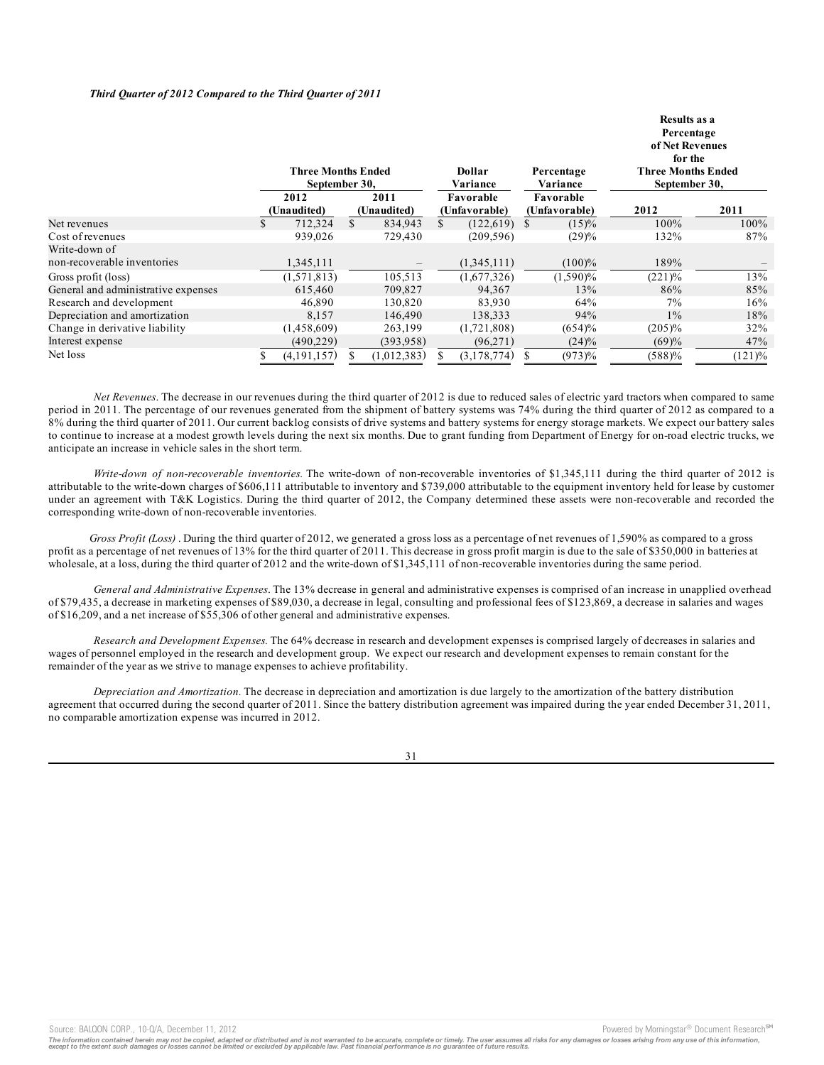#### *Third Quarter of 2012 Compared to the Third Quarter of 2011*

|                                     | <b>Three Months Ended</b><br>September 30, |    |                        | Dollar<br>Variance         | Percentage<br>Variance          | Results as a | Percentage<br>of Net Revenues<br>for the<br><b>Three Months Ended</b><br>September 30, |
|-------------------------------------|--------------------------------------------|----|------------------------|----------------------------|---------------------------------|--------------|----------------------------------------------------------------------------------------|
|                                     | 2012                                       |    | 2011                   | Favorable                  | Favorable                       | 2012         | 2011                                                                                   |
| Net revenues                        | (Unaudited)<br>712,324                     | S. | (Unaudited)<br>834,943 | (Unfavorable)<br>(122,619) | (Unfavorable)<br>$(15)\%$<br>\$ | 100%         | $100\%$                                                                                |
| Cost of revenues                    | 939,026                                    |    | 729,430                | (209, 596)                 | (29)%                           | 132%         | 87%                                                                                    |
| Write-down of                       |                                            |    |                        |                            |                                 |              |                                                                                        |
| non-recoverable inventories         | 1,345,111                                  |    |                        | (1,345,111)                | $(100)\%$                       | 189%         |                                                                                        |
| Gross profit (loss)                 | (1,571,813)                                |    | 105,513                | (1,677,326)                | $(1,590)\%$                     | $(221)\%$    | 13%                                                                                    |
| General and administrative expenses | 615,460                                    |    | 709,827                | 94.367                     | 13%                             | 86%          | 85%                                                                                    |
| Research and development            | 46,890                                     |    | 130,820                | 83,930                     | 64%                             | 7%           | 16%                                                                                    |
| Depreciation and amortization       | 8,157                                      |    | 146,490                | 138.333                    | 94%                             | $1\%$        | 18%                                                                                    |
| Change in derivative liability      | (1,458,609)                                |    | 263,199                | (1,721,808)                | (654)%                          | $(205)\%$    | 32%                                                                                    |
| Interest expense                    | (490, 229)                                 |    | (393,958)              | (96,271)                   | $(24)\%$                        | (69)%        | 47%                                                                                    |
| Net loss                            | (4,191,157)                                |    | (1,012,383)            | (3,178,774)                | $(973)\%$                       | $(588)\%$    | $(121)\%$                                                                              |

*Net Revenues*. The decrease in our revenues during the third quarter of 2012 is due to reduced sales of electric yard tractors when compared to same period in 2011. The percentage of our revenues generated from the shipment of battery systems was 74% during the third quarter of 2012 as compared to a 8% during the third quarter of 2011. Our current backlog consists of drive systems and battery systems for energy storage markets. We expect our battery sales to continue to increase at a modest growth levels during the next six months. Due to grant funding from Department of Energy for on-road electric trucks, we anticipate an increase in vehicle sales in the short term.

*Write-down of non-recoverable inventories.* The write-down of non-recoverable inventories of \$1,345,111 during the third quarter of 2012 is attributable to the write-down charges of \$606,111 attributable to inventory and \$739,000 attributable to the equipment inventory held for lease by customer under an agreement with T&K Logistics. During the third quarter of 2012, the Company determined these assets were non-recoverable and recorded the corresponding write-down of non-recoverable inventories.

*Gross Profit (Loss)* . During the third quarter of 2012, we generated a gross loss as a percentage of net revenues of 1,590% as compared to a gross profit as a percentage of net revenues of 13% for the third quarter of 2011. This decrease in gross profit margin is due to the sale of \$350,000 in batteries at wholesale, at a loss, during the third quarter of 2012 and the write-down of \$1,345,111 of non-recoverable inventories during the same period.

*General and Administrative Expenses*. The 13% decrease in general and administrative expenses is comprised of an increase in unapplied overhead of \$79,435, a decrease in marketing expenses of \$89,030, a decrease in legal, consulting and professional fees of \$123,869, a decrease in salaries and wages of \$16,209, and a net increase of \$55,306 of other general and administrative expenses.

*Research and Development Expenses.* The 64% decrease in research and development expenses is comprised largely of decreases in salaries and wages of personnel employed in the research and development group. We expect our research and development expenses to remain constant for the remainder of the year as we strive to manage expenses to achieve profitability.

*Depreciation and Amortization.* The decrease in depreciation and amortization is due largely to the amortization of the battery distribution agreement that occurred during the second quarter of 2011. Since the battery distribution agreement was impaired during the year ended December 31, 2011, no comparable amortization expense was incurred in 2012.



Source: BALQON CORP., 10-Q/A, December 11, 2012 **Powered by Morningstar® Document Research** in the second of the second by Morningstar® Document Research in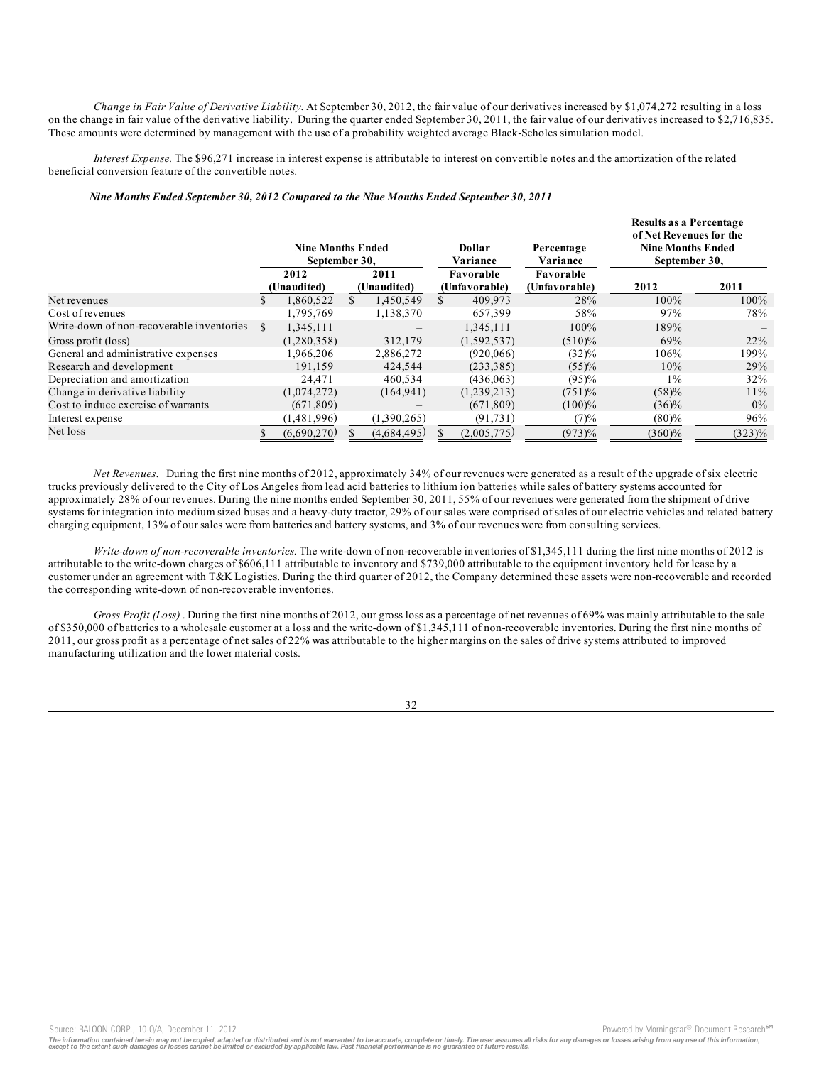*Change in Fair Value of Derivative Liability.* At September 30, 2012, the fair value of our derivatives increased by \$1,074,272 resulting in a loss on the change in fair value of the derivative liability. During the quarter ended September 30, 2011, the fair value of our derivatives increased to \$2,716,835. These amounts were determined by management with the use of a probability weighted average Black-Scholes simulation model.

*Interest Expense.* The \$96,271 increase in interest expense is attributable to interest on convertible notes and the amortization of the related beneficial conversion feature of the convertible notes.

#### *Nine Months Ended September 30, 2012 Compared to the Nine Months Ended September 30, 2011*

|                                           | <b>Nine Months Ended</b><br>September 30, |             |  | Dollar<br>Variance |  | Percentage<br>Variance | Results as a Percentage<br>of Net Revenues for the<br><b>Nine Months Ended</b><br>September 30, |           |           |
|-------------------------------------------|-------------------------------------------|-------------|--|--------------------|--|------------------------|-------------------------------------------------------------------------------------------------|-----------|-----------|
|                                           |                                           | 2012        |  | 2011               |  | Favorable              | Favorable                                                                                       |           |           |
|                                           |                                           | (Unaudited) |  | (Unaudited)        |  | (Unfavorable)          | (Unfavorable)                                                                                   | 2012      | 2011      |
| Net revenues                              |                                           | 1.860.522   |  | 1.450.549          |  | 409.973                | 28%                                                                                             | 100%      | $100\%$   |
| Cost of revenues                          |                                           | 1.795.769   |  | 1,138,370          |  | 657,399                | 58%                                                                                             | 97%       | 78%       |
| Write-down of non-recoverable inventories | \$.                                       | 1,345,111   |  |                    |  | 1,345,111              | 100%                                                                                            | 189%      |           |
| Gross profit (loss)                       |                                           | (1,280,358) |  | 312,179            |  | (1,592,537)            | $(510)\%$                                                                                       | 69%       | 22%       |
| General and administrative expenses       |                                           | 1,966,206   |  | 2,886,272          |  | (920,066)              | $(32)\%$                                                                                        | 106%      | 199%      |
| Research and development                  |                                           | 191.159     |  | 424,544            |  | (233, 385)             | (55)%                                                                                           | 10%       | 29%       |
| Depreciation and amortization             |                                           | 24.471      |  | 460.534            |  | (436.063)              | (95)%                                                                                           | $1\%$     | 32%       |
| Change in derivative liability            |                                           | (1,074,272) |  | (164, 941)         |  | (1,239,213)            | (751)%                                                                                          | (58)%     | 11%       |
| Cost to induce exercise of warrants       |                                           | (671, 809)  |  |                    |  | (671, 809)             | $(100)\%$                                                                                       | $(36)\%$  | $0\%$     |
| Interest expense                          |                                           | (1,481,996) |  | (1,390,265)        |  | (91, 731)              | (7)%                                                                                            | (80)%     | 96%       |
| Net loss                                  |                                           | (6,690,270) |  | (4,684,495)        |  | (2,005,775)            | $(973)\%$                                                                                       | $(360)\%$ | $(323)\%$ |

*Net Revenues*. During the first nine months of 2012, approximately 34% of our revenues were generated as a result of the upgrade of six electric trucks previously delivered to the City of Los Angeles from lead acid batteries to lithium ion batteries while sales of battery systems accounted for approximately 28% of our revenues. During the nine months ended September 30, 2011, 55% of our revenues were generated from the shipment of drive systems for integration into medium sized buses and a heavy-duty tractor, 29% of our sales were comprised of sales of our electric vehicles and related battery charging equipment, 13% of our sales were from batteries and battery systems, and 3% of our revenues were from consulting services.

*Write-down of non-recoverable inventories.* The write-down of non-recoverable inventories of \$1,345,111 during the first nine months of 2012 is attributable to the write-down charges of \$606,111 attributable to inventory and \$739,000 attributable to the equipment inventory held for lease by a customer under an agreement with T&K Logistics. During the third quarter of 2012, the Company determined these assets were non-recoverable and recorded the corresponding write-down of non-recoverable inventories.

*Gross Profit (Loss)* . During the first nine months of 2012, our gross loss as a percentage of net revenues of 69% was mainly attributable to the sale of \$350,000 of batteries to a wholesale customer at a loss and the write-down of \$1,345,111 of non-recoverable inventories. During the first nine months of 2011, our gross profit as a percentage of net sales of 22% was attributable to the higher margins on the sales of drive systems attributed to improved manufacturing utilization and the lower material costs.

32

The information contained herein may not be copied, adapted or distributed and is not warranted to be accurate, complete or timely. The user assumes all risks for any damages or losses arising from any use of this informat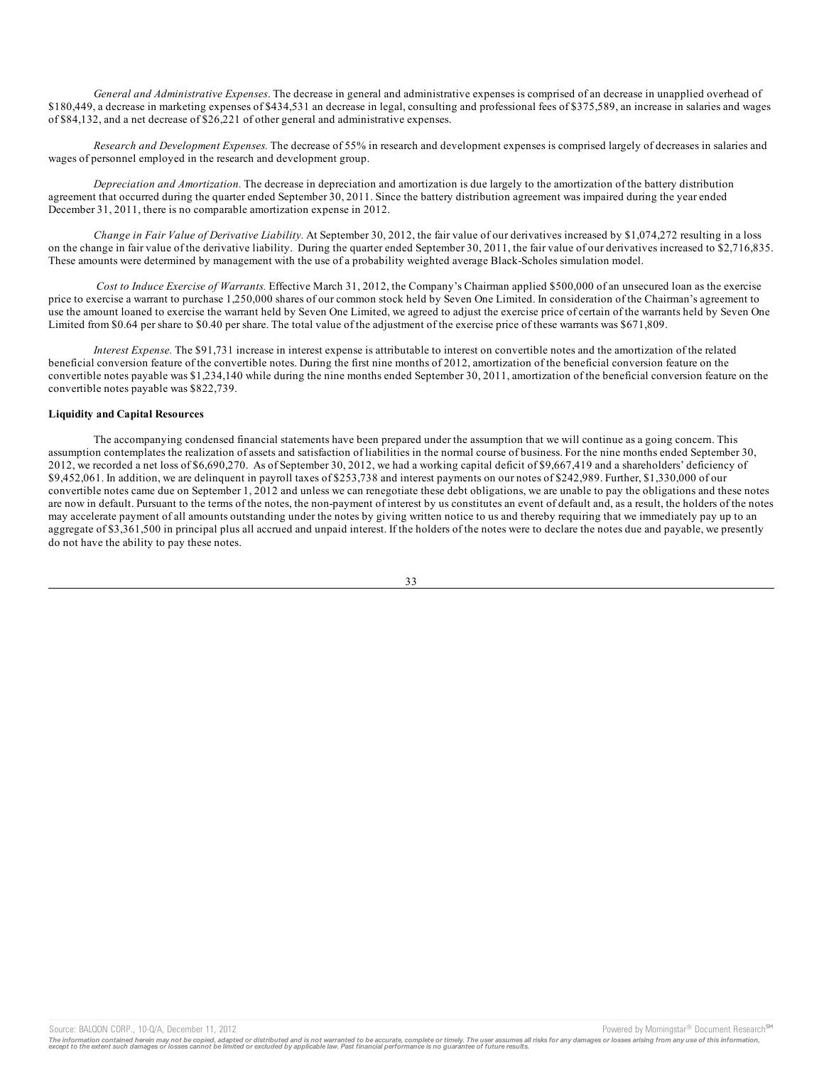*General and Administrative Expenses*. The decrease in general and administrative expenses is comprised of an decrease in unapplied overhead of \$180,449, a decrease in marketing expenses of \$434,531 an decrease in legal, consulting and professional fees of \$375,589, an increase in salaries and wages of \$84,132, and a net decrease of \$26,221 of other general and administrative expenses.

*Research and Development Expenses.* The decrease of 55% in research and development expenses is comprised largely of decreases in salaries and wages of personnel employed in the research and development group.

*Depreciation and Amortization.* The decrease in depreciation and amortization is due largely to the amortization of the battery distribution agreement that occurred during the quarter ended September 30, 2011. Since the battery distribution agreement was impaired during the year ended December 31, 2011, there is no comparable amortization expense in 2012.

*Change in Fair Value of Derivative Liability.* At September 30, 2012, the fair value of our derivatives increased by \$1,074,272 resulting in a loss on the change in fair value of the derivative liability. During the quarter ended September 30, 2011, the fair value of our derivatives increased to \$2,716,835. These amounts were determined by management with the use of a probability weighted average Black-Scholes simulation model.

*Cost to Induce Exercise of Warrants.* Effective March 31, 2012, the Company's Chairman applied \$500,000 of an unsecured loan as the exercise price to exercise a warrant to purchase 1,250,000 shares of our common stock held by Seven One Limited. In consideration of the Chairman's agreement to use the amount loaned to exercise the warrant held by Seven One Limited, we agreed to adjust the exercise price of certain of the warrants held by Seven One Limited from \$0.64 per share to \$0.40 per share. The total value of the adjustment of the exercise price of these warrants was \$671,809.

*Interest Expense.* The \$91,731 increase in interest expense is attributable to interest on convertible notes and the amortization of the related beneficial conversion feature of the convertible notes. During the first nine months of 2012, amortization of the beneficial conversion feature on the convertible notes payable was \$1,234,140 while during the nine months ended September 30, 2011, amortization of the beneficial conversion feature on the convertible notes payable was \$822,739.

#### **Liquidity and Capital Resources**

The accompanying condensed financial statements have been prepared under the assumption that we will continue as a going concern. This assumption contemplates the realization of assets and satisfaction of liabilities in the normal course of business. For the nine months ended September 30, 2012, we recorded a net loss of \$6,690,270. As of September 30, 2012, we had a working capital deficit of \$9,667,419 and a shareholders' deficiency of \$9,452,061. In addition, we are delinquent in payroll taxes of \$253,738 and interest payments on our notes of \$242,989. Further, \$1,330,000 of our convertible notes came due on September 1, 2012 and unless we can renegotiate these debt obligations, we are unable to pay the obligations and these notes are now in default. Pursuant to the terms of the notes, the non-payment of interest by us constitutes an event of default and, as a result, the holders of the notes may accelerate payment of all amounts outstanding under the notes by giving written notice to us and thereby requiring that we immediately pay up to an aggregate of \$3,361,500 in principal plus all accrued and unpaid interest. If the holders of the notes were to declare the notes due and payable, we presently do not have the ability to pay these notes.

33

The information contained herein may not be copied, adapted or distributed and is not warranted to be accurate, complete or timely. The user assumes all risks for any damages or losses arising from any use of this informat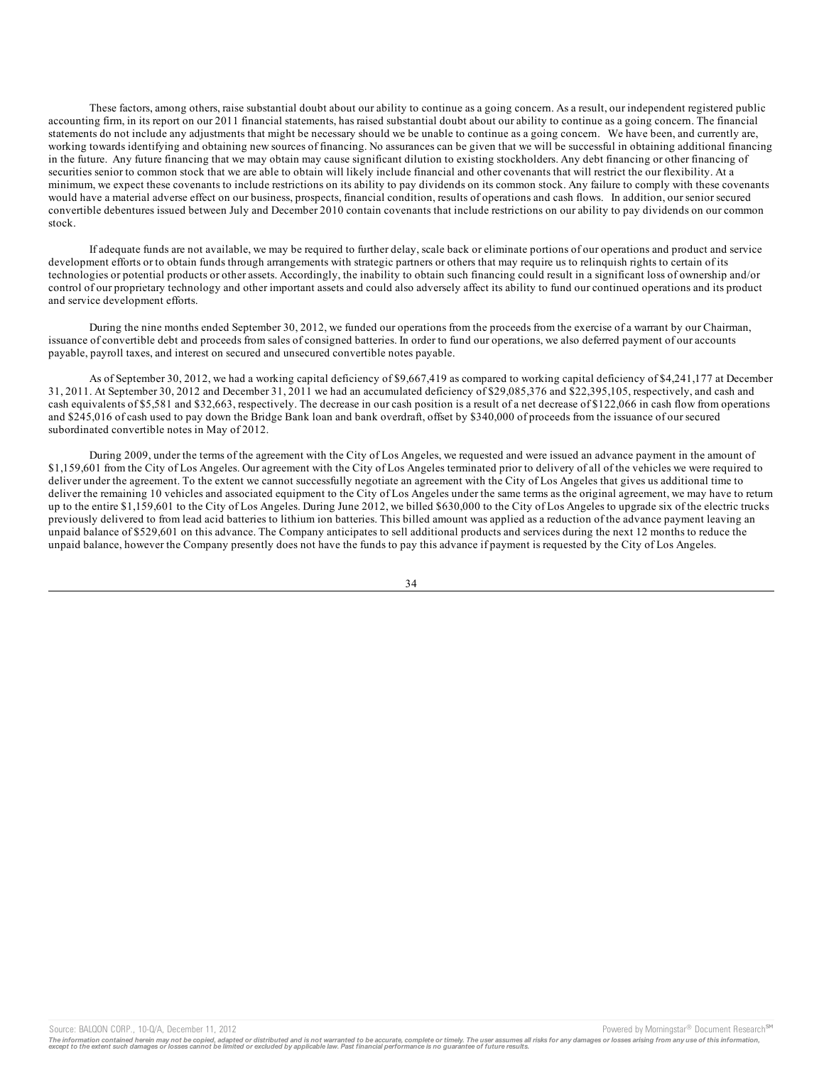These factors, among others, raise substantial doubt about our ability to continue as a going concern. As a result, our independent registered public accounting firm, in its report on our 2011 financial statements, has raised substantial doubt about our ability to continue as a going concern. The financial statements do not include any adjustments that might be necessary should we be unable to continue as a going concern. We have been, and currently are, working towards identifying and obtaining new sources of financing. No assurances can be given that we will be successful in obtaining additional financing in the future. Any future financing that we may obtain may cause significant dilution to existing stockholders. Any debt financing or other financing of securities senior to common stock that we are able to obtain will likely include financial and other covenants that will restrict the our flexibility. At a minimum, we expect these covenants to include restrictions on its ability to pay dividends on its common stock. Any failure to comply with these covenants would have a material adverse effect on our business, prospects, financial condition, results of operations and cash flows. In addition, our senior secured convertible debentures issued between July and December 2010 contain covenants that include restrictions on our ability to pay dividends on our common stock.

If adequate funds are not available, we may be required to further delay, scale back or eliminate portions of our operations and product and service development efforts or to obtain funds through arrangements with strategic partners or others that may require us to relinquish rights to certain of its technologies or potential products or other assets. Accordingly, the inability to obtain such financing could result in a significant loss of ownership and/or control of our proprietary technology and other important assets and could also adversely affect its ability to fund our continued operations and its product and service development efforts.

During the nine months ended September 30, 2012, we funded our operations from the proceeds from the exercise of a warrant by our Chairman, issuance of convertible debt and proceeds from sales of consigned batteries. In order to fund our operations, we also deferred payment of our accounts payable, payroll taxes, and interest on secured and unsecured convertible notes payable.

As of September 30, 2012, we had a working capital deficiency of \$9,667,419 as compared to working capital deficiency of \$4,241,177 at December 31, 2011. At September 30, 2012 and December 31, 2011 we had an accumulated deficiency of \$29,085,376 and \$22,395,105, respectively, and cash and cash equivalents of \$5,581 and \$32,663, respectively. The decrease in our cash position is a result of a net decrease of \$122,066 in cash flow from operations and \$245,016 of cash used to pay down the Bridge Bank loan and bank overdraft, offset by \$340,000 of proceeds from the issuance of our secured subordinated convertible notes in May of 2012.

During 2009, under the terms of the agreement with the City of Los Angeles, we requested and were issued an advance payment in the amount of \$1,159,601 from the City of Los Angeles. Our agreement with the City of Los Angeles terminated prior to delivery of all of the vehicles we were required to deliver under the agreement. To the extent we cannot successfully negotiate an agreement with the City of Los Angeles that gives us additional time to deliver the remaining 10 vehicles and associated equipment to the City of Los Angeles under the same terms as the original agreement, we may have to return up to the entire \$1,159,601 to the City of Los Angeles. During June 2012, we billed \$630,000 to the City of Los Angeles to upgrade six of the electric trucks previously delivered to from lead acid batteries to lithium ion batteries. This billed amount was applied as a reduction of the advance payment leaving an unpaid balance of \$529,601 on this advance. The Company anticipates to sell additional products and services during the next 12 months to reduce the unpaid balance, however the Company presently does not have the funds to pay this advance if payment is requested by the City of Los Angeles.

34

The information contained herein may not be copied, adapted or distributed and is not warranted to be accurate, complete or timely. The user assumes all risks for any damages or losses arising from any use of this informat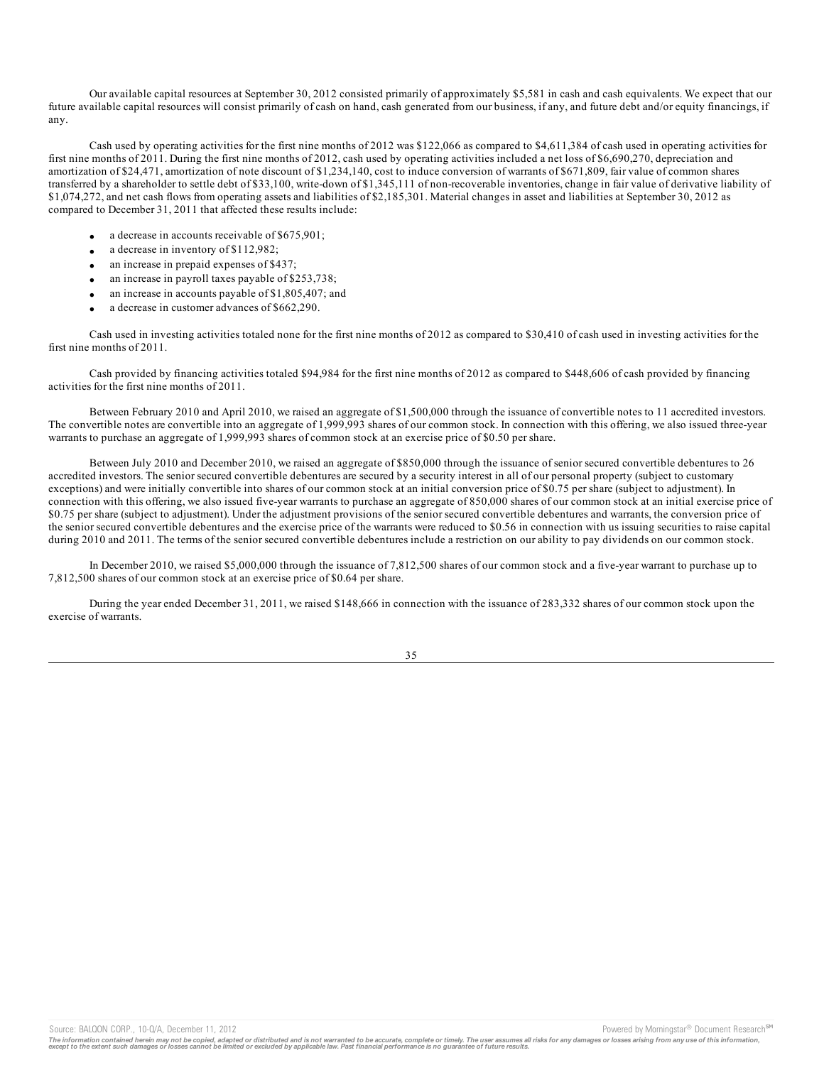Our available capital resources at September 30, 2012 consisted primarily of approximately \$5,581 in cash and cash equivalents. We expect that our future available capital resources will consist primarily of cash on hand, cash generated from our business, if any, and future debt and/or equity financings, if any.

Cash used by operating activities for the first nine months of 2012 was \$122,066 as compared to \$4,611,384 of cash used in operating activities for first nine months of 2011. During the first nine months of 2012, cash used by operating activities included a net loss of \$6,690,270, depreciation and amortization of \$24,471, amortization of note discount of \$1,234,140, cost to induce conversion of warrants of \$671,809, fair value of common shares transferred by a shareholder to settle debt of \$33,100, write-down of \$1,345,111 of non-recoverable inventories, change in fair value of derivative liability of \$1,074,272, and net cash flows from operating assets and liabilities of \$2,185,301. Material changes in asset and liabilities at September 30, 2012 as compared to December 31, 2011 that affected these results include:

- a decrease in accounts receivable of \$675,901;
- a decrease in inventory of \$112,982;
- an increase in prepaid expenses of \$437;
- an increase in payroll taxes payable of \$253,738;
- an increase in accounts payable of \$1,805,407; and
- a decrease in customer advances of \$662,290.

Cash used in investing activities totaled none for the first nine months of 2012 as compared to \$30,410 of cash used in investing activities for the first nine months of 2011.

Cash provided by financing activities totaled \$94,984 for the first nine months of 2012 as compared to \$448,606 of cash provided by financing activities for the first nine months of 2011.

Between February 2010 and April 2010, we raised an aggregate of \$1,500,000 through the issuance of convertible notes to 11 accredited investors. The convertible notes are convertible into an aggregate of 1,999,993 shares of our common stock. In connection with this offering, we also issued three-year warrants to purchase an aggregate of 1,999,993 shares of common stock at an exercise price of \$0.50 per share.

Between July 2010 and December 2010, we raised an aggregate of \$850,000 through the issuance of senior secured convertible debentures to 26 accredited investors. The senior secured convertible debentures are secured by a security interest in all of our personal property (subject to customary exceptions) and were initially convertible into shares of our common stock at an initial conversion price of \$0.75 per share (subject to adjustment). In connection with this offering, we also issued five-year warrants to purchase an aggregate of 850,000 shares of our common stock at an initial exercise price of \$0.75 per share (subject to adjustment). Under the adjustment provisions of the senior secured convertible debentures and warrants, the conversion price of the senior secured convertible debentures and the exercise price of the warrants were reduced to \$0.56 in connection with us issuing securities to raise capital during 2010 and 2011. The terms of the senior secured convertible debentures include a restriction on our ability to pay dividends on our common stock.

In December 2010, we raised \$5,000,000 through the issuance of 7,812,500 shares of our common stock and a five-year warrant to purchase up to 7,812,500 shares of our common stock at an exercise price of \$0.64 per share.

During the year ended December 31, 2011, we raised \$148,666 in connection with the issuance of 283,332 shares of our common stock upon the exercise of warrants.

The information contained herein may not be copied, adapted or distributed and is not warranted to be accurate, complete or timely. The user assumes all risks for any damages or losses arising from any use of this informat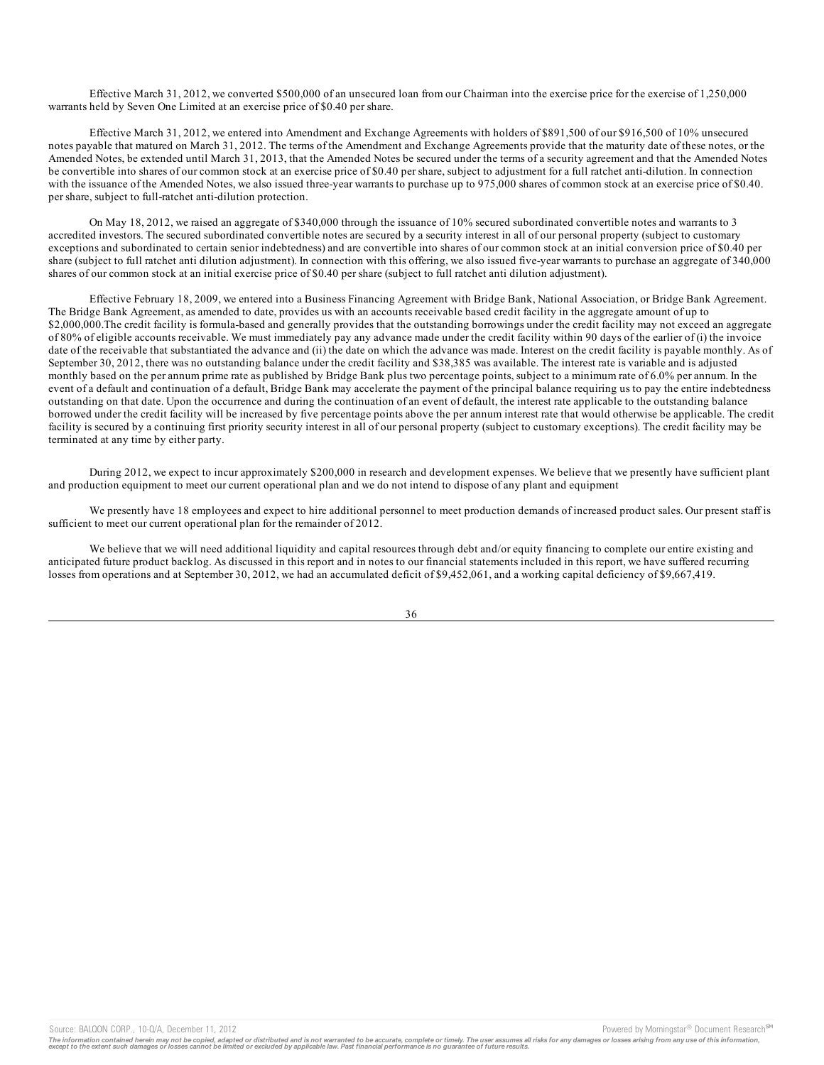Effective March 31, 2012, we converted \$500,000 of an unsecured loan from our Chairman into the exercise price for the exercise of 1,250,000 warrants held by Seven One Limited at an exercise price of \$0.40 per share.

Effective March 31, 2012, we entered into Amendment and Exchange Agreements with holders of \$891,500 of our \$916,500 of 10% unsecured notes payable that matured on March 31, 2012. The terms of the Amendment and Exchange Agreements provide that the maturity date of these notes, or the Amended Notes, be extended until March 31, 2013, that the Amended Notes be secured under the terms of a security agreement and that the Amended Notes be convertible into shares of our common stock at an exercise price of \$0.40 per share, subject to adjustment for a full ratchet anti-dilution. In connection with the issuance of the Amended Notes, we also issued three-year warrants to purchase up to 975,000 shares of common stock at an exercise price of \$0.40. per share, subject to full-ratchet anti-dilution protection.

On May 18, 2012, we raised an aggregate of \$340,000 through the issuance of 10% secured subordinated convertible notes and warrants to 3 accredited investors. The secured subordinated convertible notes are secured by a security interest in all of our personal property (subject to customary exceptions and subordinated to certain senior indebtedness) and are convertible into shares of our common stock at an initial conversion price of \$0.40 per share (subject to full ratchet anti dilution adjustment). In connection with this offering, we also issued five-year warrants to purchase an aggregate of 340,000 shares of our common stock at an initial exercise price of \$0.40 per share (subject to full ratchet anti dilution adjustment).

Effective February 18, 2009, we entered into a Business Financing Agreement with Bridge Bank, National Association, or Bridge Bank Agreement. The Bridge Bank Agreement, as amended to date, provides us with an accounts receivable based credit facility in the aggregate amount of up to \$2,000,000.The credit facility is formula-based and generally provides that the outstanding borrowings under the credit facility may not exceed an aggregate of 80% of eligible accounts receivable. We must immediately pay any advance made under the credit facility within 90 days of the earlier of (i) the invoice date of the receivable that substantiated the advance and (ii) the date on which the advance was made. Interest on the credit facility is payable monthly. As of September 30, 2012, there was no outstanding balance under the credit facility and \$38,385 was available. The interest rate is variable and is adjusted monthly based on the per annum prime rate as published by Bridge Bank plus two percentage points, subject to a minimum rate of 6.0% per annum. In the event of a default and continuation of a default, Bridge Bank may accelerate the payment of the principal balance requiring us to pay the entire indebtedness outstanding on that date. Upon the occurrence and during the continuation of an event of default, the interest rate applicable to the outstanding balance borrowed under the credit facility will be increased by five percentage points above the per annum interest rate that would otherwise be applicable. The credit facility is secured by a continuing first priority security interest in all of our personal property (subject to customary exceptions). The credit facility may be terminated at any time by either party.

During 2012, we expect to incur approximately \$200,000 in research and development expenses. We believe that we presently have sufficient plant and production equipment to meet our current operational plan and we do not intend to dispose of any plant and equipment

We presently have 18 employees and expect to hire additional personnel to meet production demands of increased product sales. Our present staff is sufficient to meet our current operational plan for the remainder of 2012.

We believe that we will need additional liquidity and capital resources through debt and/or equity financing to complete our entire existing and anticipated future product backlog. As discussed in this report and in notes to our financial statements included in this report, we have suffered recurring losses from operations and at September 30, 2012, we had an accumulated deficit of \$9,452,061, and a working capital deficiency of \$9,667,419.

36

The information contained herein may not be copied, adapted or distributed and is not warranted to be accurate, complete or timely. The user assumes all risks for any damages or losses arising from any use of this informat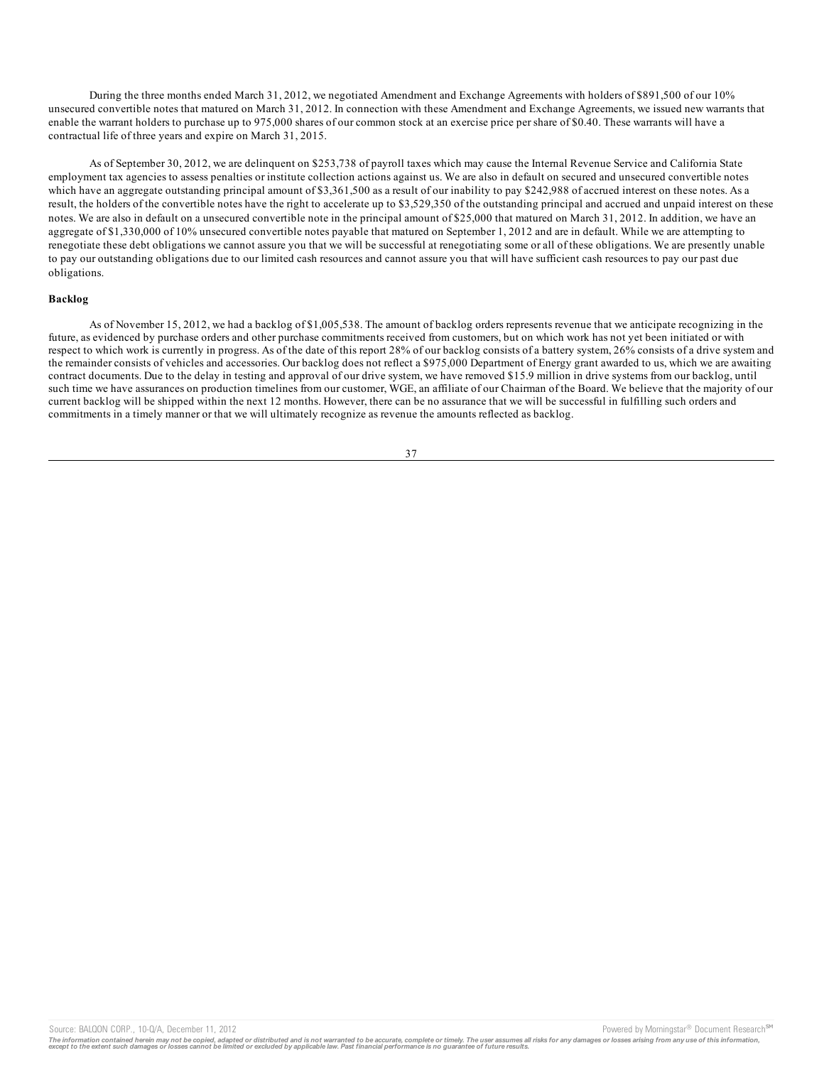During the three months ended March 31, 2012, we negotiated Amendment and Exchange Agreements with holders of \$891,500 of our 10% unsecured convertible notes that matured on March 31, 2012. In connection with these Amendment and Exchange Agreements, we issued new warrants that enable the warrant holders to purchase up to 975,000 shares of our common stock at an exercise price per share of \$0.40. These warrants will have a contractual life of three years and expire on March 31, 2015.

As of September 30, 2012, we are delinquent on \$253,738 of payroll taxes which may cause the Internal Revenue Service and California State employment tax agencies to assess penalties or institute collection actions against us. We are also in default on secured and unsecured convertible notes which have an aggregate outstanding principal amount of \$3,361,500 as a result of our inability to pay \$242,988 of accrued interest on these notes. As a result, the holders of the convertible notes have the right to accelerate up to \$3,529,350 of the outstanding principal and accrued and unpaid interest on these notes. We are also in default on a unsecured convertible note in the principal amount of \$25,000 that matured on March 31, 2012. In addition, we have an aggregate of \$1,330,000 of 10% unsecured convertible notes payable that matured on September 1, 2012 and are in default. While we are attempting to renegotiate these debt obligations we cannot assure you that we will be successful at renegotiating some or all of these obligations. We are presently unable to pay our outstanding obligations due to our limited cash resources and cannot assure you that will have sufficient cash resources to pay our past due obligations.

### **Backlog**

As of November 15, 2012, we had a backlog of \$1,005,538. The amount of backlog orders represents revenue that we anticipate recognizing in the future, as evidenced by purchase orders and other purchase commitments received from customers, but on which work has not yet been initiated or with respect to which work is currently in progress. As of the date of this report 28% of our backlog consists of a battery system, 26% consists of a drive system and the remainder consists of vehicles and accessories. Our backlog does not reflect a \$975,000 Department of Energy grant awarded to us, which we are awaiting contract documents. Due to the delay in testing and approval of our drive system, we have removed \$15.9 million in drive systems from our backlog, until such time we have assurances on production timelines from our customer, WGE, an affiliate of our Chairman of the Board. We believe that the majority of our current backlog will be shipped within the next 12 months. However, there can be no assurance that we will be successful in fulfilling such orders and commitments in a timely manner or that we will ultimately recognize as revenue the amounts reflected as backlog.



The information contained herein may not be copied, adapted or distributed and is not warranted to be accurate, complete or timely. The user assumes all risks for any damages or losses arising from any use of this informat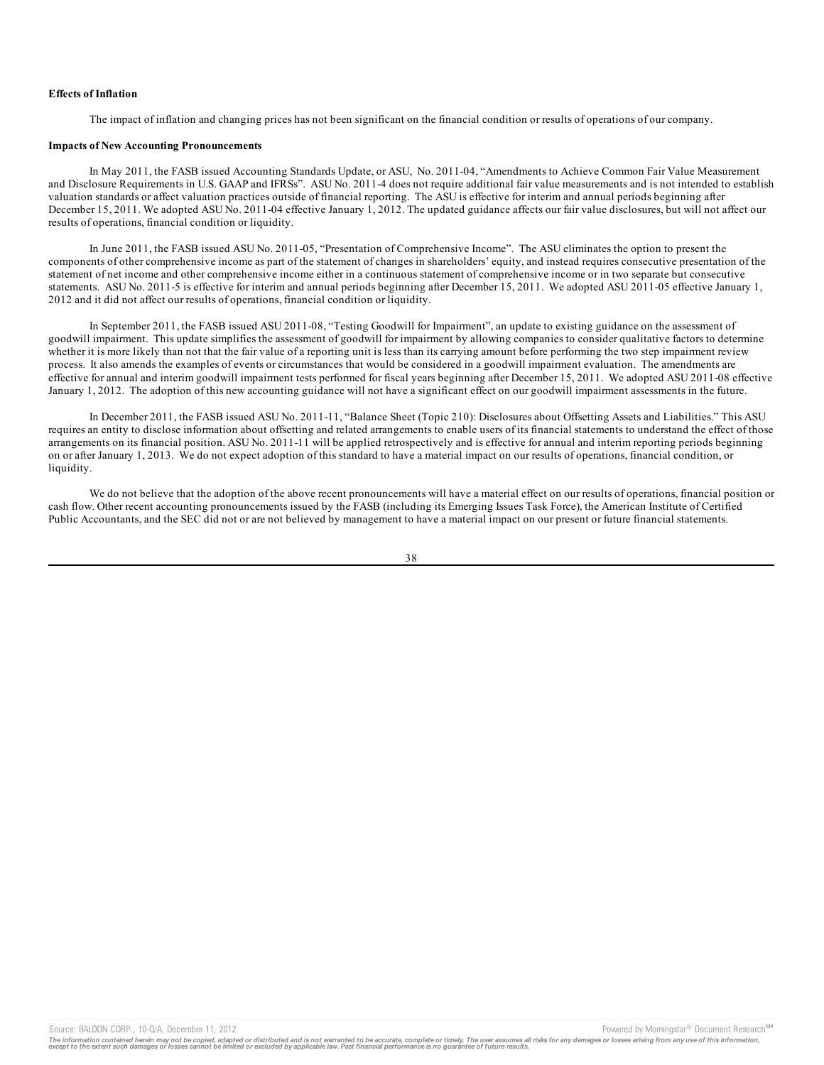### **Effects of Inflation**

The impact of inflation and changing prices has not been significant on the financial condition or results of operations of our company.

#### **Impacts of New Accounting Pronouncements**

In May 2011, the FASB issued Accounting Standards Update, or ASU, No. 2011-04, "Amendments to Achieve Common Fair Value Measurement and Disclosure Requirements in U.S. GAAP and IFRSs". ASU No. 2011-4 does not require additional fair value measurements and is not intended to establish valuation standards or affect valuation practices outside of financial reporting. The ASU is effective for interim and annual periods beginning after December 15, 2011. We adopted ASU No. 2011-04 effective January 1, 2012. The updated guidance affects our fair value disclosures, but will not affect our results of operations, financial condition or liquidity.

In June 2011, the FASB issued ASU No. 2011-05, "Presentation of Comprehensive Income". The ASU eliminates the option to present the components of other comprehensive income as part of the statement of changes in shareholders' equity, and instead requires consecutive presentation of the statement of net income and other comprehensive income either in a continuous statement of comprehensive income or in two separate but consecutive statements. ASU No. 2011-5 is effective for interim and annual periods beginning after December 15, 2011. We adopted ASU 2011-05 effective January 1, 2012 and it did not affect our results of operations, financial condition or liquidity.

In September 2011, the FASB issued ASU 2011-08, "Testing Goodwill for Impairment", an update to existing guidance on the assessment of goodwill impairment. This update simplifies the assessment of goodwill for impairment by allowing companies to consider qualitative factors to determine whether it is more likely than not that the fair value of a reporting unit is less than its carrying amount before performing the two step impairment review process. It also amends the examples of events or circumstances that would be considered in a goodwill impairment evaluation. The amendments are effective for annual and interim goodwill impairment tests performed for fiscal years beginning after December 15, 2011. We adopted ASU 2011-08 effective January 1, 2012. The adoption of this new accounting guidance will not have a significant effect on our goodwill impairment assessments in the future.

In December 2011, the FASB issued ASU No. 2011-11, "Balance Sheet (Topic 210): Disclosures about Offsetting Assets and Liabilities." This ASU requires an entity to disclose information about offsetting and related arrangements to enable users of its financial statements to understand the effect of those arrangements on its financial position. ASU No. 2011-11 will be applied retrospectively and is effective for annual and interim reporting periods beginning on or after January 1, 2013. We do not expect adoption of this standard to have a material impact on our results of operations, financial condition, or liquidity.

We do not believe that the adoption of the above recent pronouncements will have a material effect on our results of operations, financial position or cash flow. Other recent accounting pronouncements issued by the FASB (including its Emerging Issues Task Force), the American Institute of Certified Public Accountants, and the SEC did not or are not believed by management to have a material impact on our present or future financial statements.



The information contained herein may not be copied, adapted or distributed and is not warranted to be accurate, complete or timely. The user assumes all risks for any damages or losses arising from any use of this informat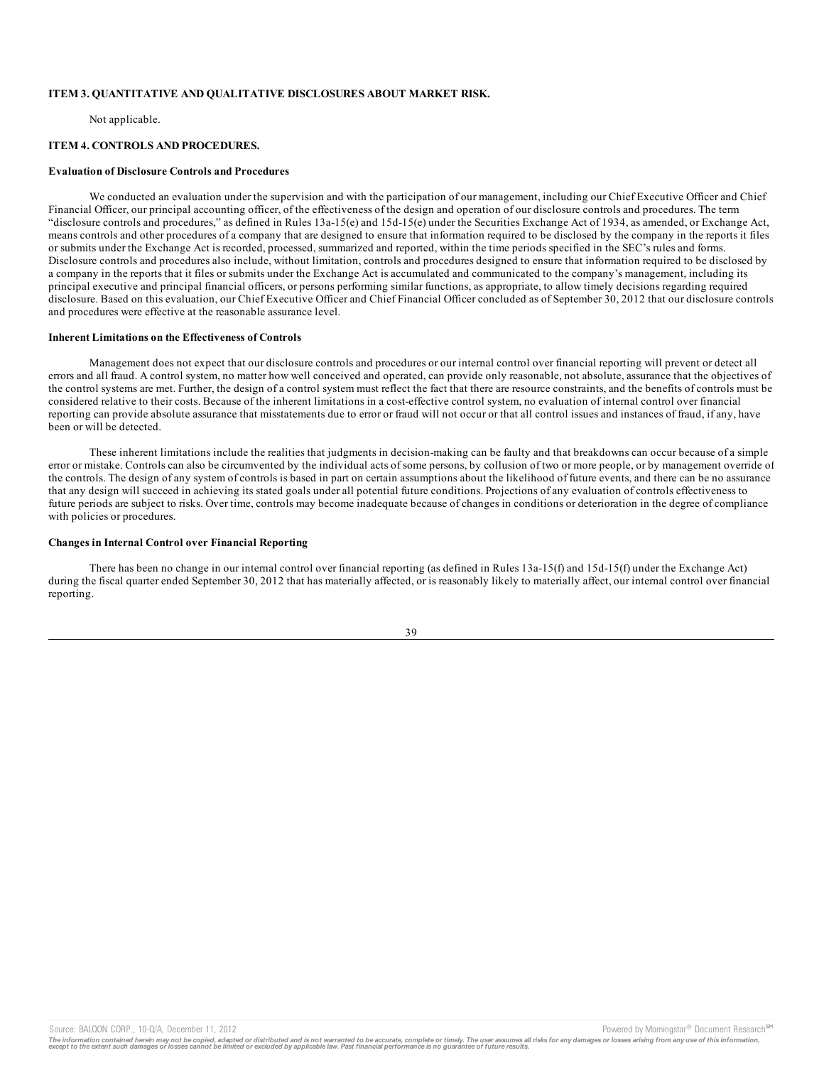## **ITEM 3. QUANTITATIVE AND QUALITATIVE DISCLOSURES ABOUT MARKET RISK.**

Not applicable.

#### **ITEM 4. CONTROLS AND PROCEDURES.**

### **Evaluation of Disclosure Controls and Procedures**

We conducted an evaluation under the supervision and with the participation of our management, including our Chief Executive Officer and Chief Financial Officer, our principal accounting officer, of the effectiveness of the design and operation of our disclosure controls and procedures. The term "disclosure controls and procedures," as defined in Rules 13a-15(e) and 15d-15(e) under the Securities Exchange Act of 1934, as amended, or Exchange Act, means controls and other procedures of a company that are designed to ensure that information required to be disclosed by the company in the reports it files or submits under the Exchange Act is recorded, processed, summarized and reported, within the time periods specified in the SEC's rules and forms. Disclosure controls and procedures also include, without limitation, controls and procedures designed to ensure that information required to be disclosed by a company in the reports that it files or submits under the Exchange Act is accumulated and communicated to the company's management, including its principal executive and principal financial officers, or persons performing similar functions, as appropriate, to allow timely decisions regarding required disclosure. Based on this evaluation, our Chief Executive Officer and Chief Financial Officer concluded as of September 30, 2012 that our disclosure controls and procedures were effective at the reasonable assurance level.

#### **Inherent Limitations on the Effectiveness of Controls**

Management does not expect that our disclosure controls and procedures or our internal control over financial reporting will prevent or detect all errors and all fraud. A control system, no matter how well conceived and operated, can provide only reasonable, not absolute, assurance that the objectives of the control systems are met. Further, the design of a control system must reflect the fact that there are resource constraints, and the benefits of controls must be considered relative to their costs. Because of the inherent limitations in a cost-effective control system, no evaluation of internal control over financial reporting can provide absolute assurance that misstatements due to error or fraud will not occur or that all control issues and instances of fraud, if any, have been or will be detected.

These inherent limitations include the realities that judgments in decision-making can be faulty and that breakdowns can occur because of a simple error or mistake. Controls can also be circumvented by the individual acts of some persons, by collusion of two or more people, or by management override of the controls. The design of any system of controls is based in part on certain assumptions about the likelihood of future events, and there can be no assurance that any design will succeed in achieving its stated goals under all potential future conditions. Projections of any evaluation of controls effectiveness to future periods are subject to risks. Over time, controls may become inadequate because of changes in conditions or deterioration in the degree of compliance with policies or procedures.

#### **Changes in Internal Control over Financial Reporting**

There has been no change in our internal control over financial reporting (as defined in Rules 13a-15(f) and 15d-15(f) under the Exchange Act) during the fiscal quarter ended September 30, 2012 that has materially affected, or is reasonably likely to materially affect, our internal control over financial reporting.



Source: BALQON CORP., 10-Q/A, December 11, 2012 **Powered by Morningstar® Document Research** Morningstar® Document Research

The information contained herein may not be copied, adapted or distributed and is not warranted to be accurate, complete or timely. The user assumes all risks for any damages or losses arising from any use of this informat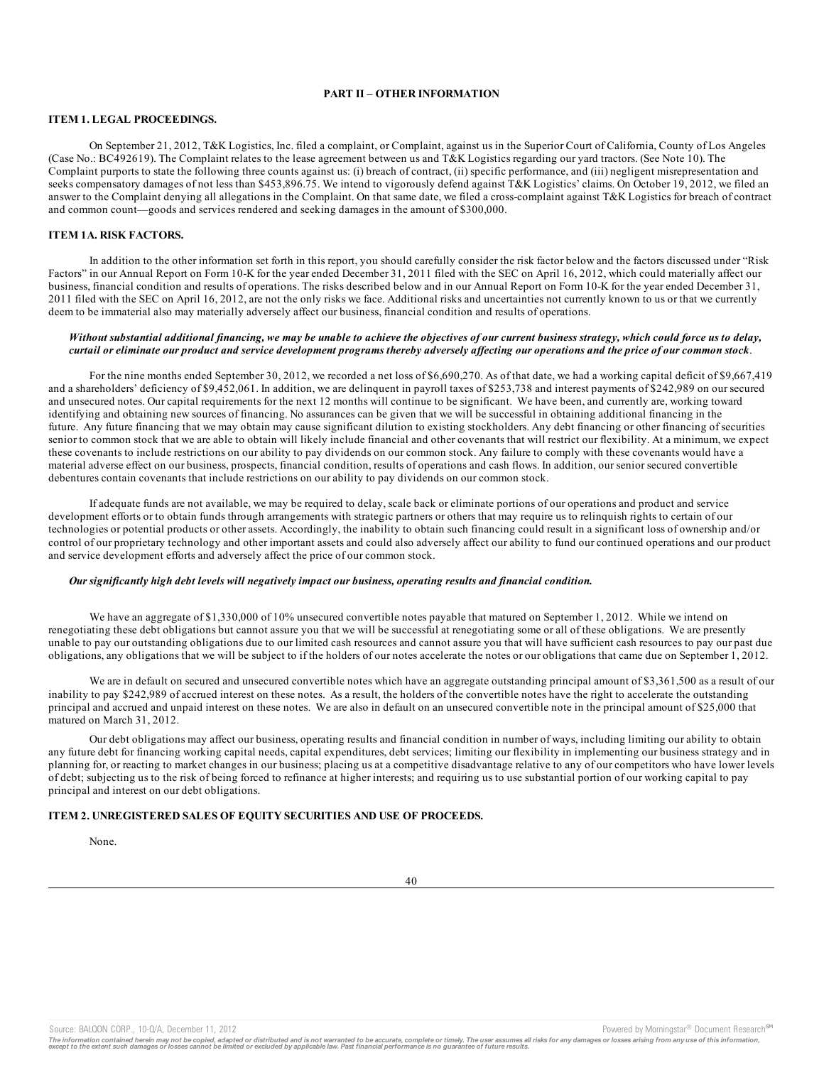## **PART II – OTHER INFORMATION**

# **ITEM 1. LEGAL PROCEEDINGS.**

On September 21, 2012, T&K Logistics, Inc. filed a complaint, or Complaint, against us in the Superior Court of California, County of Los Angeles (Case No.: BC492619). The Complaint relates to the lease agreement between us and T&K Logistics regarding our yard tractors. (See Note 10). The Complaint purports to state the following three counts against us: (i) breach of contract, (ii) specific performance, and (iii) negligent misrepresentation and seeks compensatory damages of not less than \$453,896.75. We intend to vigorously defend against T&K Logistics' claims. On October 19, 2012, we filed an answer to the Complaint denying all allegations in the Complaint. On that same date, we filed a cross-complaint against T&K Logistics for breach of contract and common count—goods and services rendered and seeking damages in the amount of \$300,000.

### **ITEM 1A. RISK FACTORS.**

In addition to the other information set forth in this report, you should carefully consider the risk factor below and the factors discussed under "Risk Factors" in our Annual Report on Form 10-K for the year ended December 31, 2011 filed with the SEC on April 16, 2012, which could materially affect our business, financial condition and results of operations. The risks described below and in our Annual Report on Form 10-K for the year ended December 31, 2011 filed with the SEC on April 16, 2012, are not the only risks we face. Additional risks and uncertainties not currently known to us or that we currently deem to be immaterial also may materially adversely affect our business, financial condition and results of operations.

#### Without substantial additional financing, we may be unable to achieve the objectives of our current business strategy, which could force us to delay, curtail or eliminate our product and service development programs thereby adversely affecting our operations and the price of our common stock.

For the nine months ended September 30, 2012, we recorded a net loss of \$6,690,270. As of that date, we had a working capital deficit of \$9,667,419 and a shareholders' deficiency of \$9,452,061. In addition, we are delinquent in payroll taxes of \$253,738 and interest payments of \$242,989 on our secured and unsecured notes. Our capital requirements for the next 12 months will continue to be significant. We have been, and currently are, working toward identifying and obtaining new sources of financing. No assurances can be given that we will be successful in obtaining additional financing in the future. Any future financing that we may obtain may cause significant dilution to existing stockholders. Any debt financing or other financing of securities senior to common stock that we are able to obtain will likely include financial and other covenants that will restrict our flexibility. At a minimum, we expect these covenants to include restrictions on our ability to pay dividends on our common stock. Any failure to comply with these covenants would have a material adverse effect on our business, prospects, financial condition, results of operations and cash flows. In addition, our senior secured convertible debentures contain covenants that include restrictions on our ability to pay dividends on our common stock.

If adequate funds are not available, we may be required to delay, scale back or eliminate portions of our operations and product and service development efforts or to obtain funds through arrangements with strategic partners or others that may require us to relinquish rights to certain of our technologies or potential products or other assets. Accordingly, the inability to obtain such financing could result in a significant loss of ownership and/or control of our proprietary technology and other important assets and could also adversely affect our ability to fund our continued operations and our product and service development efforts and adversely affect the price of our common stock.

#### *Our significantly high debt levels will negatively impact our business, operating results and financial condition.*

We have an aggregate of \$1,330,000 of 10% unsecured convertible notes payable that matured on September 1, 2012. While we intend on renegotiating these debt obligations but cannot assure you that we will be successful at renegotiating some or all of these obligations. We are presently unable to pay our outstanding obligations due to our limited cash resources and cannot assure you that will have sufficient cash resources to pay our past due obligations, any obligations that we will be subject to if the holders of our notes accelerate the notes or our obligations that came due on September 1, 2012.

We are in default on secured and unsecured convertible notes which have an aggregate outstanding principal amount of \$3,361,500 as a result of our inability to pay \$242,989 of accrued interest on these notes. As a result, the holders of the convertible notes have the right to accelerate the outstanding principal and accrued and unpaid interest on these notes. We are also in default on an unsecured convertible note in the principal amount of \$25,000 that matured on March 31, 2012.

Our debt obligations may affect our business, operating results and financial condition in number of ways, including limiting our ability to obtain any future debt for financing working capital needs, capital expenditures, debt services; limiting our flexibility in implementing our business strategy and in planning for, or reacting to market changes in our business; placing us at a competitive disadvantage relative to any of our competitors who have lower levels of debt; subjecting us to the risk of being forced to refinance at higher interests; and requiring us to use substantial portion of our working capital to pay principal and interest on our debt obligations.

### **ITEM 2. UNREGISTERED SALES OF EQUITY SECURITIES AND USE OF PROCEEDS.**

None.

The information contained herein may not be copied, adapted or distributed and is not warranted to be accurate, complete or timely. The user assumes all risks for any damages or losses arising from any use of this informat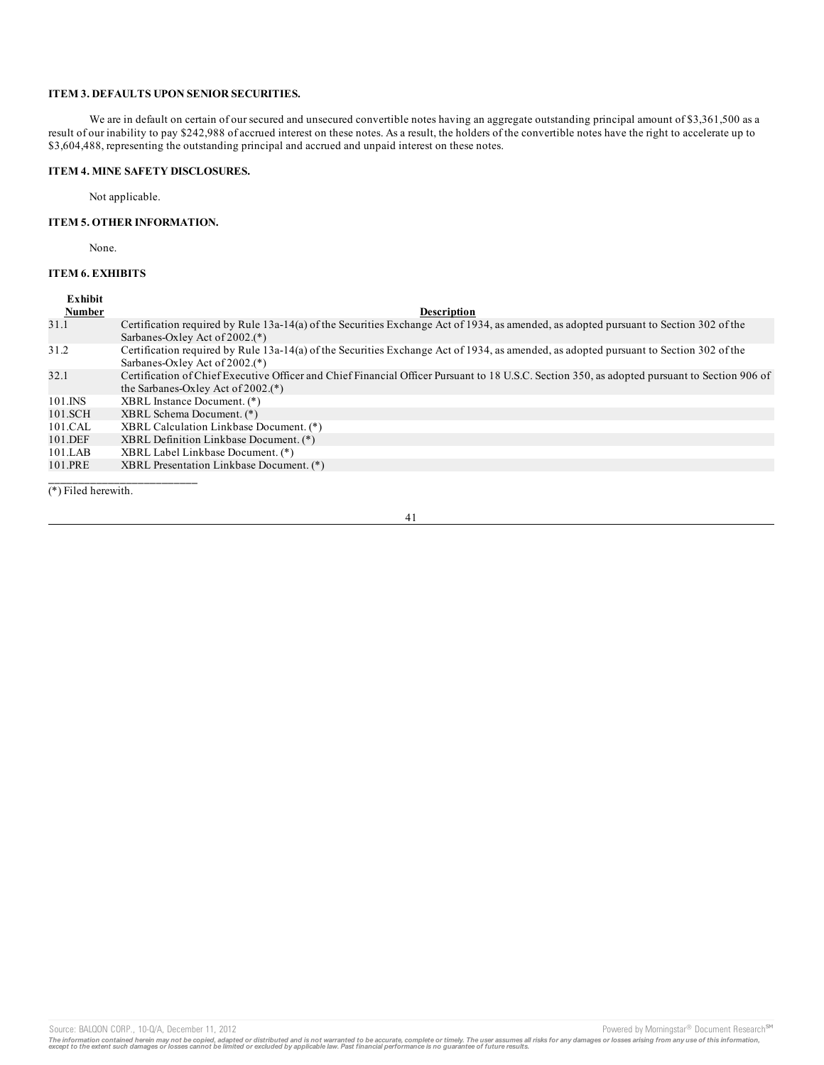# **ITEM 3. DEFAULTS UPON SENIOR SECURITIES.**

We are in default on certain of our secured and unsecured convertible notes having an aggregate outstanding principal amount of \$3,361,500 as a result of our inability to pay \$242,988 of accrued interest on these notes. As a result, the holders of the convertible notes have the right to accelerate up to \$3,604,488, representing the outstanding principal and accrued and unpaid interest on these notes.

# **ITEM 4. MINE SAFETY DISCLOSURES.**

Not applicable.

# **ITEM 5. OTHER INFORMATION.**

None.

# **ITEM 6. EXHIBITS**

| Exhibit       |                                                                                                                                               |
|---------------|-----------------------------------------------------------------------------------------------------------------------------------------------|
| <b>Number</b> | <b>Description</b>                                                                                                                            |
| 31.1          | Certification required by Rule 13a-14(a) of the Securities Exchange Act of 1934, as amended, as adopted pursuant to Section 302 of the        |
|               | Sarbanes-Oxley Act of 2002.(*)                                                                                                                |
| 31.2          | Certification required by Rule 13a-14(a) of the Securities Exchange Act of 1934, as amended, as adopted pursuant to Section 302 of the        |
|               | Sarbanes-Oxley Act of 2002.(*)                                                                                                                |
| 32.1          | Certification of Chief Executive Officer and Chief Financial Officer Pursuant to 18 U.S.C. Section 350, as adopted pursuant to Section 906 of |
|               | the Sarbanes-Oxley Act of $2002(*)$                                                                                                           |
| $101$ . INS   | XBRL Instance Document. (*)                                                                                                                   |
| 101.SCH       | XBRL Schema Document. (*)                                                                                                                     |
| 101.CAL       | XBRL Calculation Linkbase Document. (*)                                                                                                       |
| 101.DEF       | XBRL Definition Linkbase Document. (*)                                                                                                        |
| 101.LAB       | XBRL Label Linkbase Document. (*)                                                                                                             |
| 101.PRE       | XBRL Presentation Linkbase Document. (*)                                                                                                      |
|               |                                                                                                                                               |

(\*) Filed herewith.

41

Source: BALQON CORP., 10-Q/A, December 11, 2012 2001 2012 2012 2012 2012 2013 2014 2014 2015 2016 2017 2018 201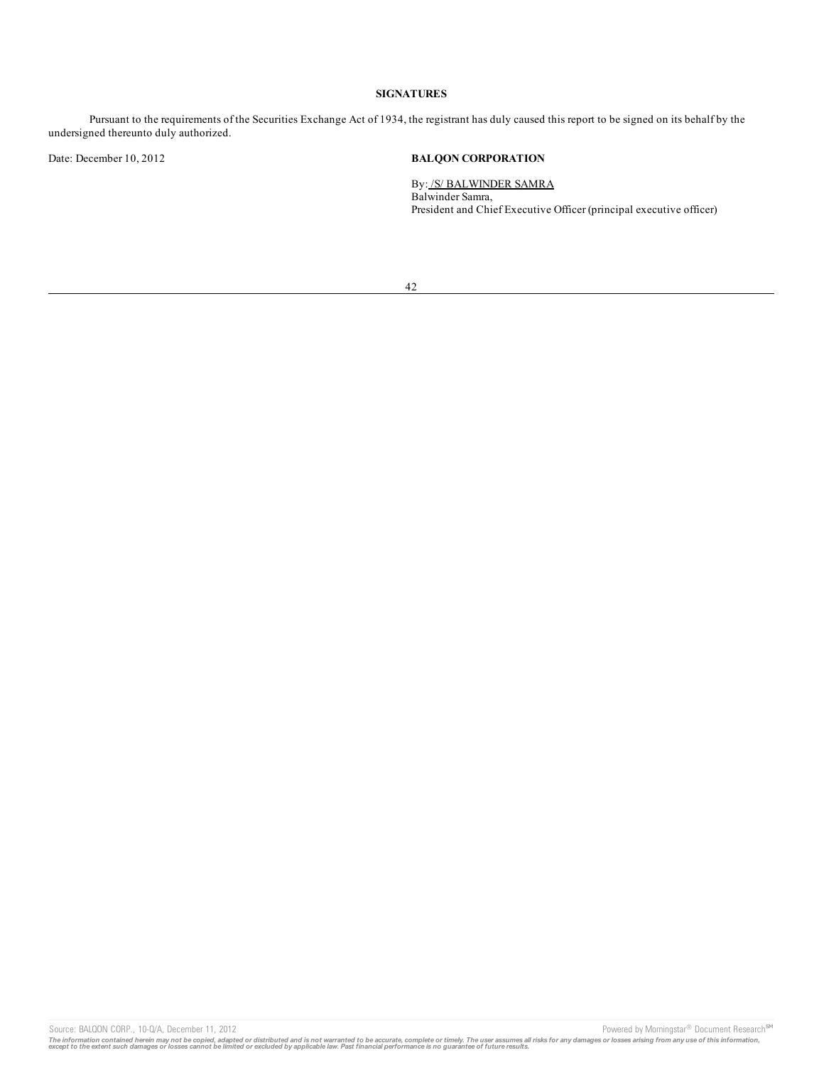# **SIGNATURES**

Pursuant to the requirements of the Securities Exchange Act of 1934, the registrant has duly caused this report to be signed on its behalf by the undersigned thereunto duly authorized.

# Date: December 10, 2012 **BALQON CORPORATION**

By: /S/ BALWINDER SAMRA Balwinder Samra, President and Chief Executive Officer (principal executive officer)

Source: BALQON CORP., 10-Q/A, December 11, 2012 2001 2012 2012 2012 2012 2013 2014 2014 2015 2016 2017 2018 201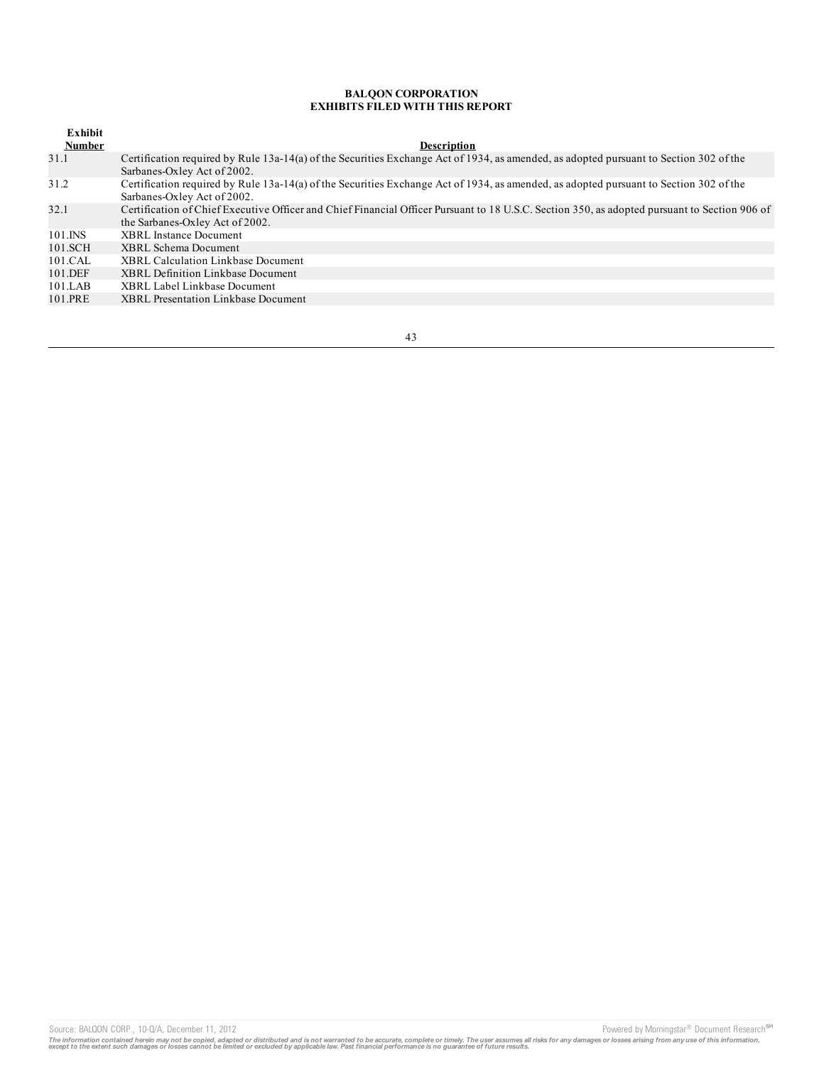### **BALQON CORPORATION EXHIBITS FILED WITH THIS REPORT**

| Exhibit       |                                                                                                                                                                                  |
|---------------|----------------------------------------------------------------------------------------------------------------------------------------------------------------------------------|
| <b>Number</b> | Description                                                                                                                                                                      |
| 31.1          | Certification required by Rule 13a-14(a) of the Securities Exchange Act of 1934, as amended, as adopted pursuant to Section 302 of the<br>Sarbanes-Oxley Act of 2002.            |
| 31.2          | Certification required by Rule 13a-14(a) of the Securities Exchange Act of 1934, as amended, as adopted pursuant to Section 302 of the<br>Sarbanes-Oxley Act of 2002.            |
| 32.1          | Certification of Chief Executive Officer and Chief Financial Officer Pursuant to 18 U.S.C. Section 350, as adopted pursuant to Section 906 of<br>the Sarbanes-Oxley Act of 2002. |
| $101$ INS     | <b>XBRL</b> Instance Document                                                                                                                                                    |
| 101.SCH       | XBRL Schema Document                                                                                                                                                             |
| 101.CAL       | <b>XBRL Calculation Linkbase Document</b>                                                                                                                                        |
| 101.DEF       | <b>XBRL Definition Linkbase Document</b>                                                                                                                                         |
| $101$ LAB     | XBRL Label Linkbase Document                                                                                                                                                     |
| 101.PRE       | <b>XBRL</b> Presentation Linkbase Document                                                                                                                                       |
|               |                                                                                                                                                                                  |

43

Source: BALQON CORP., 10-Q/A, December 11, 2012 2009 12:00 12:00 12:00 12:00 12:00 12:00 12:00 12:00 12:00 12:00 12:00 12:00 12:00 12:00 12:00 12:00 12:00 12:00 12:00 12:00 12:00 12:00 12:00 12:00 12:00 12:00 12:00 12:00 1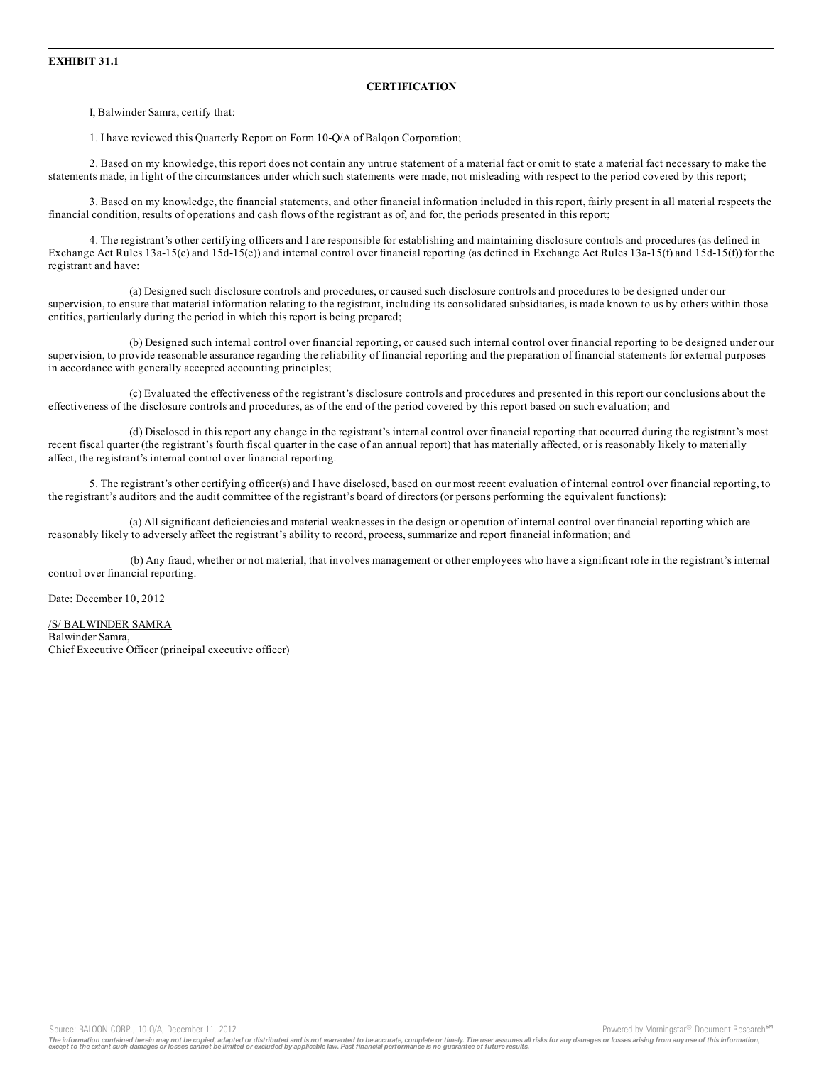# **EXHIBIT 31.1**

### **CERTIFICATION**

I, Balwinder Samra, certify that:

1. I have reviewed this Quarterly Report on Form 10-Q/A of Balqon Corporation;

2. Based on my knowledge, this report does not contain any untrue statement of a material fact or omit to state a material fact necessary to make the statements made, in light of the circumstances under which such statements were made, not misleading with respect to the period covered by this report;

3. Based on my knowledge, the financial statements, and other financial information included in this report, fairly present in all material respects the financial condition, results of operations and cash flows of the registrant as of, and for, the periods presented in this report;

4. The registrant's other certifying officers and I are responsible for establishing and maintaining disclosure controls and procedures (as defined in Exchange Act Rules 13a-15(e) and 15d-15(e)) and internal control over financial reporting (as defined in Exchange Act Rules 13a-15(f) and 15d-15(f)) for the registrant and have:

(a) Designed such disclosure controls and procedures, or caused such disclosure controls and procedures to be designed under our supervision, to ensure that material information relating to the registrant, including its consolidated subsidiaries, is made known to us by others within those entities, particularly during the period in which this report is being prepared;

(b) Designed such internal control over financial reporting, or caused such internal control over financial reporting to be designed under our supervision, to provide reasonable assurance regarding the reliability of financial reporting and the preparation of financial statements for external purposes in accordance with generally accepted accounting principles;

(c) Evaluated the effectiveness of the registrant's disclosure controls and procedures and presented in this report our conclusions about the effectiveness of the disclosure controls and procedures, as of the end of the period covered by this report based on such evaluation; and

(d) Disclosed in this report any change in the registrant's internal control over financial reporting that occurred during the registrant's most recent fiscal quarter (the registrant's fourth fiscal quarter in the case of an annual report) that has materially affected, or is reasonably likely to materially affect, the registrant's internal control over financial reporting.

5. The registrant's other certifying officer(s) and I have disclosed, based on our most recent evaluation of internal control over financial reporting, to the registrant's auditors and the audit committee of the registrant's board of directors (or persons performing the equivalent functions):

(a) All significant deficiencies and material weaknesses in the design or operation of internal control over financial reporting which are reasonably likely to adversely affect the registrant's ability to record, process, summarize and report financial information; and

(b) Any fraud, whether or not material, that involves management or other employees who have a significant role in the registrant's internal control over financial reporting.

Date: December 10, 2012

/S/ BALWINDER SAMRA Balwinder Samra, Chief Executive Officer (principal executive officer)

Source: BALQON CORP., 10-Q/A, December 11, 2012 **Powered by Morningstar® Document Research** in the second of the second by Morningstar® Document Research in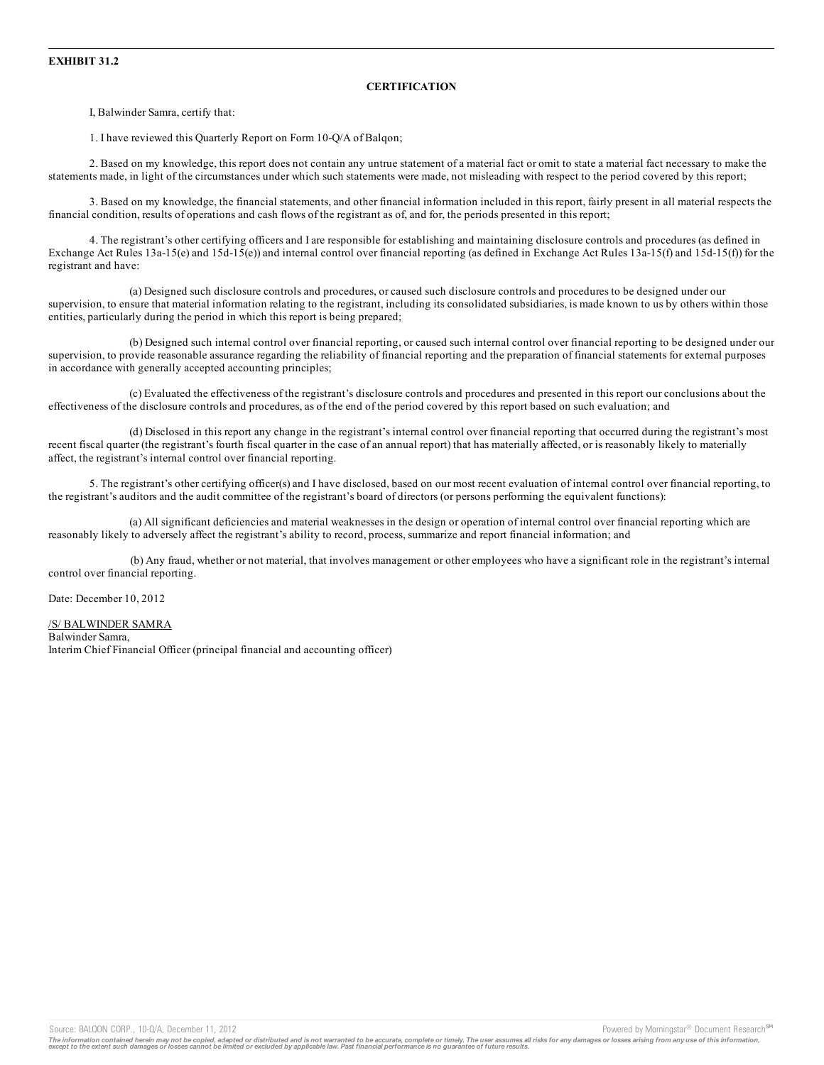# **EXHIBIT 31.2**

### **CERTIFICATION**

I, Balwinder Samra, certify that:

1. I have reviewed this Quarterly Report on Form 10-Q/A of Balqon;

2. Based on my knowledge, this report does not contain any untrue statement of a material fact or omit to state a material fact necessary to make the statements made, in light of the circumstances under which such statements were made, not misleading with respect to the period covered by this report;

3. Based on my knowledge, the financial statements, and other financial information included in this report, fairly present in all material respects the financial condition, results of operations and cash flows of the registrant as of, and for, the periods presented in this report;

4. The registrant's other certifying officers and I are responsible for establishing and maintaining disclosure controls and procedures (as defined in Exchange Act Rules 13a-15(e) and 15d-15(e)) and internal control over financial reporting (as defined in Exchange Act Rules 13a-15(f) and 15d-15(f)) for the registrant and have:

(a) Designed such disclosure controls and procedures, or caused such disclosure controls and procedures to be designed under our supervision, to ensure that material information relating to the registrant, including its consolidated subsidiaries, is made known to us by others within those entities, particularly during the period in which this report is being prepared;

(b) Designed such internal control over financial reporting, or caused such internal control over financial reporting to be designed under our supervision, to provide reasonable assurance regarding the reliability of financial reporting and the preparation of financial statements for external purposes in accordance with generally accepted accounting principles;

(c) Evaluated the effectiveness of the registrant's disclosure controls and procedures and presented in this report our conclusions about the effectiveness of the disclosure controls and procedures, as of the end of the period covered by this report based on such evaluation; and

(d) Disclosed in this report any change in the registrant's internal control over financial reporting that occurred during the registrant's most recent fiscal quarter (the registrant's fourth fiscal quarter in the case of an annual report) that has materially affected, or is reasonably likely to materially affect, the registrant's internal control over financial reporting.

5. The registrant's other certifying officer(s) and I have disclosed, based on our most recent evaluation of internal control over financial reporting, to the registrant's auditors and the audit committee of the registrant's board of directors (or persons performing the equivalent functions):

(a) All significant deficiencies and material weaknesses in the design or operation of internal control over financial reporting which are reasonably likely to adversely affect the registrant's ability to record, process, summarize and report financial information; and

(b) Any fraud, whether or not material, that involves management or other employees who have a significant role in the registrant's internal control over financial reporting.

Date: December 10, 2012

/S/ BALWINDER SAMRA Balwinder Samra, Interim Chief Financial Officer (principal financial and accounting officer)

Source: BALQON CORP., 10-Q/A, December 11, 2012 **Powered by Morningstar® Document Research** in the second of the second by Morningstar® Document Research in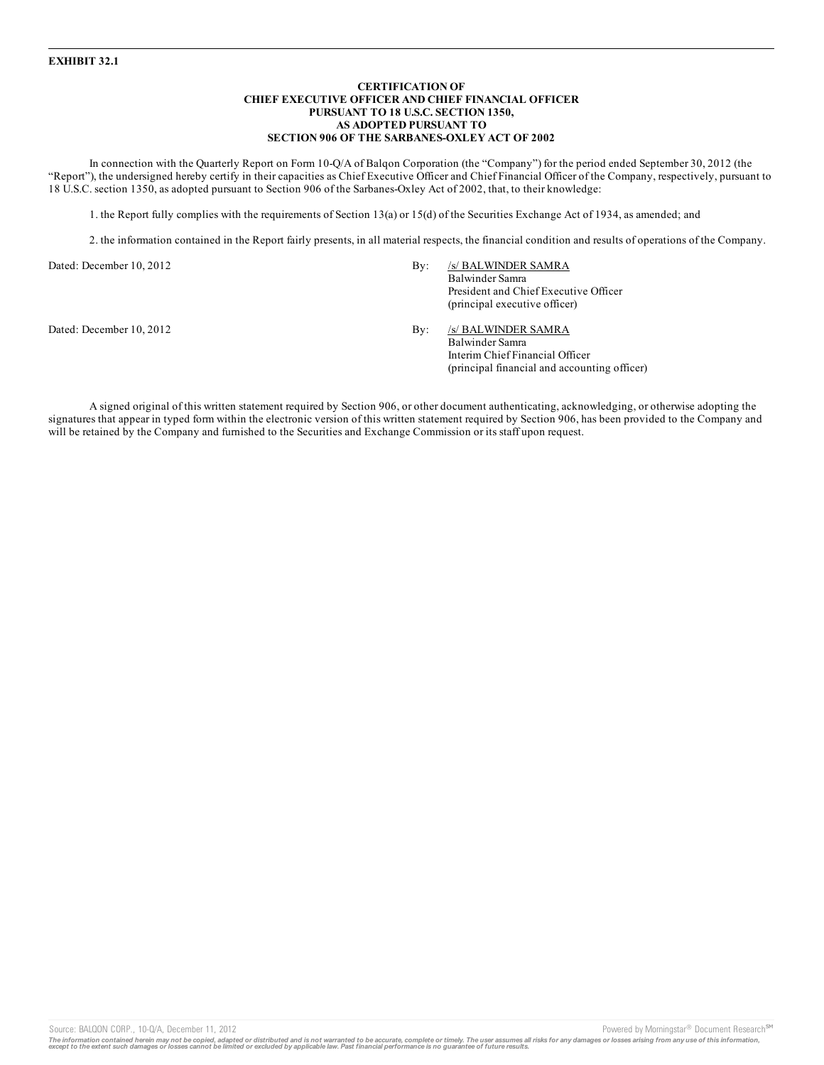# **EXHIBIT 32.1**

#### **CERTIFICATION OF CHIEF EXECUTIVE OFFICER AND CHIEF FINANCIAL OFFICER PURSUANT TO 18 U.S.C. SECTION 1350, AS ADOPTED PURSUANT TO SECTION 906 OF THE SARBANES-OXLEY ACT OF 2002**

In connection with the Quarterly Report on Form 10-Q/A of Balqon Corporation (the "Company") for the period ended September 30, 2012 (the "Report"), the undersigned hereby certify in their capacities as Chief Executive Officer and Chief Financial Officer of the Company, respectively, pursuant to 18 U.S.C. section 1350, as adopted pursuant to Section 906 of the Sarbanes-Oxley Act of 2002, that, to their knowledge:

1. the Report fully complies with the requirements of Section 13(a) or 15(d) of the Securities Exchange Act of 1934, as amended; and

2. the information contained in the Report fairly presents, in all material respects, the financial condition and results of operations of the Company.

Dated: December 10, 2012 By: /s/ BALWINDER SAMRA Balwinder Samra President and Chief Executive Officer (principal executive officer)

Dated: December 10, 2012 By: /s/ BALWINDER SAMRA Balwinder Samra Interim Chief Financial Officer (principal financial and accounting officer)

A signed original of this written statement required by Section 906, or other document authenticating, acknowledging, or otherwise adopting the signatures that appear in typed form within the electronic version of this written statement required by Section 906, has been provided to the Company and will be retained by the Company and furnished to the Securities and Exchange Commission or its staff upon request.

Source: BALQON CORP., 10-Q/A, December 11, 2012 **Powered by Morningstar<sup>®</sup> Document Research<sup>sM</sup>** 

The information contained herein may not be copied, adapted or distributed and is not warranted to be accurate, complete or timely. The user assumes all risks for any damages or losses arising from any use of this informat